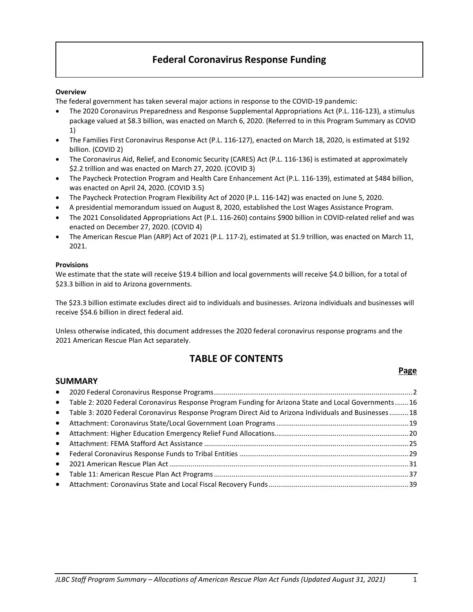# **Federal Coronavirus Response Funding**

#### **Overview**

The federal government has taken several major actions in response to the COVID-19 pandemic:

- The 2020 Coronavirus Preparedness and Response Supplemental Appropriations Act (P.L. 116-123), a stimulus package valued at \$8.3 billion, was enacted on March 6, 2020. (Referred to in this Program Summary as COVID 1)
- The Families First Coronavirus Response Act (P.L. 116-127), enacted on March 18, 2020, is estimated at \$192 billion. (COVID 2)
- The Coronavirus Aid, Relief, and Economic Security (CARES) Act (P.L. 116-136) is estimated at approximately \$2.2 trillion and was enacted on March 27, 2020. (COVID 3)
- The Paycheck Protection Program and Health Care Enhancement Act (P.L. 116-139), estimated at \$484 billion, was enacted on April 24, 2020. (COVID 3.5)
- The Paycheck Protection Program Flexibility Act of 2020 (P.L. 116-142) was enacted on June 5, 2020.
- A presidential memorandum issued on August 8, 2020, established the Lost Wages Assistance Program.
- The 2021 Consolidated Appropriations Act (P.L. 116-260) contains \$900 billion in COVID-related relief and was enacted on December 27, 2020. (COVID 4)
- The American Rescue Plan (ARP) Act of 2021 (P.L. 117-2), estimated at \$1.9 trillion, was enacted on March 11, 2021.

#### **Provisions**

We estimate that the state will receive \$19.4 billion and local governments will receive \$4.0 billion, for a total of \$23.3 billion in aid to Arizona governments.

The \$23.3 billion estimate excludes direct aid to individuals and businesses. Arizona individuals and businesses will receive \$54.6 billion in direct federal aid.

Unless otherwise indicated, this document addresses the 2020 federal coronavirus response programs and the 2021 American Rescue Plan Act separately.

# **TABLE OF CONTENTS**

## **Page**

# **SUMMARY** • 2020 Federal Coronavirus Response Programs......................................................................................................2 • Table 2: 2020 Federal Coronavirus Response Program Funding for Arizona State and Local Governments.......16 • Table 3: 2020 Federal Coronavirus Response Program Direct Aid to Arizona Individuals and Businesses..........18 • Attachment: Coronavirus State/Local Government Loan Programs....................................................................19 • Attachment: Higher Education Emergency Relief Fund Allocations.....................................................................20 • Attachment: FEMA Stafford Act Assistance .........................................................................................................25 • Federal Coronavirus Response Funds to Tribal Entities .......................................................................................29 • 2021 American Rescue Plan Act...........................................................................................................................31 • Table 11: American Rescue Plan Act Programs....................................................................................................37 • Attachment: Coronavirus State and Local Fiscal Recovery Funds........................................................................39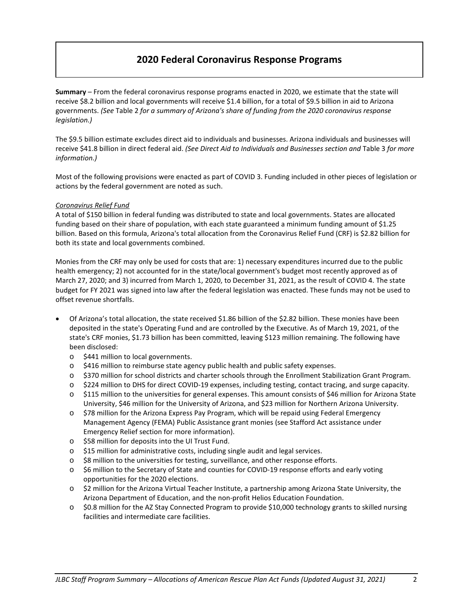# **2020 Federal Coronavirus Response Programs**

**Summary** – From the federal coronavirus response programs enacted in 2020, we estimate that the state will receive \$8.2 billion and local governments will receive \$1.4 billion, for a total of \$9.5 billion in aid to Arizona governments. *(See* Table 2 *for a summary of Arizona's share of funding from the 2020 coronavirus response legislation.)*

The \$9.5 billion estimate excludes direct aid to individuals and businesses. Arizona individuals and businesses will receive \$41.8 billion in direct federal aid. *(See Direct Aid to Individuals and Businesses section and* Table 3 *for more information.)*

Most of the following provisions were enacted as part of COVID 3. Funding included in other pieces of legislation or actions by the federal government are noted as such.

#### *Coronavirus Relief Fund*

A total of \$150 billion in federal funding was distributed to state and local governments. States are allocated funding based on their share of population, with each state guaranteed a minimum funding amount of \$1.25 billion. Based on this formula, Arizona's total allocation from the Coronavirus Relief Fund (CRF) is \$2.82 billion for both its state and local governments combined.

Monies from the CRF may only be used for costs that are: 1) necessary expenditures incurred due to the public health emergency; 2) not accounted for in the state/local government's budget most recently approved as of March 27, 2020; and 3) incurred from March 1, 2020, to December 31, 2021, as the result of COVID 4. The state budget for FY 2021 was signed into law after the federal legislation was enacted. These funds may not be used to offset revenue shortfalls.

- Of Arizona's total allocation, the state received \$1.86 billion of the \$2.82 billion. These monies have been deposited in the state's Operating Fund and are controlled by the Executive. As of March 19, 2021, of the state's CRF monies, \$1.73 billion has been committed, leaving \$123 million remaining. The following have been disclosed:
	- o \$441 million to local governments.
	- o \$416 million to reimburse state agency public health and public safety expenses.
	- o \$370 million for school districts and charter schools through the Enrollment Stabilization Grant Program.
	- o \$224 million to DHS for direct COVID-19 expenses, including testing, contact tracing, and surge capacity.
	- o \$115 million to the universities for general expenses. This amount consists of \$46 million for Arizona State University, \$46 million for the University of Arizona, and \$23 million for Northern Arizona University.
	- o \$78 million for the Arizona Express Pay Program, which will be repaid using Federal Emergency Management Agency (FEMA) Public Assistance grant monies (see Stafford Act assistance under Emergency Relief section for more information).
	- o \$58 million for deposits into the UI Trust Fund.
	- o \$15 million for administrative costs, including single audit and legal services.
	- o \$8 million to the universities for testing, surveillance, and other response efforts.
	- o \$6 million to the Secretary of State and counties for COVID-19 response efforts and early voting opportunities for the 2020 elections.
	- o \$2 million for the Arizona Virtual Teacher Institute, a partnership among Arizona State University, the Arizona Department of Education, and the non-profit Helios Education Foundation.
	- $\circ$  \$0.8 million for the AZ Stay Connected Program to provide \$10,000 technology grants to skilled nursing facilities and intermediate care facilities.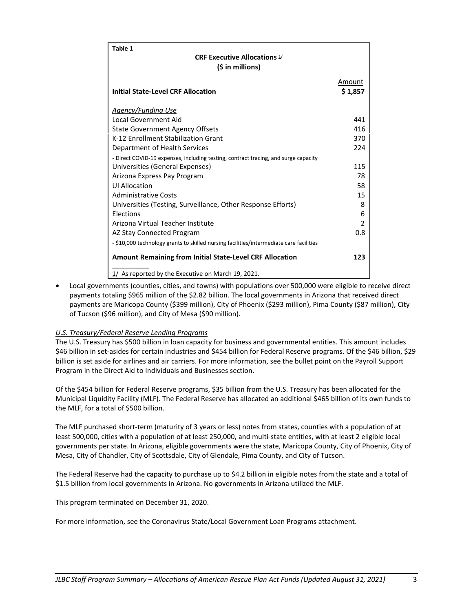| Table 1                                                                                 |                |
|-----------------------------------------------------------------------------------------|----------------|
| <b>CRF Executive Allocations 1/</b>                                                     |                |
| $(5$ in millions)                                                                       |                |
|                                                                                         | Amount         |
| <b>Initial State-Level CRF Allocation</b>                                               | \$1,857        |
|                                                                                         |                |
| <b>Agency/Funding Use</b>                                                               |                |
| Local Government Aid                                                                    | 441            |
| <b>State Government Agency Offsets</b>                                                  | 416            |
| K-12 Enrollment Stabilization Grant                                                     | 370            |
| Department of Health Services                                                           | 224            |
| - Direct COVID-19 expenses, including testing, contract tracing, and surge capacity     |                |
| Universities (General Expenses)                                                         | 115            |
| Arizona Express Pay Program                                                             | 78             |
| <b>ULAllocation</b>                                                                     | 58             |
| <b>Administrative Costs</b>                                                             | 15             |
| Universities (Testing, Surveillance, Other Response Efforts)                            | 8              |
| Elections                                                                               | 6              |
| Arizona Virtual Teacher Institute                                                       | $\overline{2}$ |
| AZ Stay Connected Program                                                               | 0.8            |
| - \$10,000 technology grants to skilled nursing facilities/intermediate care facilities |                |
| <b>Amount Remaining from Initial State-Level CRF Allocation</b>                         | 123            |
| As reported by the Executive on March 19, 2021.<br>1/                                   |                |

• Local governments (counties, cities, and towns) with populations over 500,000 were eligible to receive direct payments totaling \$965 million of the \$2.82 billion. The local governments in Arizona that received direct payments are Maricopa County (\$399 million), City of Phoenix (\$293 million), Pima County (\$87 million), City of Tucson (\$96 million), and City of Mesa (\$90 million).

## *U.S. Treasury/Federal Reserve Lending Programs*

The U.S. Treasury has \$500 billion in loan capacity for business and governmental entities. This amount includes \$46 billion in set-asides for certain industries and \$454 billion for Federal Reserve programs. Of the \$46 billion, \$29 billion is set aside for airlines and air carriers. For more information, see the bullet point on the Payroll Support Program in the Direct Aid to Individuals and Businesses section.

Of the \$454 billion for Federal Reserve programs, \$35 billion from the U.S. Treasury has been allocated for the Municipal Liquidity Facility (MLF). The Federal Reserve has allocated an additional \$465 billion of its own funds to the MLF, for a total of \$500 billion.

The MLF purchased short-term (maturity of 3 years or less) notes from states, counties with a population of at least 500,000, cities with a population of at least 250,000, and multi-state entities, with at least 2 eligible local governments per state. In Arizona, eligible governments were the state, Maricopa County, City of Phoenix, City of Mesa, City of Chandler, City of Scottsdale, City of Glendale, Pima County, and City of Tucson.

The Federal Reserve had the capacity to purchase up to \$4.2 billion in eligible notes from the state and a total of \$1.5 billion from local governments in Arizona. No governments in Arizona utilized the MLF.

This program terminated on December 31, 2020.

For more information, see the Coronavirus State/Local Government Loan Programs attachment.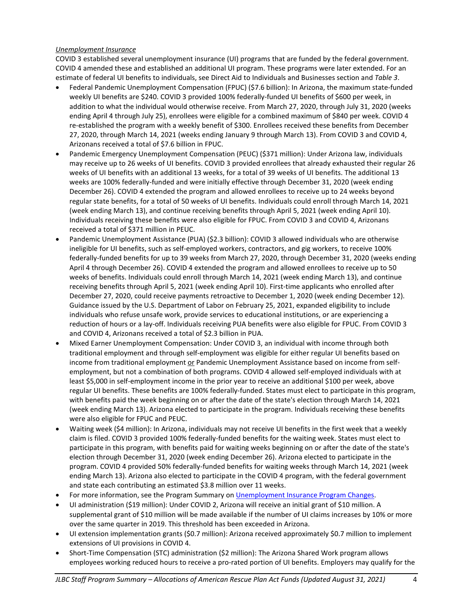#### *Unemployment Insurance*

COVID 3 established several unemployment insurance (UI) programs that are funded by the federal government. COVID 4 amended these and established an additional UI program. These programs were later extended. For an estimate of federal UI benefits to individuals, see Direct Aid to Individuals and Businesses section and *Table 3*.

- Federal Pandemic Unemployment Compensation (FPUC) (\$7.6 billion): In Arizona, the maximum state-funded weekly UI benefits are \$240. COVID 3 provided 100% federally-funded UI benefits of \$600 per week, in addition to what the individual would otherwise receive. From March 27, 2020, through July 31, 2020 (weeks ending April 4 through July 25), enrollees were eligible for a combined maximum of \$840 per week. COVID 4 re-established the program with a weekly benefit of \$300. Enrollees received these benefits from December 27, 2020, through March 14, 2021 (weeks ending January 9 through March 13). From COVID 3 and COVID 4, Arizonans received a total of \$7.6 billion in FPUC.
- Pandemic Emergency Unemployment Compensation (PEUC) (\$371 million): Under Arizona law, individuals may receive up to 26 weeks of UI benefits. COVID 3 provided enrollees that already exhausted their regular 26 weeks of UI benefits with an additional 13 weeks, for a total of 39 weeks of UI benefits. The additional 13 weeks are 100% federally-funded and were initially effective through December 31, 2020 (week ending December 26). COVID 4 extended the program and allowed enrollees to receive up to 24 weeks beyond regular state benefits, for a total of 50 weeks of UI benefits. Individuals could enroll through March 14, 2021 (week ending March 13), and continue receiving benefits through April 5, 2021 (week ending April 10). Individuals receiving these benefits were also eligible for FPUC. From COVID 3 and COVID 4, Arizonans received a total of \$371 million in PEUC.
- Pandemic Unemployment Assistance (PUA) (\$2.3 billion): COVID 3 allowed individuals who are otherwise ineligible for UI benefits, such as self-employed workers, contractors, and gig workers, to receive 100% federally-funded benefits for up to 39 weeks from March 27, 2020, through December 31, 2020 (weeks ending April 4 through December 26). COVID 4 extended the program and allowed enrollees to receive up to 50 weeks of benefits. Individuals could enroll through March 14, 2021 (week ending March 13), and continue receiving benefits through April 5, 2021 (week ending April 10). First-time applicants who enrolled after December 27, 2020, could receive payments retroactive to December 1, 2020 (week ending December 12). Guidance issued by the U.S. Department of Labor on February 25, 2021, expanded eligibility to include individuals who refuse unsafe work, provide services to educational institutions, or are experiencing a reduction of hours or a lay-off. Individuals receiving PUA benefits were also eligible for FPUC. From COVID 3 and COVID 4, Arizonans received a total of \$2.3 billion in PUA.
- Mixed Earner Unemployment Compensation: Under COVID 3, an individual with income through both traditional employment and through self-employment was eligible for either regular UI benefits based on income from traditional employment or Pandemic Unemployment Assistance based on income from selfemployment, but not a combination of both programs. COVID 4 allowed self-employed individuals with at least \$5,000 in self-employment income in the prior year to receive an additional \$100 per week, above regular UI benefits. These benefits are 100% federally-funded. States must elect to participate in this program, with benefits paid the week beginning on or after the date of the state's election through March 14, 2021 (week ending March 13). Arizona elected to participate in the program. Individuals receiving these benefits were also eligible for FPUC and PEUC.
- Waiting week (\$4 million): In Arizona, individuals may not receive UI benefits in the first week that a weekly claim is filed. COVID 3 provided 100% federally-funded benefits for the waiting week. States must elect to participate in this program, with benefits paid for waiting weeks beginning on or after the date of the state's election through December 31, 2020 (week ending December 26). Arizona elected to participate in the program. COVID 4 provided 50% federally-funded benefits for waiting weeks through March 14, 2021 (week ending March 13). Arizona also elected to participate in the COVID 4 program, with the federal government and state each contributing an estimated \$3.8 million over 11 weeks.
- For more information, see the Program Summary o[n Unemployment Insurance Program Changes.](http://www.azleg.gov/jlbc/uiprogramchanges.pdf)
- UI administration (\$19 million): Under COVID 2, Arizona will receive an initial grant of \$10 million. A supplemental grant of \$10 million will be made available if the number of UI claims increases by 10% or more over the same quarter in 2019. This threshold has been exceeded in Arizona.
- UI extension implementation grants (\$0.7 million): Arizona received approximately \$0.7 million to implement extensions of UI provisions in COVID 4.
- Short-Time Compensation (STC) administration (\$2 million): The Arizona Shared Work program allows employees working reduced hours to receive a pro-rated portion of UI benefits. Employers may qualify for the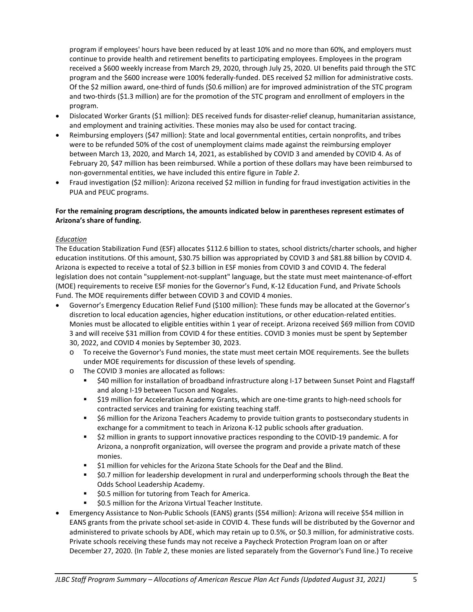program if employees' hours have been reduced by at least 10% and no more than 60%, and employers must continue to provide health and retirement benefits to participating employees. Employees in the program received a \$600 weekly increase from March 29, 2020, through July 25, 2020. UI benefits paid through the STC program and the \$600 increase were 100% federally-funded. DES received \$2 million for administrative costs. Of the \$2 million award, one-third of funds (\$0.6 million) are for improved administration of the STC program and two-thirds (\$1.3 million) are for the promotion of the STC program and enrollment of employers in the program.

- Dislocated Worker Grants (\$1 million): DES received funds for disaster-relief cleanup, humanitarian assistance, and employment and training activities. These monies may also be used for contact tracing.
- Reimbursing employers (\$47 million): State and local governmental entities, certain nonprofits, and tribes were to be refunded 50% of the cost of unemployment claims made against the reimbursing employer between March 13, 2020, and March 14, 2021, as established by COVID 3 and amended by COVID 4. As of February 20, \$47 million has been reimbursed. While a portion of these dollars may have been reimbursed to non-governmental entities, we have included this entire figure in *Table 2*.
- Fraud investigation (\$2 million): Arizona received \$2 million in funding for fraud investigation activities in the PUA and PEUC programs.

### **For the remaining program descriptions, the amounts indicated below in parentheses represent estimates of Arizona's share of funding.**

#### *Education*

The Education Stabilization Fund (ESF) allocates \$112.6 billion to states, school districts/charter schools, and higher education institutions. Of this amount, \$30.75 billion was appropriated by COVID 3 and \$81.88 billion by COVID 4. Arizona is expected to receive a total of \$2.3 billion in ESF monies from COVID 3 and COVID 4. The federal legislation does not contain "supplement-not-supplant" language, but the state must meet maintenance-of-effort (MOE) requirements to receive ESF monies for the Governor's Fund, K-12 Education Fund, and Private Schools Fund. The MOE requirements differ between COVID 3 and COVID 4 monies.

- Governor's Emergency Education Relief Fund (\$100 million): These funds may be allocated at the Governor's discretion to local education agencies, higher education institutions, or other education-related entities. Monies must be allocated to eligible entities within 1 year of receipt. Arizona received \$69 million from COVID 3 and will receive \$31 million from COVID 4 for these entities. COVID 3 monies must be spent by September 30, 2022, and COVID 4 monies by September 30, 2023.
	- o To receive the Governor's Fund monies, the state must meet certain MOE requirements. See the bullets under MOE requirements for discussion of these levels of spending.
	- o The COVID 3 monies are allocated as follows:
		- \$40 million for installation of broadband infrastructure along I-17 between Sunset Point and Flagstaff and along I-19 between Tucson and Nogales.
		- \$19 million for Acceleration Academy Grants, which are one-time grants to high-need schools for contracted services and training for existing teaching staff.
		- \$6 million for the Arizona Teachers Academy to provide tuition grants to postsecondary students in exchange for a commitment to teach in Arizona K-12 public schools after graduation.
		- \$2 million in grants to support innovative practices responding to the COVID-19 pandemic. A for Arizona, a nonprofit organization, will oversee the program and provide a private match of these monies.
		- \$1 million for vehicles for the Arizona State Schools for the Deaf and the Blind.
		- \$0.7 million for leadership development in rural and underperforming schools through the Beat the Odds School Leadership Academy.
		- **50.5 million for tutoring from Teach for America.**
		- **50.5 million for the Arizona Virtual Teacher Institute.**
- Emergency Assistance to Non-Public Schools (EANS) grants (\$54 million): Arizona will receive \$54 million in EANS grants from the private school set-aside in COVID 4. These funds will be distributed by the Governor and administered to private schools by ADE, which may retain up to 0.5%, or \$0.3 million, for administrative costs. Private schools receiving these funds may not receive a Paycheck Protection Program loan on or after December 27, 2020. (In *Table 2*, these monies are listed separately from the Governor's Fund line.) To receive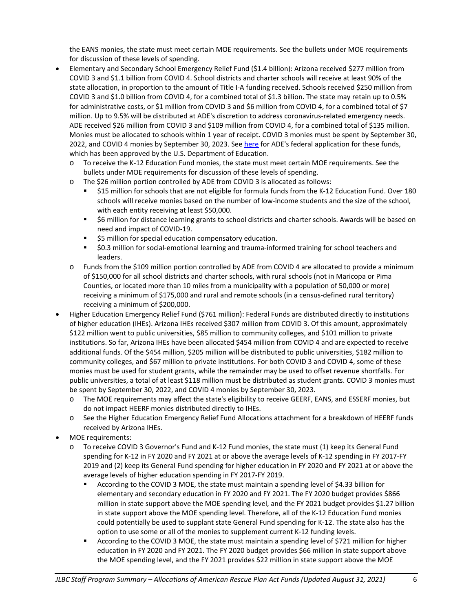the EANS monies, the state must meet certain MOE requirements. See the bullets under MOE requirements for discussion of these levels of spending.

- Elementary and Secondary School Emergency Relief Fund (\$1.4 billion): Arizona received \$277 million from COVID 3 and \$1.1 billion from COVID 4. School districts and charter schools will receive at least 90% of the state allocation, in proportion to the amount of Title I-A funding received. Schools received \$250 million from COVID 3 and \$1.0 billion from COVID 4, for a combined total of \$1.3 billion. The state may retain up to 0.5% for administrative costs, or \$1 million from COVID 3 and \$6 million from COVID 4, for a combined total of \$7 million. Up to 9.5% will be distributed at ADE's discretion to address coronavirus-related emergency needs. ADE received \$26 million from COVID 3 and \$109 million from COVID 4, for a combined total of \$135 million. Monies must be allocated to schools within 1 year of receipt. COVID 3 monies must be spent by September 30, 2022, and COVID 4 monies by September 30, 2023. Se[e here](https://www.azed.gov/sites/default/files/cares/files/2020/05/Arizona-ESSER-Fund-Application-Part-C.pdf) for ADE's federal application for these funds, which has been approved by the U.S. Department of Education.
	- o To receive the K-12 Education Fund monies, the state must meet certain MOE requirements. See the bullets under MOE requirements for discussion of these levels of spending.
	- o The \$26 million portion controlled by ADE from COVID 3 is allocated as follows:
		- \$15 million for schools that are not eligible for formula funds from the K-12 Education Fund. Over 180 schools will receive monies based on the number of low-income students and the size of the school, with each entity receiving at least \$50,000.
		- \$6 million for distance learning grants to school districts and charter schools. Awards will be based on need and impact of COVID-19.
		- **55 million for special education compensatory education.**
		- \$0.3 million for social-emotional learning and trauma-informed training for school teachers and leaders.
	- o Funds from the \$109 million portion controlled by ADE from COVID 4 are allocated to provide a minimum of \$150,000 for all school districts and charter schools, with rural schools (not in Maricopa or Pima Counties, or located more than 10 miles from a municipality with a population of 50,000 or more) receiving a minimum of \$175,000 and rural and remote schools (in a census-defined rural territory) receiving a minimum of \$200,000.
- Higher Education Emergency Relief Fund (\$761 million): Federal Funds are distributed directly to institutions of higher education (IHEs). Arizona IHEs received \$307 million from COVID 3. Of this amount, approximately \$122 million went to public universities, \$85 million to community colleges, and \$101 million to private institutions. So far, Arizona IHEs have been allocated \$454 million from COVID 4 and are expected to receive additional funds. Of the \$454 million, \$205 million will be distributed to public universities, \$182 million to community colleges, and \$67 million to private institutions. For both COVID 3 and COVID 4, some of these monies must be used for student grants, while the remainder may be used to offset revenue shortfalls. For public universities, a total of at least \$118 million must be distributed as student grants. COVID 3 monies must be spent by September 30, 2022, and COVID 4 monies by September 30, 2023.
	- o The MOE requirements may affect the state's eligibility to receive GEERF, EANS, and ESSERF monies, but do not impact HEERF monies distributed directly to IHEs.
	- o See the Higher Education Emergency Relief Fund Allocations attachment for a breakdown of HEERF funds received by Arizona IHEs.
- MOE requirements:
	- o To receive COVID 3 Governor's Fund and K-12 Fund monies, the state must (1) keep its General Fund spending for K-12 in FY 2020 and FY 2021 at or above the average levels of K-12 spending in FY 2017-FY 2019 and (2) keep its General Fund spending for higher education in FY 2020 and FY 2021 at or above the average levels of higher education spending in FY 2017-FY 2019.
		- According to the COVID 3 MOE, the state must maintain a spending level of \$4.33 billion for elementary and secondary education in FY 2020 and FY 2021. The FY 2020 budget provides \$866 million in state support above the MOE spending level, and the FY 2021 budget provides \$1.27 billion in state support above the MOE spending level. Therefore, all of the K-12 Education Fund monies could potentially be used to supplant state General Fund spending for K-12. The state also has the option to use some or all of the monies to supplement current K-12 funding levels.
		- According to the COVID 3 MOE, the state must maintain a spending level of \$721 million for higher education in FY 2020 and FY 2021. The FY 2020 budget provides \$66 million in state support above the MOE spending level, and the FY 2021 provides \$22 million in state support above the MOE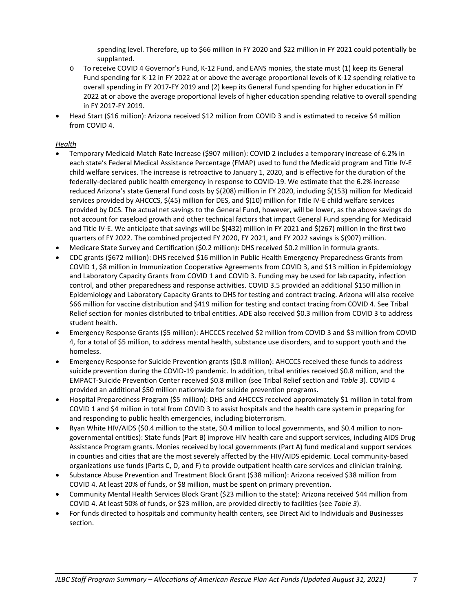spending level. Therefore, up to \$66 million in FY 2020 and \$22 million in FY 2021 could potentially be supplanted.

- o To receive COVID 4 Governor's Fund, K-12 Fund, and EANS monies, the state must (1) keep its General Fund spending for K-12 in FY 2022 at or above the average proportional levels of K-12 spending relative to overall spending in FY 2017-FY 2019 and (2) keep its General Fund spending for higher education in FY 2022 at or above the average proportional levels of higher education spending relative to overall spending in FY 2017-FY 2019.
- Head Start (\$16 million): Arizona received \$12 million from COVID 3 and is estimated to receive \$4 million from COVID 4.

### *Health*

- Temporary Medicaid Match Rate Increase (\$907 million): COVID 2 includes a temporary increase of 6.2% in each state's Federal Medical Assistance Percentage (FMAP) used to fund the Medicaid program and Title IV-E child welfare services. The increase is retroactive to January 1, 2020, and is effective for the duration of the federally-declared public health emergency in response to COVID-19. We estimate that the 6.2% increase reduced Arizona's state General Fund costs by \$(208) million in FY 2020, including \$(153) million for Medicaid services provided by AHCCCS, \$(45) million for DES, and \$(10) million for Title IV-E child welfare services provided by DCS. The actual net savings to the General Fund, however, will be lower, as the above savings do not account for caseload growth and other technical factors that impact General Fund spending for Medicaid and Title IV-E. We anticipate that savings will be \$(432) million in FY 2021 and \$(267) million in the first two quarters of FY 2022. The combined projected FY 2020, FY 2021, and FY 2022 savings is \$(907) million.
- Medicare State Survey and Certification (\$0.2 million): DHS received \$0.2 million in formula grants.
- CDC grants (\$672 million): DHS received \$16 million in Public Health Emergency Preparedness Grants from COVID 1, \$8 million in Immunization Cooperative Agreements from COVID 3, and \$13 million in Epidemiology and Laboratory Capacity Grants from COVID 1 and COVID 3. Funding may be used for lab capacity, infection control, and other preparedness and response activities. COVID 3.5 provided an additional \$150 million in Epidemiology and Laboratory Capacity Grants to DHS for testing and contract tracing. Arizona will also receive \$66 million for vaccine distribution and \$419 million for testing and contact tracing from COVID 4. See Tribal Relief section for monies distributed to tribal entities. ADE also received \$0.3 million from COVID 3 to address student health.
- Emergency Response Grants (\$5 million): AHCCCS received \$2 million from COVID 3 and \$3 million from COVID 4, for a total of \$5 million, to address mental health, substance use disorders, and to support youth and the homeless.
- Emergency Response for Suicide Prevention grants (\$0.8 million): AHCCCS received these funds to address suicide prevention during the COVID-19 pandemic. In addition, tribal entities received \$0.8 million, and the EMPACT-Suicide Prevention Center received \$0.8 million (see Tribal Relief section and *Table 3*). COVID 4 provided an additional \$50 million nationwide for suicide prevention programs.
- Hospital Preparedness Program (\$5 million): DHS and AHCCCS received approximately \$1 million in total from COVID 1 and \$4 million in total from COVID 3 to assist hospitals and the health care system in preparing for and responding to public health emergencies, including bioterrorism.
- Ryan White HIV/AIDS (\$0.4 million to the state, \$0.4 million to local governments, and \$0.4 million to nongovernmental entities): State funds (Part B) improve HIV health care and support services, including AIDS Drug Assistance Program grants. Monies received by local governments (Part A) fund medical and support services in counties and cities that are the most severely affected by the HIV/AIDS epidemic. Local community-based organizations use funds (Parts C, D, and F) to provide outpatient health care services and clinician training.
- Substance Abuse Prevention and Treatment Block Grant (\$38 million): Arizona received \$38 million from COVID 4. At least 20% of funds, or \$8 million, must be spent on primary prevention.
- Community Mental Health Services Block Grant (\$23 million to the state): Arizona received \$44 million from COVID 4. At least 50% of funds, or \$23 million, are provided directly to facilities (see *Table 3*).
- For funds directed to hospitals and community health centers, see Direct Aid to Individuals and Businesses section.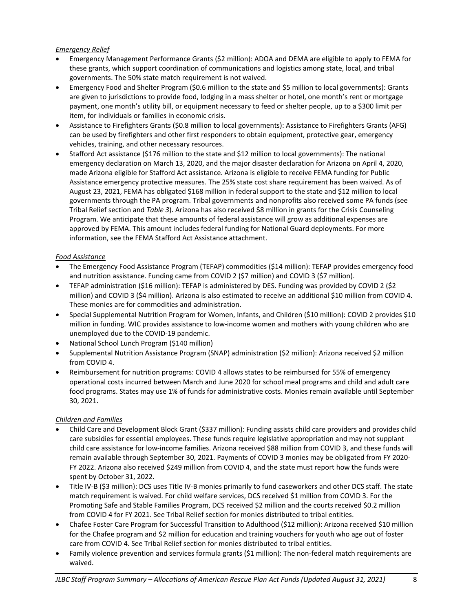### *Emergency Relief*

- Emergency Management Performance Grants (\$2 million): ADOA and DEMA are eligible to apply to FEMA for these grants, which support coordination of communications and logistics among state, local, and tribal governments. The 50% state match requirement is not waived.
- Emergency Food and Shelter Program (\$0.6 million to the state and \$5 million to local governments): Grants are given to jurisdictions to provide food, lodging in a mass shelter or hotel, one month's rent or mortgage payment, one month's utility bill, or equipment necessary to feed or shelter people, up to a \$300 limit per item, for individuals or families in economic crisis.
- Assistance to Firefighters Grants (\$0.8 million to local governments): Assistance to Firefighters Grants (AFG) can be used by firefighters and other first responders to obtain equipment, protective gear, emergency vehicles, training, and other necessary resources.
- Stafford Act assistance (\$176 million to the state and \$12 million to local governments): The national emergency declaration on March 13, 2020, and the major disaster declaration for Arizona on April 4, 2020, made Arizona eligible for Stafford Act assistance. Arizona is eligible to receive FEMA funding for Public Assistance emergency protective measures. The 25% state cost share requirement has been waived. As of August 23, 2021, FEMA has obligated \$168 million in federal support to the state and \$12 million to local governments through the PA program. Tribal governments and nonprofits also received some PA funds (see Tribal Relief section and *Table 3*). Arizona has also received \$8 million in grants for the Crisis Counseling Program. We anticipate that these amounts of federal assistance will grow as additional expenses are approved by FEMA. This amount includes federal funding for National Guard deployments. For more information, see the FEMA Stafford Act Assistance attachment.

#### *Food Assistance*

- The Emergency Food Assistance Program (TEFAP) commodities (\$14 million): TEFAP provides emergency food and nutrition assistance. Funding came from COVID 2 (\$7 million) and COVID 3 (\$7 million).
- TEFAP administration (\$16 million): TEFAP is administered by DES. Funding was provided by COVID 2 (\$2 million) and COVID 3 (\$4 million). Arizona is also estimated to receive an additional \$10 million from COVID 4. These monies are for commodities and administration.
- Special Supplemental Nutrition Program for Women, Infants, and Children (\$10 million): COVID 2 provides \$10 million in funding. WIC provides assistance to low-income women and mothers with young children who are unemployed due to the COVID-19 pandemic.
- National School Lunch Program (\$140 million)
- Supplemental Nutrition Assistance Program (SNAP) administration (\$2 million): Arizona received \$2 million from COVID 4.
- Reimbursement for nutrition programs: COVID 4 allows states to be reimbursed for 55% of emergency operational costs incurred between March and June 2020 for school meal programs and child and adult care food programs. States may use 1% of funds for administrative costs. Monies remain available until September 30, 2021.

## *Children and Families*

- Child Care and Development Block Grant (\$337 million): Funding assists child care providers and provides child care subsidies for essential employees. These funds require legislative appropriation and may not supplant child care assistance for low-income families. Arizona received \$88 million from COVID 3, and these funds will remain available through September 30, 2021. Payments of COVID 3 monies may be obligated from FY 2020- FY 2022. Arizona also received \$249 million from COVID 4, and the state must report how the funds were spent by October 31, 2022.
- Title IV-B (\$3 million): DCS uses Title IV-B monies primarily to fund caseworkers and other DCS staff. The state match requirement is waived. For child welfare services, DCS received \$1 million from COVID 3. For the Promoting Safe and Stable Families Program, DCS received \$2 million and the courts received \$0.2 million from COVID 4 for FY 2021. See Tribal Relief section for monies distributed to tribal entities.
- Chafee Foster Care Program for Successful Transition to Adulthood (\$12 million): Arizona received \$10 million for the Chafee program and \$2 million for education and training vouchers for youth who age out of foster care from COVID 4. See Tribal Relief section for monies distributed to tribal entities.
- Family violence prevention and services formula grants (\$1 million): The non-federal match requirements are waived.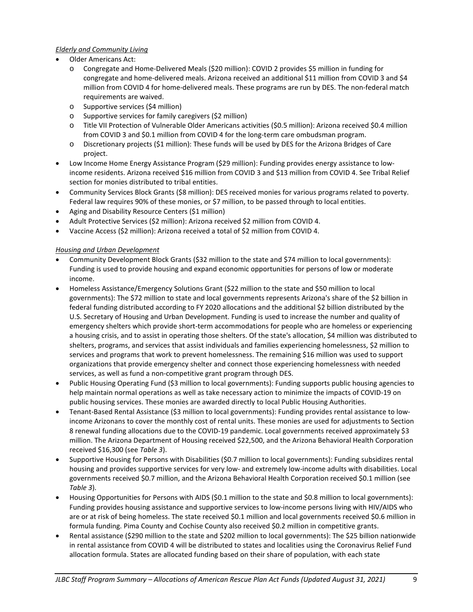### *Elderly and Community Living*

- Older Americans Act:
	- o Congregate and Home-Delivered Meals (\$20 million): COVID 2 provides \$5 million in funding for congregate and home-delivered meals. Arizona received an additional \$11 million from COVID 3 and \$4 million from COVID 4 for home-delivered meals. These programs are run by DES. The non-federal match requirements are waived.
	- o Supportive services (\$4 million)
	- o Supportive services for family caregivers (\$2 million)
	- o Title VII Protection of Vulnerable Older Americans activities (\$0.5 million): Arizona received \$0.4 million from COVID 3 and \$0.1 million from COVID 4 for the long-term care ombudsman program.
	- o Discretionary projects (\$1 million): These funds will be used by DES for the Arizona Bridges of Care project.
- Low Income Home Energy Assistance Program (\$29 million): Funding provides energy assistance to lowincome residents. Arizona received \$16 million from COVID 3 and \$13 million from COVID 4. See Tribal Relief section for monies distributed to tribal entities.
- Community Services Block Grants (\$8 million): DES received monies for various programs related to poverty. Federal law requires 90% of these monies, or \$7 million, to be passed through to local entities.
- Aging and Disability Resource Centers (\$1 million)
- Adult Protective Services (\$2 million): Arizona received \$2 million from COVID 4.
- Vaccine Access (\$2 million): Arizona received a total of \$2 million from COVID 4.

#### *Housing and Urban Development*

- Community Development Block Grants (\$32 million to the state and \$74 million to local governments): Funding is used to provide housing and expand economic opportunities for persons of low or moderate income.
- Homeless Assistance/Emergency Solutions Grant (\$22 million to the state and \$50 million to local governments): The \$72 million to state and local governments represents Arizona's share of the \$2 billion in federal funding distributed according to FY 2020 allocations and the additional \$2 billion distributed by the U.S. Secretary of Housing and Urban Development. Funding is used to increase the number and quality of emergency shelters which provide short-term accommodations for people who are homeless or experiencing a housing crisis, and to assist in operating those shelters. Of the state's allocation, \$4 million was distributed to shelters, programs, and services that assist individuals and families experiencing homelessness, \$2 million to services and programs that work to prevent homelessness. The remaining \$16 million was used to support organizations that provide emergency shelter and connect those experiencing homelessness with needed services, as well as fund a non-competitive grant program through DES.
- Public Housing Operating Fund (\$3 million to local governments): Funding supports public housing agencies to help maintain normal operations as well as take necessary action to minimize the impacts of COVID-19 on public housing services. These monies are awarded directly to local Public Housing Authorities.
- Tenant-Based Rental Assistance (\$3 million to local governments): Funding provides rental assistance to lowincome Arizonans to cover the monthly cost of rental units. These monies are used for adjustments to Section 8 renewal funding allocations due to the COVID-19 pandemic. Local governments received approximately \$3 million. The Arizona Department of Housing received \$22,500, and the Arizona Behavioral Health Corporation received \$16,300 (see *Table 3*).
- Supportive Housing for Persons with Disabilities (\$0.7 million to local governments): Funding subsidizes rental housing and provides supportive services for very low- and extremely low-income adults with disabilities. Local governments received \$0.7 million, and the Arizona Behavioral Health Corporation received \$0.1 million (see *Table 3*).
- Housing Opportunities for Persons with AIDS (\$0.1 million to the state and \$0.8 million to local governments): Funding provides housing assistance and supportive services to low-income persons living with HIV/AIDS who are or at risk of being homeless. The state received \$0.1 million and local governments received \$0.6 million in formula funding. Pima County and Cochise County also received \$0.2 million in competitive grants.
- Rental assistance (\$290 million to the state and \$202 million to local governments): The \$25 billion nationwide in rental assistance from COVID 4 will be distributed to states and localities using the Coronavirus Relief Fund allocation formula. States are allocated funding based on their share of population, with each state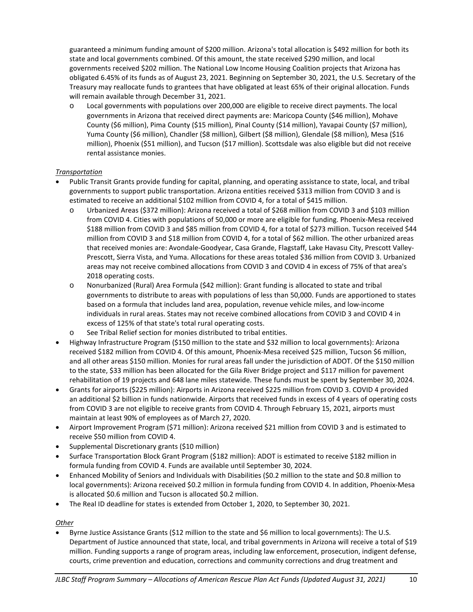guaranteed a minimum funding amount of \$200 million. Arizona's total allocation is \$492 million for both its state and local governments combined. Of this amount, the state received \$290 million, and local governments received \$202 million. The National Low Income Housing Coalition projects that Arizona has obligated 6.45% of its funds as of August 23, 2021. Beginning on September 30, 2021, the U.S. Secretary of the Treasury may reallocate funds to grantees that have obligated at least 65% of their original allocation. Funds will remain available through December 31, 2021.

o Local governments with populations over 200,000 are eligible to receive direct payments. The local governments in Arizona that received direct payments are: Maricopa County (\$46 million), Mohave County (\$6 million), Pima County (\$15 million), Pinal County (\$14 million), Yavapai County (\$7 million), Yuma County (\$6 million), Chandler (\$8 million), Gilbert (\$8 million), Glendale (\$8 million), Mesa (\$16 million), Phoenix (\$51 million), and Tucson (\$17 million). Scottsdale was also eligible but did not receive rental assistance monies.

## *Transportation*

- Public Transit Grants provide funding for capital, planning, and operating assistance to state, local, and tribal governments to support public transportation. Arizona entities received \$313 million from COVID 3 and is estimated to receive an additional \$102 million from COVID 4, for a total of \$415 million.
	- o Urbanized Areas (\$372 million): Arizona received a total of \$268 million from COVID 3 and \$103 million from COVID 4. Cities with populations of 50,000 or more are eligible for funding. Phoenix-Mesa received \$188 million from COVID 3 and \$85 million from COVID 4, for a total of \$273 million. Tucson received \$44 million from COVID 3 and \$18 million from COVID 4, for a total of \$62 million. The other urbanized areas that received monies are: Avondale-Goodyear, Casa Grande, Flagstaff, Lake Havasu City, Prescott Valley-Prescott, Sierra Vista, and Yuma. Allocations for these areas totaled \$36 million from COVID 3. Urbanized areas may not receive combined allocations from COVID 3 and COVID 4 in excess of 75% of that area's 2018 operating costs.
	- o Nonurbanized (Rural) Area Formula (\$42 million): Grant funding is allocated to state and tribal governments to distribute to areas with populations of less than 50,000. Funds are apportioned to states based on a formula that includes land area, population, revenue vehicle miles, and low-income individuals in rural areas. States may not receive combined allocations from COVID 3 and COVID 4 in excess of 125% of that state's total rural operating costs.
	- o See Tribal Relief section for monies distributed to tribal entities.
- Highway Infrastructure Program (\$150 million to the state and \$32 million to local governments): Arizona received \$182 million from COVID 4. Of this amount, Phoenix-Mesa received \$25 million, Tucson \$6 million, and all other areas \$150 million. Monies for rural areas fall under the jurisdiction of ADOT. Of the \$150 million to the state, \$33 million has been allocated for the Gila River Bridge project and \$117 million for pavement rehabilitation of 19 projects and 648 lane miles statewide. These funds must be spent by September 30, 2024.
- Grants for airports (\$225 million): Airports in Arizona received \$225 million from COVID 3. COVID 4 provided an additional \$2 billion in funds nationwide. Airports that received funds in excess of 4 years of operating costs from COVID 3 are not eligible to receive grants from COVID 4. Through February 15, 2021, airports must maintain at least 90% of employees as of March 27, 2020.
- Airport Improvement Program (\$71 million): Arizona received \$21 million from COVID 3 and is estimated to receive \$50 million from COVID 4.
- Supplemental Discretionary grants (\$10 million)
- Surface Transportation Block Grant Program (\$182 million): ADOT is estimated to receive \$182 million in formula funding from COVID 4. Funds are available until September 30, 2024.
- Enhanced Mobility of Seniors and Individuals with Disabilities (\$0.2 million to the state and \$0.8 million to local governments): Arizona received \$0.2 million in formula funding from COVID 4. In addition, Phoenix-Mesa is allocated \$0.6 million and Tucson is allocated \$0.2 million.
- The Real ID deadline for states is extended from October 1, 2020, to September 30, 2021.

#### *Other*

• Byrne Justice Assistance Grants (\$12 million to the state and \$6 million to local governments): The U.S. Department of Justice announced that state, local, and tribal governments in Arizona will receive a total of \$19 million. Funding supports a range of program areas, including law enforcement, prosecution, indigent defense, courts, crime prevention and education, corrections and community corrections and drug treatment and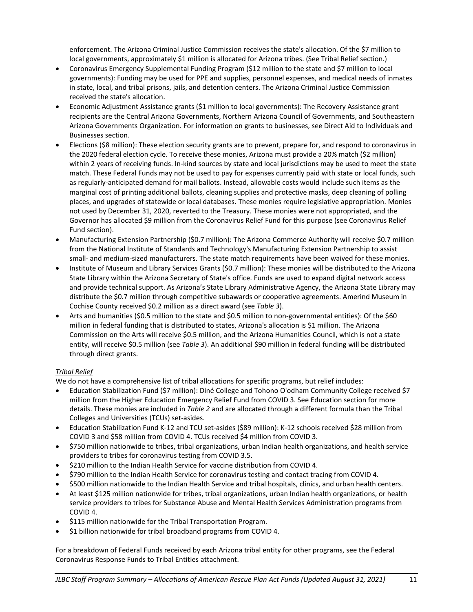enforcement. The Arizona Criminal Justice Commission receives the state's allocation. Of the \$7 million to local governments, approximately \$1 million is allocated for Arizona tribes. (See Tribal Relief section.)

- Coronavirus Emergency Supplemental Funding Program (\$12 million to the state and \$7 million to local governments): Funding may be used for PPE and supplies, personnel expenses, and medical needs of inmates in state, local, and tribal prisons, jails, and detention centers. The Arizona Criminal Justice Commission received the state's allocation.
- Economic Adjustment Assistance grants (\$1 million to local governments): The Recovery Assistance grant recipients are the Central Arizona Governments, Northern Arizona Council of Governments, and Southeastern Arizona Governments Organization. For information on grants to businesses, see Direct Aid to Individuals and Businesses section.
- Elections (\$8 million): These election security grants are to prevent, prepare for, and respond to coronavirus in the 2020 federal election cycle. To receive these monies, Arizona must provide a 20% match (\$2 million) within 2 years of receiving funds. In-kind sources by state and local jurisdictions may be used to meet the state match. These Federal Funds may not be used to pay for expenses currently paid with state or local funds, such as regularly-anticipated demand for mail ballots. Instead, allowable costs would include such items as the marginal cost of printing additional ballots, cleaning supplies and protective masks, deep cleaning of polling places, and upgrades of statewide or local databases. These monies require legislative appropriation. Monies not used by December 31, 2020, reverted to the Treasury. These monies were not appropriated, and the Governor has allocated \$9 million from the Coronavirus Relief Fund for this purpose (see Coronavirus Relief Fund section).
- Manufacturing Extension Partnership (\$0.7 million): The Arizona Commerce Authority will receive \$0.7 million from the National Institute of Standards and Technology's Manufacturing Extension Partnership to assist small- and medium-sized manufacturers. The state match requirements have been waived for these monies.
- Institute of Museum and Library Services Grants (\$0.7 million): These monies will be distributed to the Arizona State Library within the Arizona Secretary of State's office. Funds are used to expand digital network access and provide technical support. As Arizona's State Library Administrative Agency, the Arizona State Library may distribute the \$0.7 million through competitive subawards or cooperative agreements. Amerind Museum in Cochise County received \$0.2 million as a direct award (see *Table 3*).
- Arts and humanities (\$0.5 million to the state and \$0.5 million to non-governmental entities): Of the \$60 million in federal funding that is distributed to states, Arizona's allocation is \$1 million. The Arizona Commission on the Arts will receive \$0.5 million, and the Arizona Humanities Council, which is not a state entity, will receive \$0.5 million (see *Table 3*). An additional \$90 million in federal funding will be distributed through direct grants.

## *Tribal Relief*

We do not have a comprehensive list of tribal allocations for specific programs, but relief includes:

- Education Stabilization Fund (\$7 million): Diné College and Tohono O'odham Community College received \$7 million from the Higher Education Emergency Relief Fund from COVID 3. See Education section for more details. These monies are included in *Table 2* and are allocated through a different formula than the Tribal Colleges and Universities (TCUs) set-asides.
- Education Stabilization Fund K-12 and TCU set-asides (\$89 million): K-12 schools received \$28 million from COVID 3 and \$58 million from COVID 4. TCUs received \$4 million from COVID 3.
- \$750 million nationwide to tribes, tribal organizations, urban Indian health organizations, and health service providers to tribes for coronavirus testing from COVID 3.5.
- \$210 million to the Indian Health Service for vaccine distribution from COVID 4.
- \$790 million to the Indian Health Service for coronavirus testing and contact tracing from COVID 4.
- \$500 million nationwide to the Indian Health Service and tribal hospitals, clinics, and urban health centers.
- At least \$125 million nationwide for tribes, tribal organizations, urban Indian health organizations, or health service providers to tribes for Substance Abuse and Mental Health Services Administration programs from COVID 4.
- \$115 million nationwide for the Tribal Transportation Program.
- \$1 billion nationwide for tribal broadband programs from COVID 4.

For a breakdown of Federal Funds received by each Arizona tribal entity for other programs, see the Federal Coronavirus Response Funds to Tribal Entities attachment.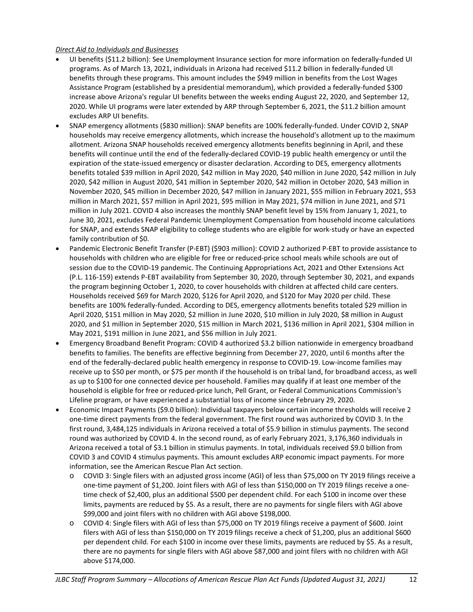#### *Direct Aid to Individuals and Businesses*

- UI benefits (\$11.2 billion): See Unemployment Insurance section for more information on federally-funded UI programs. As of March 13, 2021, individuals in Arizona had received \$11.2 billion in federally-funded UI benefits through these programs. This amount includes the \$949 million in benefits from the Lost Wages Assistance Program (established by a presidential memorandum), which provided a federally-funded \$300 increase above Arizona's regular UI benefits between the weeks ending August 22, 2020, and September 12, 2020. While UI programs were later extended by ARP through September 6, 2021, the \$11.2 billion amount excludes ARP UI benefits.
- SNAP emergency allotments (\$830 million): SNAP benefits are 100% federally-funded. Under COVID 2, SNAP households may receive emergency allotments, which increase the household's allotment up to the maximum allotment. Arizona SNAP households received emergency allotments benefits beginning in April, and these benefits will continue until the end of the federally-declared COVID-19 public health emergency or until the expiration of the state-issued emergency or disaster declaration. According to DES, emergency allotments benefits totaled \$39 million in April 2020, \$42 million in May 2020, \$40 million in June 2020, \$42 million in July 2020, \$42 million in August 2020, \$41 million in September 2020, \$42 million in October 2020, \$43 million in November 2020, \$45 million in December 2020, \$47 million in January 2021, \$55 million in February 2021, \$53 million in March 2021, \$57 million in April 2021, \$95 million in May 2021, \$74 million in June 2021, and \$71 million in July 2021. COVID 4 also increases the monthly SNAP benefit level by 15% from January 1, 2021, to June 30, 2021, excludes Federal Pandemic Unemployment Compensation from household income calculations for SNAP, and extends SNAP eligibility to college students who are eligible for work-study or have an expected family contribution of \$0.
- Pandemic Electronic Benefit Transfer (P-EBT) (\$903 million): COVID 2 authorized P-EBT to provide assistance to households with children who are eligible for free or reduced-price school meals while schools are out of session due to the COVID-19 pandemic. The Continuing Appropriations Act, 2021 and Other Extensions Act (P.L. 116-159) extends P-EBT availability from September 30, 2020, through September 30, 2021, and expands the program beginning October 1, 2020, to cover households with children at affected child care centers. Households received \$69 for March 2020, \$126 for April 2020, and \$120 for May 2020 per child. These benefits are 100% federally-funded. According to DES, emergency allotments benefits totaled \$29 million in April 2020, \$151 million in May 2020, \$2 million in June 2020, \$10 million in July 2020, \$8 million in August 2020, and \$1 million in September 2020, \$15 million in March 2021, \$136 million in April 2021, \$304 million in May 2021, \$191 million in June 2021, and \$56 million in July 2021.
- Emergency Broadband Benefit Program: COVID 4 authorized \$3.2 billion nationwide in emergency broadband benefits to families. The benefits are effective beginning from December 27, 2020, until 6 months after the end of the federally-declared public health emergency in response to COVID-19. Low-income families may receive up to \$50 per month, or \$75 per month if the household is on tribal land, for broadband access, as well as up to \$100 for one connected device per household. Families may qualify if at least one member of the household is eligible for free or reduced-price lunch, Pell Grant, or Federal Communications Commission's Lifeline program, or have experienced a substantial loss of income since February 29, 2020.
- Economic Impact Payments (\$9.0 billion): Individual taxpayers below certain income thresholds will receive 2 one-time direct payments from the federal government. The first round was authorized by COVID 3. In the first round, 3,484,125 individuals in Arizona received a total of \$5.9 billion in stimulus payments. The second round was authorized by COVID 4. In the second round, as of early February 2021, 3,176,360 individuals in Arizona received a total of \$3.1 billion in stimulus payments. In total, individuals received \$9.0 billion from COVID 3 and COVID 4 stimulus payments. This amount excludes ARP economic impact payments. For more information, see the American Rescue Plan Act section.
	- o COVID 3: Single filers with an adjusted gross income (AGI) of less than \$75,000 on TY 2019 filings receive a one-time payment of \$1,200. Joint filers with AGI of less than \$150,000 on TY 2019 filings receive a onetime check of \$2,400, plus an additional \$500 per dependent child. For each \$100 in income over these limits, payments are reduced by \$5. As a result, there are no payments for single filers with AGI above \$99,000 and joint filers with no children with AGI above \$198,000.
	- o COVID 4: Single filers with AGI of less than \$75,000 on TY 2019 filings receive a payment of \$600. Joint filers with AGI of less than \$150,000 on TY 2019 filings receive a check of \$1,200, plus an additional \$600 per dependent child. For each \$100 in income over these limits, payments are reduced by \$5. As a result, there are no payments for single filers with AGI above \$87,000 and joint filers with no children with AGI above \$174,000.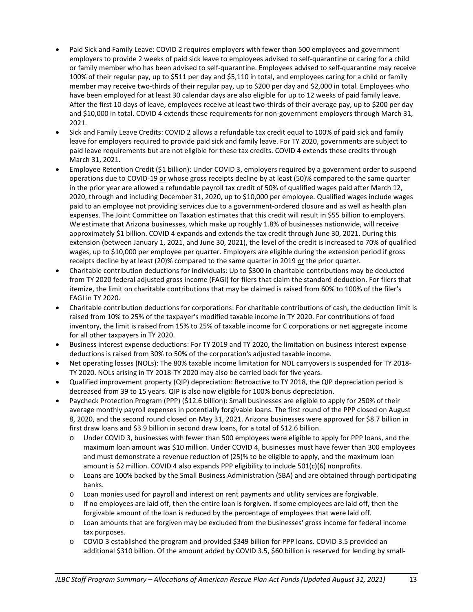- Paid Sick and Family Leave: COVID 2 requires employers with fewer than 500 employees and government employers to provide 2 weeks of paid sick leave to employees advised to self-quarantine or caring for a child or family member who has been advised to self-quarantine. Employees advised to self-quarantine may receive 100% of their regular pay, up to \$511 per day and \$5,110 in total, and employees caring for a child or family member may receive two-thirds of their regular pay, up to \$200 per day and \$2,000 in total. Employees who have been employed for at least 30 calendar days are also eligible for up to 12 weeks of paid family leave. After the first 10 days of leave, employees receive at least two-thirds of their average pay, up to \$200 per day and \$10,000 in total. COVID 4 extends these requirements for non-government employers through March 31, 2021.
- Sick and Family Leave Credits: COVID 2 allows a refundable tax credit equal to 100% of paid sick and family leave for employers required to provide paid sick and family leave. For TY 2020, governments are subject to paid leave requirements but are not eligible for these tax credits. COVID 4 extends these credits through March 31, 2021.
- Employee Retention Credit (\$1 billion): Under COVID 3, employers required by a government order to suspend operations due to COVID-19 or whose gross receipts decline by at least (50)% compared to the same quarter in the prior year are allowed a refundable payroll tax credit of 50% of qualified wages paid after March 12, 2020, through and including December 31, 2020, up to \$10,000 per employee. Qualified wages include wages paid to an employee not providing services due to a government-ordered closure and as well as health plan expenses. The Joint Committee on Taxation estimates that this credit will result in \$55 billion to employers. We estimate that Arizona businesses, which make up roughly 1.8% of businesses nationwide, will receive approximately \$1 billion. COVID 4 expands and extends the tax credit through June 30, 2021. During this extension (between January 1, 2021, and June 30, 2021), the level of the credit is increased to 70% of qualified wages, up to \$10,000 per employee per quarter. Employers are eligible during the extension period if gross receipts decline by at least (20)% compared to the same quarter in 2019 or the prior quarter.
- Charitable contribution deductions for individuals: Up to \$300 in charitable contributions may be deducted from TY 2020 federal adjusted gross income (FAGI) for filers that claim the standard deduction. For filers that itemize, the limit on charitable contributions that may be claimed is raised from 60% to 100% of the filer's FAGI in TY 2020.
- Charitable contribution deductions for corporations: For charitable contributions of cash, the deduction limit is raised from 10% to 25% of the taxpayer's modified taxable income in TY 2020. For contributions of food inventory, the limit is raised from 15% to 25% of taxable income for C corporations or net aggregate income for all other taxpayers in TY 2020.
- Business interest expense deductions: For TY 2019 and TY 2020, the limitation on business interest expense deductions is raised from 30% to 50% of the corporation's adjusted taxable income.
- Net operating losses (NOLs): The 80% taxable income limitation for NOL carryovers is suspended for TY 2018- TY 2020. NOLs arising in TY 2018-TY 2020 may also be carried back for five years.
- Qualified improvement property (QIP) depreciation: Retroactive to TY 2018, the QIP depreciation period is decreased from 39 to 15 years. QIP is also now eligible for 100% bonus depreciation.
- Paycheck Protection Program (PPP) (\$12.6 billion): Small businesses are eligible to apply for 250% of their average monthly payroll expenses in potentially forgivable loans. The first round of the PPP closed on August 8, 2020, and the second round closed on May 31, 2021. Arizona businesses were approved for \$8.7 billion in first draw loans and \$3.9 billion in second draw loans, for a total of \$12.6 billion.
	- o Under COVID 3, businesses with fewer than 500 employees were eligible to apply for PPP loans, and the maximum loan amount was \$10 million. Under COVID 4, businesses must have fewer than 300 employees and must demonstrate a revenue reduction of (25)% to be eligible to apply, and the maximum loan amount is \$2 million. COVID 4 also expands PPP eligibility to include 501(c)(6) nonprofits.
	- o Loans are 100% backed by the Small Business Administration (SBA) and are obtained through participating banks.
	- o Loan monies used for payroll and interest on rent payments and utility services are forgivable.
	- $\circ$  If no employees are laid off, then the entire loan is forgiven. If some employees are laid off, then the forgivable amount of the loan is reduced by the percentage of employees that were laid off.
	- o Loan amounts that are forgiven may be excluded from the businesses' gross income for federal income tax purposes.
	- o COVID 3 established the program and provided \$349 billion for PPP loans. COVID 3.5 provided an additional \$310 billion. Of the amount added by COVID 3.5, \$60 billion is reserved for lending by small-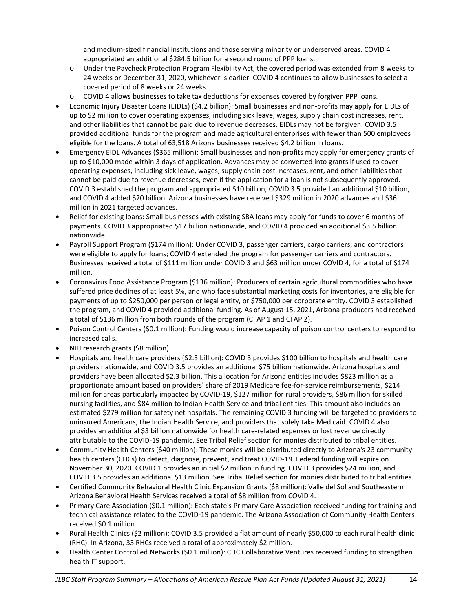and medium-sized financial institutions and those serving minority or underserved areas. COVID 4 appropriated an additional \$284.5 billion for a second round of PPP loans.

- o Under the Paycheck Protection Program Flexibility Act, the covered period was extended from 8 weeks to 24 weeks or December 31, 2020, whichever is earlier. COVID 4 continues to allow businesses to select a covered period of 8 weeks or 24 weeks.
- o COVID 4 allows businesses to take tax deductions for expenses covered by forgiven PPP loans.
- Economic Injury Disaster Loans (EIDLs) (\$4.2 billion): Small businesses and non-profits may apply for EIDLs of up to \$2 million to cover operating expenses, including sick leave, wages, supply chain cost increases, rent, and other liabilities that cannot be paid due to revenue decreases. EIDLs may not be forgiven. COVID 3.5 provided additional funds for the program and made agricultural enterprises with fewer than 500 employees eligible for the loans. A total of 63,518 Arizona businesses received \$4.2 billion in loans.
- Emergency EIDL Advances (\$365 million): Small businesses and non-profits may apply for emergency grants of up to \$10,000 made within 3 days of application. Advances may be converted into grants if used to cover operating expenses, including sick leave, wages, supply chain cost increases, rent, and other liabilities that cannot be paid due to revenue decreases, even if the application for a loan is not subsequently approved. COVID 3 established the program and appropriated \$10 billion, COVID 3.5 provided an additional \$10 billion, and COVID 4 added \$20 billion. Arizona businesses have received \$329 million in 2020 advances and \$36 million in 2021 targeted advances.
- Relief for existing loans: Small businesses with existing SBA loans may apply for funds to cover 6 months of payments. COVID 3 appropriated \$17 billion nationwide, and COVID 4 provided an additional \$3.5 billion nationwide.
- Payroll Support Program (\$174 million): Under COVID 3, passenger carriers, cargo carriers, and contractors were eligible to apply for loans; COVID 4 extended the program for passenger carriers and contractors. Businesses received a total of \$111 million under COVID 3 and \$63 million under COVID 4, for a total of \$174 million.
- Coronavirus Food Assistance Program (\$136 million): Producers of certain agricultural commodities who have suffered price declines of at least 5%, and who face substantial marketing costs for inventories, are eligible for payments of up to \$250,000 per person or legal entity, or \$750,000 per corporate entity. COVID 3 established the program, and COVID 4 provided additional funding. As of August 15, 2021, Arizona producers had received a total of \$136 million from both rounds of the program (CFAP 1 and CFAP 2).
- Poison Control Centers (\$0.1 million): Funding would increase capacity of poison control centers to respond to increased calls.
- NIH research grants (\$8 million)
- Hospitals and health care providers (\$2.3 billion): COVID 3 provides \$100 billion to hospitals and health care providers nationwide, and COVID 3.5 provides an additional \$75 billion nationwide. Arizona hospitals and providers have been allocated \$2.3 billion. This allocation for Arizona entities includes \$823 million as a proportionate amount based on providers' share of 2019 Medicare fee-for-service reimbursements, \$214 million for areas particularly impacted by COVID-19, \$127 million for rural providers, \$86 million for skilled nursing facilities, and \$84 million to Indian Health Service and tribal entities. This amount also includes an estimated \$279 million for safety net hospitals. The remaining COVID 3 funding will be targeted to providers to uninsured Americans, the Indian Health Service, and providers that solely take Medicaid. COVID 4 also provides an additional \$3 billion nationwide for health care-related expenses or lost revenue directly attributable to the COVID-19 pandemic. See Tribal Relief section for monies distributed to tribal entities.
- Community Health Centers (\$40 million): These monies will be distributed directly to Arizona's 23 community health centers (CHCs) to detect, diagnose, prevent, and treat COVID-19. Federal funding will expire on November 30, 2020. COVID 1 provides an initial \$2 million in funding. COVID 3 provides \$24 million, and COVID 3.5 provides an additional \$13 million. See Tribal Relief section for monies distributed to tribal entities.
- Certified Community Behavioral Health Clinic Expansion Grants (\$8 million): Valle del Sol and Southeastern Arizona Behavioral Health Services received a total of \$8 million from COVID 4.
- Primary Care Association (\$0.1 million): Each state's Primary Care Association received funding for training and technical assistance related to the COVID-19 pandemic. The Arizona Association of Community Health Centers received \$0.1 million.
- Rural Health Clinics (\$2 million): COVID 3.5 provided a flat amount of nearly \$50,000 to each rural health clinic (RHC). In Arizona, 33 RHCs received a total of approximately \$2 million.
- Health Center Controlled Networks (\$0.1 million): CHC Collaborative Ventures received funding to strengthen health IT support.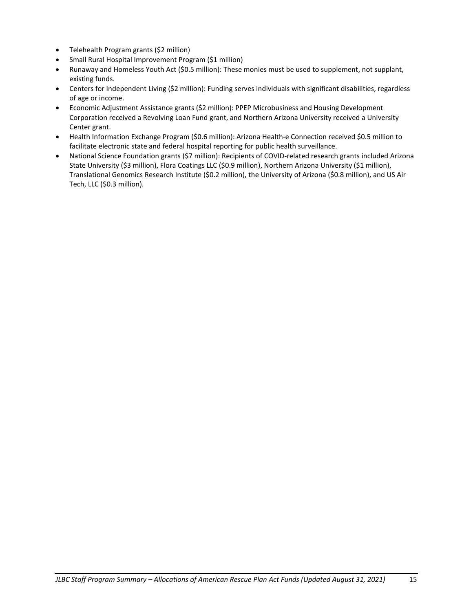- Telehealth Program grants (\$2 million)
- Small Rural Hospital Improvement Program (\$1 million)
- Runaway and Homeless Youth Act (\$0.5 million): These monies must be used to supplement, not supplant, existing funds.
- Centers for Independent Living (\$2 million): Funding serves individuals with significant disabilities, regardless of age or income.
- Economic Adjustment Assistance grants (\$2 million): PPEP Microbusiness and Housing Development Corporation received a Revolving Loan Fund grant, and Northern Arizona University received a University Center grant.
- Health Information Exchange Program (\$0.6 million): Arizona Health-e Connection received \$0.5 million to facilitate electronic state and federal hospital reporting for public health surveillance.
- National Science Foundation grants (\$7 million): Recipients of COVID-related research grants included Arizona State University (\$3 million), Flora Coatings LLC (\$0.9 million), Northern Arizona University (\$1 million), Translational Genomics Research Institute (\$0.2 million), the University of Arizona (\$0.8 million), and US Air Tech, LLC (\$0.3 million).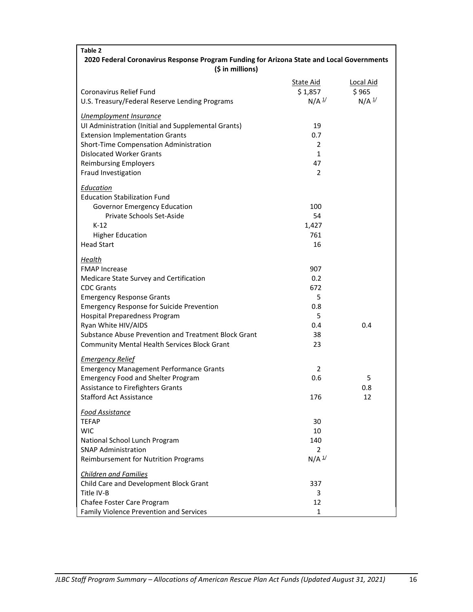| Table 2                                                                                                       |                     |                  |
|---------------------------------------------------------------------------------------------------------------|---------------------|------------------|
| 2020 Federal Coronavirus Response Program Funding for Arizona State and Local Governments<br>(\$ in millions) |                     |                  |
|                                                                                                               | State Aid           | <b>Local Aid</b> |
| Coronavirus Relief Fund                                                                                       | \$1,857             | \$965            |
| U.S. Treasury/Federal Reserve Lending Programs                                                                | $N/A$ $\frac{1}{2}$ | $N/A$ $1/$       |
| <b>Unemployment Insurance</b>                                                                                 |                     |                  |
| UI Administration (Initial and Supplemental Grants)                                                           | 19                  |                  |
| <b>Extension Implementation Grants</b>                                                                        | 0.7                 |                  |
| Short-Time Compensation Administration                                                                        | 2                   |                  |
| <b>Dislocated Worker Grants</b>                                                                               | $\mathbf{1}$        |                  |
| <b>Reimbursing Employers</b>                                                                                  | 47                  |                  |
| Fraud Investigation                                                                                           | 2                   |                  |
|                                                                                                               |                     |                  |
| Education<br><b>Education Stabilization Fund</b>                                                              |                     |                  |
| <b>Governor Emergency Education</b>                                                                           | 100                 |                  |
| Private Schools Set-Aside                                                                                     | 54                  |                  |
| $K-12$                                                                                                        | 1,427               |                  |
| <b>Higher Education</b>                                                                                       | 761                 |                  |
| <b>Head Start</b>                                                                                             | 16                  |                  |
|                                                                                                               |                     |                  |
| Health                                                                                                        |                     |                  |
| <b>FMAP Increase</b>                                                                                          | 907                 |                  |
| Medicare State Survey and Certification                                                                       | 0.2                 |                  |
| <b>CDC Grants</b>                                                                                             | 672                 |                  |
| <b>Emergency Response Grants</b>                                                                              | 5                   |                  |
| <b>Emergency Response for Suicide Prevention</b>                                                              | 0.8                 |                  |
| Hospital Preparedness Program                                                                                 | 5                   |                  |
| Ryan White HIV/AIDS                                                                                           | 0.4                 | 0.4              |
| Substance Abuse Prevention and Treatment Block Grant                                                          | 38                  |                  |
| Community Mental Health Services Block Grant                                                                  | 23                  |                  |
| <b>Emergency Relief</b>                                                                                       |                     |                  |
| <b>Emergency Management Performance Grants</b>                                                                | 2                   |                  |
| <b>Emergency Food and Shelter Program</b>                                                                     | 0.6                 | 5                |
| Assistance to Firefighters Grants                                                                             |                     | 0.8              |
| <b>Stafford Act Assistance</b>                                                                                | 176                 | 12               |
| <b>Food Assistance</b>                                                                                        |                     |                  |
| <b>TEFAP</b>                                                                                                  | 30                  |                  |
| <b>WIC</b>                                                                                                    | 10                  |                  |
| National School Lunch Program                                                                                 | 140                 |                  |
| <b>SNAP Administration</b>                                                                                    | 2                   |                  |
| Reimbursement for Nutrition Programs                                                                          | $N/A$ <sup>1/</sup> |                  |
| <b>Children and Families</b>                                                                                  |                     |                  |
| Child Care and Development Block Grant                                                                        | 337                 |                  |
| Title IV-B                                                                                                    | 3                   |                  |
| Chafee Foster Care Program                                                                                    | 12                  |                  |
| Family Violence Prevention and Services                                                                       | 1                   |                  |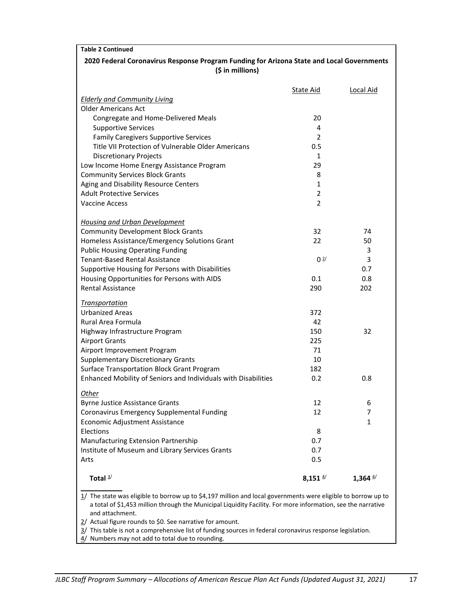| <b>Table 2 Continued</b>                                                                                                                                                                                                                                                                                                                                                                                                                                                       |                     |                  |
|--------------------------------------------------------------------------------------------------------------------------------------------------------------------------------------------------------------------------------------------------------------------------------------------------------------------------------------------------------------------------------------------------------------------------------------------------------------------------------|---------------------|------------------|
| 2020 Federal Coronavirus Response Program Funding for Arizona State and Local Governments<br>(\$ in millions)                                                                                                                                                                                                                                                                                                                                                                  |                     |                  |
|                                                                                                                                                                                                                                                                                                                                                                                                                                                                                |                     |                  |
| <b>Elderly and Community Living</b>                                                                                                                                                                                                                                                                                                                                                                                                                                            | <b>State Aid</b>    | <b>Local Aid</b> |
| <b>Older Americans Act</b>                                                                                                                                                                                                                                                                                                                                                                                                                                                     |                     |                  |
| Congregate and Home-Delivered Meals                                                                                                                                                                                                                                                                                                                                                                                                                                            | 20                  |                  |
| <b>Supportive Services</b>                                                                                                                                                                                                                                                                                                                                                                                                                                                     | 4                   |                  |
| <b>Family Caregivers Supportive Services</b>                                                                                                                                                                                                                                                                                                                                                                                                                                   | 2                   |                  |
| Title VII Protection of Vulnerable Older Americans                                                                                                                                                                                                                                                                                                                                                                                                                             | 0.5                 |                  |
| <b>Discretionary Projects</b>                                                                                                                                                                                                                                                                                                                                                                                                                                                  | 1                   |                  |
| Low Income Home Energy Assistance Program                                                                                                                                                                                                                                                                                                                                                                                                                                      | 29                  |                  |
| <b>Community Services Block Grants</b>                                                                                                                                                                                                                                                                                                                                                                                                                                         | 8                   |                  |
| Aging and Disability Resource Centers                                                                                                                                                                                                                                                                                                                                                                                                                                          | $\mathbf{1}$        |                  |
| <b>Adult Protective Services</b>                                                                                                                                                                                                                                                                                                                                                                                                                                               | $\overline{2}$      |                  |
| <b>Vaccine Access</b>                                                                                                                                                                                                                                                                                                                                                                                                                                                          | $\overline{2}$      |                  |
|                                                                                                                                                                                                                                                                                                                                                                                                                                                                                |                     |                  |
| <b>Housing and Urban Development</b>                                                                                                                                                                                                                                                                                                                                                                                                                                           |                     |                  |
| <b>Community Development Block Grants</b>                                                                                                                                                                                                                                                                                                                                                                                                                                      | 32                  | 74               |
| Homeless Assistance/Emergency Solutions Grant                                                                                                                                                                                                                                                                                                                                                                                                                                  | 22                  | 50               |
| <b>Public Housing Operating Funding</b>                                                                                                                                                                                                                                                                                                                                                                                                                                        |                     | 3                |
| <b>Tenant-Based Rental Assistance</b>                                                                                                                                                                                                                                                                                                                                                                                                                                          | 0 <sup>2</sup>      | 3                |
| Supportive Housing for Persons with Disabilities                                                                                                                                                                                                                                                                                                                                                                                                                               |                     | 0.7              |
| Housing Opportunities for Persons with AIDS                                                                                                                                                                                                                                                                                                                                                                                                                                    | 0.1                 | 0.8              |
| <b>Rental Assistance</b>                                                                                                                                                                                                                                                                                                                                                                                                                                                       | 290                 | 202              |
| <b>Transportation</b>                                                                                                                                                                                                                                                                                                                                                                                                                                                          |                     |                  |
| <b>Urbanized Areas</b>                                                                                                                                                                                                                                                                                                                                                                                                                                                         | 372                 |                  |
| Rural Area Formula                                                                                                                                                                                                                                                                                                                                                                                                                                                             | 42                  |                  |
| Highway Infrastructure Program                                                                                                                                                                                                                                                                                                                                                                                                                                                 | 150                 | 32               |
| <b>Airport Grants</b>                                                                                                                                                                                                                                                                                                                                                                                                                                                          | 225                 |                  |
| Airport Improvement Program                                                                                                                                                                                                                                                                                                                                                                                                                                                    | 71                  |                  |
| <b>Supplementary Discretionary Grants</b>                                                                                                                                                                                                                                                                                                                                                                                                                                      | 10                  |                  |
| Surface Transportation Block Grant Program                                                                                                                                                                                                                                                                                                                                                                                                                                     | 182                 |                  |
| Enhanced Mobility of Seniors and Individuals with Disabilities                                                                                                                                                                                                                                                                                                                                                                                                                 | 0.2                 | 0.8              |
|                                                                                                                                                                                                                                                                                                                                                                                                                                                                                |                     |                  |
| <u>Other</u><br><b>Byrne Justice Assistance Grants</b>                                                                                                                                                                                                                                                                                                                                                                                                                         | 12                  | 6                |
| Coronavirus Emergency Supplemental Funding                                                                                                                                                                                                                                                                                                                                                                                                                                     | 12                  | 7                |
| Economic Adjustment Assistance                                                                                                                                                                                                                                                                                                                                                                                                                                                 |                     | $\mathbf{1}$     |
| Elections                                                                                                                                                                                                                                                                                                                                                                                                                                                                      | 8                   |                  |
| Manufacturing Extension Partnership                                                                                                                                                                                                                                                                                                                                                                                                                                            | 0.7                 |                  |
| Institute of Museum and Library Services Grants                                                                                                                                                                                                                                                                                                                                                                                                                                | 0.7                 |                  |
| Arts                                                                                                                                                                                                                                                                                                                                                                                                                                                                           | 0.5                 |                  |
|                                                                                                                                                                                                                                                                                                                                                                                                                                                                                |                     |                  |
| Total $\frac{3}{ }$                                                                                                                                                                                                                                                                                                                                                                                                                                                            | 8,151 $\frac{4}{3}$ | 1,364 $4/$       |
| 1/ The state was eligible to borrow up to \$4,197 million and local governments were eligible to borrow up to<br>a total of \$1,453 million through the Municipal Liquidity Facility. For more information, see the narrative<br>and attachment.<br>2/ Actual figure rounds to \$0. See narrative for amount.<br>3/ This table is not a comprehensive list of funding sources in federal coronavirus response legislation.<br>4/ Numbers may not add to total due to rounding. |                     |                  |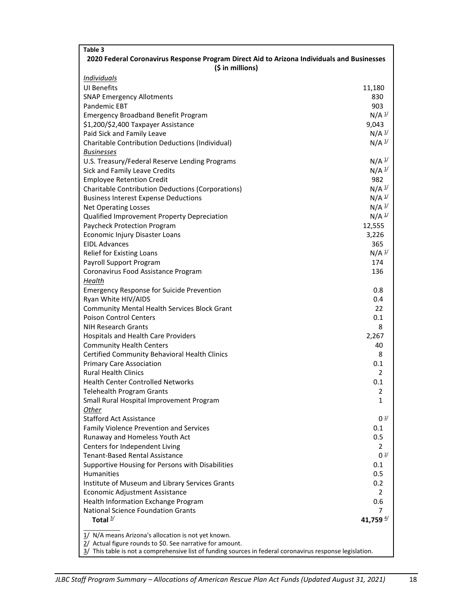| Table 3                                                                                                   |                                  |
|-----------------------------------------------------------------------------------------------------------|----------------------------------|
| 2020 Federal Coronavirus Response Program Direct Aid to Arizona Individuals and Businesses                |                                  |
| (\$ in millions)                                                                                          |                                  |
| <b>Individuals</b>                                                                                        |                                  |
| <b>UI Benefits</b>                                                                                        | 11,180                           |
| <b>SNAP Emergency Allotments</b>                                                                          | 830                              |
| Pandemic EBT                                                                                              | 903                              |
| <b>Emergency Broadband Benefit Program</b>                                                                | $N/A$ <sup>1/</sup>              |
| \$1,200/\$2,400 Taxpayer Assistance                                                                       | 9,043                            |
| Paid Sick and Family Leave                                                                                | $N/A$ $\frac{1}{2}$              |
| Charitable Contribution Deductions (Individual)                                                           | $N/A$ $\frac{1}{2}$              |
| <b>Businesses</b>                                                                                         |                                  |
| U.S. Treasury/Federal Reserve Lending Programs                                                            | $N/A$ $\frac{1}{2}$              |
| Sick and Family Leave Credits                                                                             | $N/A$ $\frac{1}{2}$              |
| <b>Employee Retention Credit</b>                                                                          | 982                              |
| <b>Charitable Contribution Deductions (Corporations)</b>                                                  | $N/A$ $\frac{1}{2}$              |
| <b>Business Interest Expense Deductions</b>                                                               | $N/A$ $\frac{1}{3}$              |
| <b>Net Operating Losses</b>                                                                               | $N/A$ $\frac{1}{3}$              |
| Qualified Improvement Property Depreciation                                                               | $N/A$ <sup>1/</sup>              |
| Paycheck Protection Program                                                                               | 12,555                           |
| Economic Injury Disaster Loans                                                                            | 3,226                            |
| <b>EIDL Advances</b>                                                                                      | 365                              |
| Relief for Existing Loans                                                                                 | $N/A$ <sup><math>1/</math></sup> |
| Payroll Support Program                                                                                   | 174                              |
| Coronavirus Food Assistance Program                                                                       | 136                              |
| Health                                                                                                    |                                  |
| <b>Emergency Response for Suicide Prevention</b>                                                          | 0.8                              |
| Ryan White HIV/AIDS                                                                                       | 0.4                              |
| <b>Community Mental Health Services Block Grant</b>                                                       | 22                               |
| <b>Poison Control Centers</b>                                                                             | 0.1                              |
| <b>NIH Research Grants</b>                                                                                | 8                                |
| Hospitals and Health Care Providers                                                                       | 2,267                            |
| <b>Community Health Centers</b>                                                                           | 40                               |
| Certified Community Behavioral Health Clinics                                                             | 8                                |
| <b>Primary Care Association</b>                                                                           | 0.1                              |
| <b>Rural Health Clinics</b>                                                                               | $\overline{2}$                   |
| <b>Health Center Controlled Networks</b>                                                                  | 0.1                              |
| Telehealth Program Grants                                                                                 | $\mathfrak z$                    |
| Small Rural Hospital Improvement Program                                                                  | 1                                |
| Other                                                                                                     |                                  |
| <b>Stafford Act Assistance</b>                                                                            | 0 <sup>2</sup>                   |
| <b>Family Violence Prevention and Services</b>                                                            | 0.1                              |
| Runaway and Homeless Youth Act                                                                            | 0.5                              |
| Centers for Independent Living                                                                            | 2                                |
| <b>Tenant-Based Rental Assistance</b>                                                                     | 0 <sup>2/</sup>                  |
| Supportive Housing for Persons with Disabilities                                                          | 0.1                              |
| Humanities                                                                                                | 0.5                              |
| Institute of Museum and Library Services Grants                                                           | 0.2                              |
| Economic Adjustment Assistance                                                                            | 2                                |
| Health Information Exchange Program                                                                       | 0.6                              |
| <b>National Science Foundation Grants</b>                                                                 | 7                                |
| Total $3/$                                                                                                | 41,759 $4/$                      |
| 1/ N/A means Arizona's allocation is not yet known.                                                       |                                  |
| 2/ Actual figure rounds to \$0. See narrative for amount.                                                 |                                  |
| 3/ This table is not a comprehensive list of funding sources in federal coronavirus response legislation. |                                  |
|                                                                                                           |                                  |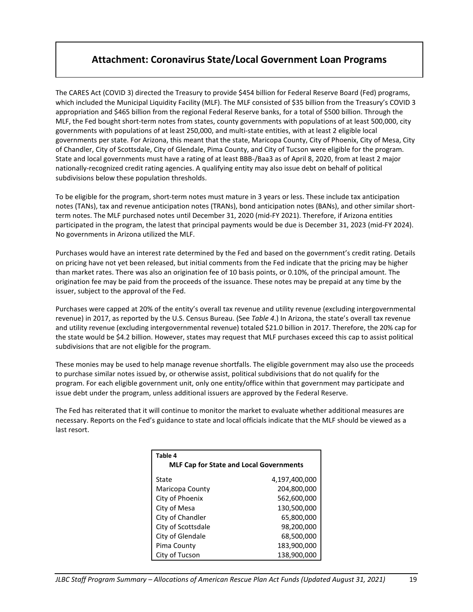# **Attachment: Coronavirus State/Local Government Loan Programs**

The CARES Act (COVID 3) directed the Treasury to provide \$454 billion for Federal Reserve Board (Fed) programs, which included the Municipal Liquidity Facility (MLF). The MLF consisted of \$35 billion from the Treasury's COVID 3 appropriation and \$465 billion from the regional Federal Reserve banks, for a total of \$500 billion. Through the MLF, the Fed bought short-term notes from states, county governments with populations of at least 500,000, city governments with populations of at least 250,000, and multi-state entities, with at least 2 eligible local governments per state. For Arizona, this meant that the state, Maricopa County, City of Phoenix, City of Mesa, City of Chandler, City of Scottsdale, City of Glendale, Pima County, and City of Tucson were eligible for the program. State and local governments must have a rating of at least BBB-/Baa3 as of April 8, 2020, from at least 2 major nationally-recognized credit rating agencies. A qualifying entity may also issue debt on behalf of political subdivisions below these population thresholds.

To be eligible for the program, short-term notes must mature in 3 years or less. These include tax anticipation notes (TANs), tax and revenue anticipation notes (TRANs), bond anticipation notes (BANs), and other similar shortterm notes. The MLF purchased notes until December 31, 2020 (mid-FY 2021). Therefore, if Arizona entities participated in the program, the latest that principal payments would be due is December 31, 2023 (mid-FY 2024). No governments in Arizona utilized the MLF.

Purchases would have an interest rate determined by the Fed and based on the government's credit rating. Details on pricing have not yet been released, but initial comments from the Fed indicate that the pricing may be higher than market rates. There was also an origination fee of 10 basis points, or 0.10%, of the principal amount. The origination fee may be paid from the proceeds of the issuance. These notes may be prepaid at any time by the issuer, subject to the approval of the Fed.

Purchases were capped at 20% of the entity's overall tax revenue and utility revenue (excluding intergovernmental revenue) in 2017, as reported by the U.S. Census Bureau. (See *Table 4*.) In Arizona, the state's overall tax revenue and utility revenue (excluding intergovernmental revenue) totaled \$21.0 billion in 2017. Therefore, the 20% cap for the state would be \$4.2 billion. However, states may request that MLF purchases exceed this cap to assist political subdivisions that are not eligible for the program.

These monies may be used to help manage revenue shortfalls. The eligible government may also use the proceeds to purchase similar notes issued by, or otherwise assist, political subdivisions that do not qualify for the program. For each eligible government unit, only one entity/office within that government may participate and issue debt under the program, unless additional issuers are approved by the Federal Reserve.

The Fed has reiterated that it will continue to monitor the market to evaluate whether additional measures are necessary. Reports on the Fed's guidance to state and local officials indicate that the MLF should be viewed as a last resort.

| Table 4<br><b>MLF Cap for State and Local Governments</b> |               |
|-----------------------------------------------------------|---------------|
| State                                                     | 4,197,400,000 |
| Maricopa County                                           | 204,800,000   |
| City of Phoenix                                           | 562,600,000   |
| City of Mesa                                              | 130,500,000   |
| City of Chandler                                          | 65,800,000    |
| City of Scottsdale                                        | 98,200,000    |
| City of Glendale                                          | 68,500,000    |
| Pima County                                               | 183,900,000   |
| City of Tucson                                            | 138,900,000   |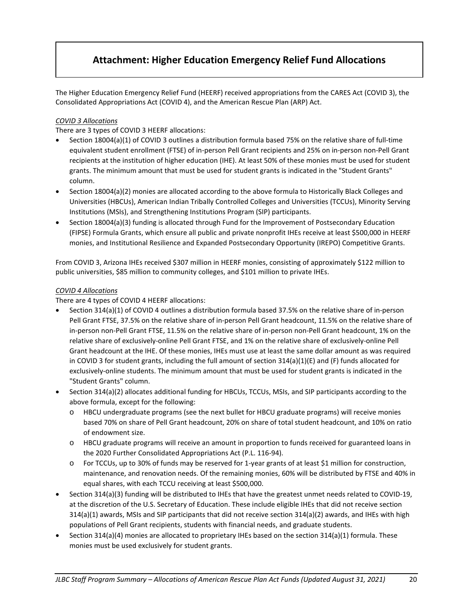# **Attachment: Higher Education Emergency Relief Fund Allocations**

The Higher Education Emergency Relief Fund (HEERF) received appropriations from the CARES Act (COVID 3), the Consolidated Appropriations Act (COVID 4), and the American Rescue Plan (ARP) Act.

#### *COVID 3 Allocations*

There are 3 types of COVID 3 HEERF allocations:

- Section 18004(a)(1) of COVID 3 outlines a distribution formula based 75% on the relative share of full-time equivalent student enrollment (FTSE) of in-person Pell Grant recipients and 25% on in-person non-Pell Grant recipients at the institution of higher education (IHE). At least 50% of these monies must be used for student grants. The minimum amount that must be used for student grants is indicated in the "Student Grants" column.
- Section 18004(a)(2) monies are allocated according to the above formula to Historically Black Colleges and Universities (HBCUs), American Indian Tribally Controlled Colleges and Universities (TCCUs), Minority Serving Institutions (MSIs), and Strengthening Institutions Program (SIP) participants.
- Section 18004(a)(3) funding is allocated through Fund for the Improvement of Postsecondary Education (FIPSE) Formula Grants, which ensure all public and private nonprofit IHEs receive at least \$500,000 in HEERF monies, and Institutional Resilience and Expanded Postsecondary Opportunity (IREPO) Competitive Grants.

From COVID 3, Arizona IHEs received \$307 million in HEERF monies, consisting of approximately \$122 million to public universities, \$85 million to community colleges, and \$101 million to private IHEs.

#### *COVID 4 Allocations*

There are 4 types of COVID 4 HEERF allocations:

- Section 314(a)(1) of COVID 4 outlines a distribution formula based 37.5% on the relative share of in-person Pell Grant FTSE, 37.5% on the relative share of in-person Pell Grant headcount, 11.5% on the relative share of in-person non-Pell Grant FTSE, 11.5% on the relative share of in-person non-Pell Grant headcount, 1% on the relative share of exclusively-online Pell Grant FTSE, and 1% on the relative share of exclusively-online Pell Grant headcount at the IHE. Of these monies, IHEs must use at least the same dollar amount as was required in COVID 3 for student grants, including the full amount of section 314(a)(1)(E) and (F) funds allocated for exclusively-online students. The minimum amount that must be used for student grants is indicated in the "Student Grants" column.
- Section 314(a)(2) allocates additional funding for HBCUs, TCCUs, MSIs, and SIP participants according to the above formula, except for the following:
	- o HBCU undergraduate programs (see the next bullet for HBCU graduate programs) will receive monies based 70% on share of Pell Grant headcount, 20% on share of total student headcount, and 10% on ratio of endowment size.
	- o HBCU graduate programs will receive an amount in proportion to funds received for guaranteed loans in the 2020 Further Consolidated Appropriations Act (P.L. 116-94).
	- o For TCCUs, up to 30% of funds may be reserved for 1-year grants of at least \$1 million for construction, maintenance, and renovation needs. Of the remaining monies, 60% will be distributed by FTSE and 40% in equal shares, with each TCCU receiving at least \$500,000.
- Section 314(a)(3) funding will be distributed to IHEs that have the greatest unmet needs related to COVID-19, at the discretion of the U.S. Secretary of Education. These include eligible IHEs that did not receive section 314(a)(1) awards, MSIs and SIP participants that did not receive section 314(a)(2) awards, and IHEs with high populations of Pell Grant recipients, students with financial needs, and graduate students.
- Section 314(a)(4) monies are allocated to proprietary IHEs based on the section 314(a)(1) formula. These monies must be used exclusively for student grants.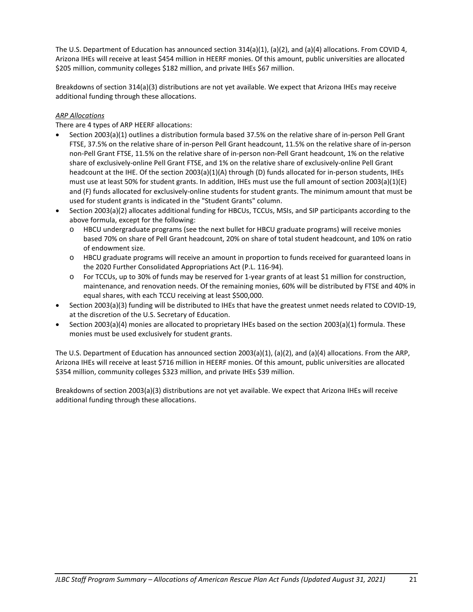The U.S. Department of Education has announced section 314(a)(1), (a)(2), and (a)(4) allocations. From COVID 4, Arizona IHEs will receive at least \$454 million in HEERF monies. Of this amount, public universities are allocated \$205 million, community colleges \$182 million, and private IHEs \$67 million.

Breakdowns of section 314(a)(3) distributions are not yet available. We expect that Arizona IHEs may receive additional funding through these allocations.

#### *ARP Allocations*

There are 4 types of ARP HEERF allocations:

- Section 2003(a)(1) outlines a distribution formula based 37.5% on the relative share of in-person Pell Grant FTSE, 37.5% on the relative share of in-person Pell Grant headcount, 11.5% on the relative share of in-person non-Pell Grant FTSE, 11.5% on the relative share of in-person non-Pell Grant headcount, 1% on the relative share of exclusively-online Pell Grant FTSE, and 1% on the relative share of exclusively-online Pell Grant headcount at the IHE. Of the section 2003(a)(1)(A) through (D) funds allocated for in-person students, IHEs must use at least 50% for student grants. In addition, IHEs must use the full amount of section 2003(a)(1)(E) and (F) funds allocated for exclusively-online students for student grants. The minimum amount that must be used for student grants is indicated in the "Student Grants" column.
- Section 2003(a)(2) allocates additional funding for HBCUs, TCCUs, MSIs, and SIP participants according to the above formula, except for the following:
	- o HBCU undergraduate programs (see the next bullet for HBCU graduate programs) will receive monies based 70% on share of Pell Grant headcount, 20% on share of total student headcount, and 10% on ratio of endowment size.
	- o HBCU graduate programs will receive an amount in proportion to funds received for guaranteed loans in the 2020 Further Consolidated Appropriations Act (P.L. 116-94).
	- o For TCCUs, up to 30% of funds may be reserved for 1-year grants of at least \$1 million for construction, maintenance, and renovation needs. Of the remaining monies, 60% will be distributed by FTSE and 40% in equal shares, with each TCCU receiving at least \$500,000.
- Section 2003(a)(3) funding will be distributed to IHEs that have the greatest unmet needs related to COVID-19, at the discretion of the U.S. Secretary of Education.
- Section 2003(a)(4) monies are allocated to proprietary IHEs based on the section 2003(a)(1) formula. These monies must be used exclusively for student grants.

The U.S. Department of Education has announced section 2003(a)(1), (a)(2), and (a)(4) allocations. From the ARP, Arizona IHEs will receive at least \$716 million in HEERF monies. Of this amount, public universities are allocated \$354 million, community colleges \$323 million, and private IHEs \$39 million.

Breakdowns of section 2003(a)(3) distributions are not yet available. We expect that Arizona IHEs will receive additional funding through these allocations.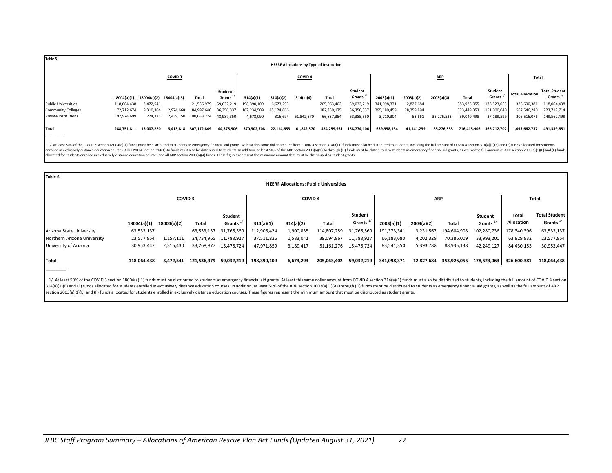| Table 5                    |             |                         |                    |                       |                     |             |            |                    | <b>HEERF Allocations by Type of Institution</b> |                                       |             |            |            |              |                         |                         |                                             |
|----------------------------|-------------|-------------------------|--------------------|-----------------------|---------------------|-------------|------------|--------------------|-------------------------------------------------|---------------------------------------|-------------|------------|------------|--------------|-------------------------|-------------------------|---------------------------------------------|
|                            |             |                         | COVID <sub>3</sub> |                       |                     |             |            | COVID <sub>4</sub> |                                                 |                                       |             |            | <b>ARP</b> |              |                         | <b>Total</b>            |                                             |
|                            | 18004(a)(1) | 18004(a)(2) 18004(a)(3) |                    | <b>Total</b>          | Student<br>Grants " | 314(a)(1)   | 314(a)(2)  | 314(a)(4)          | Total                                           | <b>Student</b><br>Grants <sup>+</sup> | 2003(a)(1)  | 2003(a)(2) | 2003(a)(4) | <b>Total</b> | Student<br>Grants       | <b>Total Allocation</b> | <b>Total Student</b><br>Grants <sup>+</sup> |
| <b>Public Universities</b> | 118,064,438 | 3,472,541               |                    | 121,536,979           | 59,032,219          | 198,390,109 | 6,673,293  |                    | 205,063,402                                     | 59,032,219                            | 341,098,371 | 12,827,684 |            | 353,926,055  | 178,523,063             | 326,600,381             | 118,064,438                                 |
| <b>Community Colleges</b>  | 72,712,674  | 9,310,304               | 2,974,668          | 84,997,646            | 36,356,337          | 167,234,509 | 15,124,666 |                    | 182,359,175                                     | 36,356,337                            | 295,189,459 | 28,259,894 |            | 323,449,353  | 151,000,040             | 562,546,280             | 223,712,714                                 |
| Private Institutions       | 97,974,699  | 224,375                 | 2.439.150          | 100,638,224           | 48,987,350          | 4,678,090   | 316,694    | 61,842,570         | 66,837,354                                      | 63,385,550                            | 3,710,304   | 53,661     | 35,276,533 | 39,040,498   | 37,189,599              | 206,516,076             | 149,562,499                                 |
| Total                      |             | 288,751,811 13,007,220  |                    | 5,413,818 307,172,849 | 144,375,906         | 370,302,708 | 22,114,653 | 61,842,570         | 454,259,931 158,774,106                         |                                       | 639,998,134 | 41,141,239 | 35,276,533 |              | 716,415,906 366,712,702 | 1,095,662,737           | 491,339,651                                 |

1/ At least 50% of the COVID 3 section 18004(a)(1) funds must be distributed to students as emergency financial aid grants. At least this same dollar amount from COVID 4 section 314(a)(1) funds must also be distributed to enrolled in exclusively distance education courses. All COVID 4 section 314(1)(4) funds must also be distributed to students. In addition, at least 50% of the ARP section 2003(a)(1)(A) through (D) funds must be distributed allocated for students enrolled in exclusively distance education courses and all ARP section 2003(a)(4) funds. These figures represent the minimum amount that must be distributed as student grants.

| Table 6                     |             |                    |                       |                        |             |                    | <b>HEERF Allocations: Public Universities</b> |                            |             |            |              |                   |                            |                                                 |
|-----------------------------|-------------|--------------------|-----------------------|------------------------|-------------|--------------------|-----------------------------------------------|----------------------------|-------------|------------|--------------|-------------------|----------------------------|-------------------------------------------------|
|                             |             | COVID <sub>3</sub> |                       |                        |             | COVID <sub>4</sub> |                                               |                            |             | <b>ARP</b> |              |                   |                            | <b>Total</b>                                    |
|                             | 18004(a)(1) | 18004(a)(2)        | <b>Total</b>          | Student<br>Grants $1/$ | 314(a)(1)   | 314(a)(2)          | <b>Total</b>                                  | Student<br><u>Grants "</u> | 2003(a)(1)  | 2003(a)(2) | <b>Total</b> | Student<br>Grants | Total<br><b>Allocation</b> | <b>Total Student</b><br>$G$ rants <sup>1/</sup> |
| Arizona State University    | 63,533,137  |                    | 63,533,137            | 31,766,569             | 112,906,424 | 1,900,835          | 114,807,259                                   | 31,766,569                 | 191,373,341 | 3,231,567  | 194,604,908  | 102,280,736       | 178,340,396                | 63,533,137                                      |
| Northern Arizona University | 23,577,854  | 1,157,111          | 24,734,965            | 11,788,927             | 37,511,826  | 1,583,041          | 39,094,867                                    | 11,788,927                 | 66,183,680  | 4,202,329  | 70,386,009   | 33,993,200        | 63,829,832                 | 23,577,854                                      |
| University of Arizona       | 30,953,447  | 2,315,430          | 33,268,877            | 15.476.724             | 47,971,859  | 3,189,417          | 51,161,276                                    | 15,476,724                 | 83,541,350  | 5,393,788  | 88,935,138   | 42,249,127        | 84,430,153                 | 30,953,447                                      |
| Total                       | 118,064,438 |                    | 3,472,541 121,536,979 | 59,032,219             | 198,390,109 | 6,673,293          | 205,063,402                                   | 59,032,219                 | 341,098,371 | 12,827,684 | 353,926,055  | 178,523,063       | 326,600,381                | 118,064,438                                     |

1/ At least 50% of the COVID 3 section 18004(a)(1) funds must be distributed to students as emergency financial aid grants. At least this same dollar amount from COVID 4 section 314(a)(1) funds must also be distributed to 314(a)(1)(E) and (F) funds allocated for students enrolled in exclusively distance education courses. In addition, at least 50% of the ARP section 2003(a)(1)(A) through (D) funds must be distributed to students as emergenc section 2003(a)(1)(E) and (F) funds allocated for students enrolled in exclusively distance education courses. These figures represent the minimum amount that must be distributed as student grants.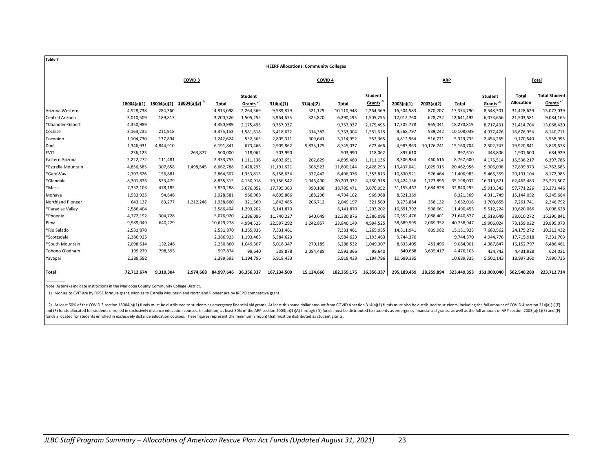| <b>Table 7</b>           |             |             |                    |            |                                |             |                                              |             |                                       |             |            |             |                                                     |                     |                                              |
|--------------------------|-------------|-------------|--------------------|------------|--------------------------------|-------------|----------------------------------------------|-------------|---------------------------------------|-------------|------------|-------------|-----------------------------------------------------|---------------------|----------------------------------------------|
|                          |             |             |                    |            |                                |             | <b>HEERF Allocations: Community Colleges</b> |             |                                       |             |            |             |                                                     |                     |                                              |
|                          |             |             | COVID <sub>3</sub> |            |                                |             | COVID <sub>4</sub>                           |             |                                       |             |            | <b>ARP</b>  |                                                     |                     | Total                                        |
|                          | 18004(a)(1) | 18004(a)(2) | 18004(a)(3)        | Total      | Student<br>Grants <sup>2</sup> | 314(a)(1)   | 314(a)(2)                                    | Total       | <b>Student</b><br>Grants <sup>2</sup> | 2003(a)(1)  | 2003(a)(2) | Total       | <b>Student</b><br>Grants <sup><math>2/</math></sup> | Total<br>Allocation | <b>Total Student</b><br>Grants <sup>2/</sup> |
| Arizona Western          | 4,528,738   | 284,360     |                    | 4,813,098  | 2,264,369                      | 9,589,819   | 521,129                                      | 10,110,948  | 2,264,369                             | 16,504,583  | 870,207    | 17,374,790  | 8,548,301                                           | 31,428,629          | 13,077,039                                   |
| Central Arizona          | 3,010,509   | 189,817     |                    | 3,200,326  | 1,505,255                      | 5,964,675   | 325,820                                      | 6,290,495   | 1,505,255                             | 12,012,760  | 628,732    | 12,641,492  | 6,073,656                                           | 21,503,581          | 9,084,165                                    |
| *Chandler-Gilbert        | 4,350,989   |             |                    | 4,350,989  | 2,175,495                      | 9,757,937   |                                              | 9,757,937   | 2,175,495                             | 17,305,778  | 965,041    | 18,270,819  | 8,717,431                                           | 31,414,704          | 13,068,420                                   |
| Cochise                  | 3,163,235   | 211,918     |                    | 3,375,153  | 1,581,618                      | 5,418,622   | 314,382                                      | 5,733,004   | 1,581,618                             | 9,568,797   | 539,242    | 10,108,039  | 4,977,476                                           | 18,676,954          | 8,140,711                                    |
| Coconino                 | 1,104,730   | 137,894     |                    | 1,242,624  | 552,365                        | 2,805,311   | 309,641                                      | 3,114,952   | 552,365                               | 4,812,964   | 516,771    | 5,329,735   | 2,454,265                                           | 9,170,540           | 3,558,995                                    |
| Diné                     | 1,346,931   | 4,844,910   |                    | 6,191,841  | 673,466                        | 2,909,862   | 5,835,175                                    | 8,745,037   | 673,466                               | 4,983,963   | 10,176,741 | 15,160,704  | 2,502,747                                           | 19,920,841          | 3,849,678                                    |
| <b>EVIT</b>              | 236,123     |             | 263,877            | 500,000    | 118,062                        | 503,990     |                                              | 503,990     | 118,062                               | 897,610     |            | 897,610     | 448,806                                             | 1,901,600           | 684,929                                      |
| Eastern Arizona          | 2,222,272   | 111,481     |                    | 2,333,753  | 1,111,136                      | 4,692,651   | 202,829                                      | 4,895,480   | 1,111,136                             | 8,306,984   | 460,616    | 8,767,600   | 4,175,514                                           | 15,536,217          | 6,397,786                                    |
| *Estrella Mountain       | 4,856,585   | 307,658     | 1,498,545          | 6,662,788  | 2,428,293                      | 11,191,621  | 608,523                                      | 11,800,144  | 2,428,293                             | 19,437,041  | 1,025,915  | 20,462,956  | 9,906,098                                           | 37,899,973          | 14,762,683                                   |
| *GateWay                 | 2,707,626   | 156,881     |                    | 2,864,507  | 1,353,813                      | 6,158,634   | 337,442                                      | 6,496,076   | 1,353,813                             | 10,830,521  | 576,464    | 11,406,985  | 5,465,359                                           | 20,191,104          | 8,172,985                                    |
| *Glendale                | 8,301,836   | 533,479     |                    | 8,835,315  | 4,150,918                      | 19,156,542  | 1,046,490                                    | 20,203,032  | 4,150,918                             | 33,424,136  | 1,773,896  | 35,198,032  | 16,919,671                                          | 62,462,483          | 25,221,507                                   |
| *Mesa                    | 7,352,103   | 478,185     |                    | 7,830,288  | 3,676,052                      | 17,795,363  | 990,108                                      | 18,785,471  | 3,676,052                             | 31,155,467  | 1,684,828  | 32,840,295  | 15,919,343                                          | 57,771,226          | 23,271,446                                   |
| Mohave                   | 1,933,935   | 94,646      |                    | 2,028,581  | 966,968                        | 4,605,866   | 188,236                                      | 4,794,102   | 966,968                               | 8,321,369   |            | 8,321,369   | 4,311,749                                           | 15,144,052          | 6,245,684                                    |
| <b>Northland Pioneer</b> | 643,137     | 83,277      | 1,212,246          | 1,938,660  | 321,569                        | 1,842,485   | 206,712                                      | 2,049,197   | 321,569                               | 3,273,884   | 358,132    | 3,632,016   | 1,703,655                                           | 7,261,741           | 2,346,792                                    |
| *Paradise Valley         | 2,586,404   |             |                    | 2,586,404  | 1,293,202                      | 6,141,870   |                                              | 6,141,870   | 1,293,202                             | 10,891,792  | 598,661    | 11,490,453  | 5,512,224                                           | 19,620,066          | 8,098,628                                    |
| *Phoenix                 | 4,772,192   | 304,728     |                    | 5,076,920  | 2,386,096                      | 11,740,227  | 640,649                                      | 12,380,876  | 2,386,096                             | 20,552,476  | 1,088,401  | 21,640,877  | 10,518,649                                          | 38,010,272          | 15,290,841                                   |
| Pima                     | 9,989,049   | 640,229     |                    | 10,629,278 | 4,994,525                      | 22,597,292  | 1,242,857                                    | 23,840,149  | 4,994,525                             | 38,689,595  | 2,069,352  | 40,758,947  | 19,906,024                                          | 73,159,022          | 29,895,073                                   |
| *Rio Salado              | 2,531,870   |             |                    | 2,531,870  | 1,265,935                      | 7,331,461   |                                              | 7,331,461   | 1,265,935                             | 14,311,941  | 839,982    | 15,151,923  | 7,680,562                                           | 24,175,272          | 10,212,432                                   |
| *Scottsdale              | 2,386,925   |             |                    | 2,386,925  | 1,193,463                      | 5,584,623   |                                              | 5,584,623   | 1,193,463                             | 9,744,370   |            | 9,744,370   | 4,944,778                                           | 17,715,918          | 7,331,703                                    |
| *South Mountain          | 2,098,614   | 132,246     |                    | 2,230,860  | 1,049,307                      | 5,018,347   | 270,185                                      | 5,288,532   | 1,049,307                             | 8,633,405   | 451,496    | 9,084,901   | 4,387,847                                           | 16,152,797          | 6,486,461                                    |
| Tohono O'odham           | 199,279     | 798,595     |                    | 997,874    | 99,640                         | 508,878     | 2,084,488                                    | 2,593,366   | 99,640                                | 840,688     | 3,635,417  | 4,476,105   | 424,742                                             | 4,431,928           | 624,021                                      |
| Yavapai                  | 2,389,592   |             |                    | 2,389,592  | 1,194,796                      | 5,918,433   |                                              | 5,918,433   | 1,194,796                             | 10,689,335  |            | 10,689,335  | 5,501,143                                           | 18,997,360          | 7,890,735                                    |
| <b>Total</b>             | 72.712.674  | 9,310,304   | 2,974,668          |            | 84,997,646 36,356,337          | 167,234,509 | 15,124,666                                   | 182,359,175 | 36,356,337                            | 295,189,459 | 28.259.894 | 323.449.353 | 151,000,040                                         | 562,546,280         | 223,712,714                                  |

Note: Asterisks indicate institutions in the Maricopa County Community College District.

 $\overline{\phantom{a}}$ 

1/ Monies to EVIT are by FIPSE formula grant. Monies to Estrella Mountain and Northland Pioneer are by IREPO competitive grant.

2/ At least 50% of the COVID 3 section 18004(a)(1) funds must be distributed to students as emergency financial aid grants. At least this same dollar amount from COVID 4 section 314(a)(1) funds must also be distributed to and (F) funds allocated for students enrolled in exclusively distance education courses. In addition, at least 50% of the ARP section 2003(a)(1)(A) through (D) funds must be distributed to students as emergency financial a funds allocated for students enrolled in exclusively distance education courses. These figures represent the minimum amount that must be distributed as student grants.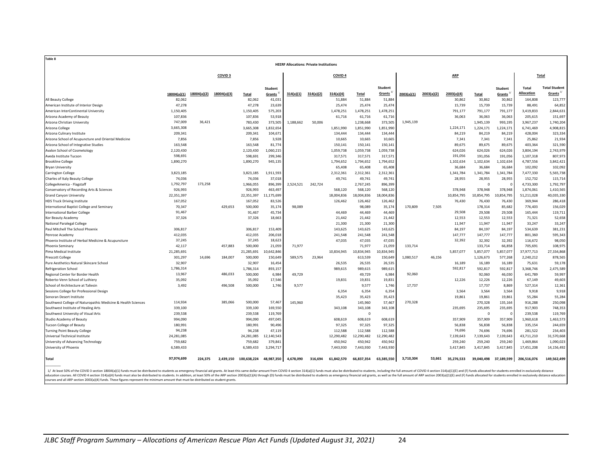| Table 8                                                                        |                 |             |                    |                                            |                                 |                                                |           |                    |                |                                |            |            |            |                  |                                       |                     |                                     |
|--------------------------------------------------------------------------------|-----------------|-------------|--------------------|--------------------------------------------|---------------------------------|------------------------------------------------|-----------|--------------------|----------------|--------------------------------|------------|------------|------------|------------------|---------------------------------------|---------------------|-------------------------------------|
|                                                                                |                 |             |                    |                                            |                                 | <b>HEERF Allocations: Private Institutions</b> |           |                    |                |                                |            |            |            |                  |                                       |                     |                                     |
|                                                                                |                 |             | COVID <sub>3</sub> |                                            |                                 |                                                |           | COVID <sub>4</sub> |                |                                |            |            | <b>ARP</b> |                  |                                       |                     | Total                               |
|                                                                                |                 |             |                    |                                            |                                 |                                                |           |                    |                |                                |            |            |            |                  |                                       |                     |                                     |
|                                                                                | 18004(a)(1)     | 18004(a)(2) | 18004(a)(3)        | <b>Total</b>                               | <b>Student</b><br><b>Grants</b> | 314(a)(1)                                      | 314(a)(2) | 314(a)(4)          | Total          | Student<br>Grants <sup>+</sup> | 2003(a)(1) | 2003(a)(2) | 2003(a)(4) | Total            | <b>Student</b><br>Grants <sup>1</sup> | Total<br>Allocation | <b>Total Student</b><br>Grants $1/$ |
| All Beauty College                                                             | 82,062          |             |                    | 82,062                                     | 41,031                          |                                                |           | 51,884             | 51,884         | 51,884                         |            |            | 30,862     | 30,862           | 30,862                                | 164,808             | 123,777                             |
| American Institute of Interior Design                                          | 47,278          |             |                    | 47,278                                     | 23,639                          |                                                |           | 25,474             | 25,474         | 25,474                         |            |            | 15,739     | 15,739           | 15,739                                | 88,491              | 64,852                              |
| American InterContinental University                                           | 1,150,405       |             |                    | 1,150,405                                  | 575,203                         |                                                |           | 1,478,251          | 1,478,251      | 1,478,251                      |            |            | 791,177    | 791,177          | 791,177                               | 3,419,833           | 2,844,631                           |
| Arizona Academy of Beauty                                                      | 107,836         |             |                    | 107,836                                    | 53,918                          |                                                |           | 61,716             | 61,716         | 61,716                         |            |            | 36,063     | 36,063           | 36,063                                | 205,615             | 151,697                             |
| Arizona Christian University                                                   | 747,009         | 36,421      |                    | 783,430                                    | 373,505                         | 1,188,662                                      | 50,006    |                    | 1,238,668      | 373,505                        | 1,945,139  |            |            | 1,945,139        | 993,195                               | 3,967,237           | 1,740,204                           |
| Arizona College                                                                | 3,665,308       |             |                    | 3,665,308                                  | 1,832,654                       |                                                |           | 1,851,990          | 1,851,990      | 1,851,990                      |            |            | 1,224,171  | 1,224,171        | 1,224,171                             | 6,741,469           | 4,908,815                           |
| Arizona Culinary Institute                                                     | 209,341         |             |                    | 209,341                                    | 104,671                         |                                                |           | 134,444            | 134,444        | 134,444                        |            |            | 84,219     | 84,219           | 84,219                                | 428,004             | 323,334                             |
| Arizona School of Acupuncture and Oriental Medicine                            | 7,856           |             |                    | 7,856                                      | 3,928                           |                                                |           | 10,665             | 10,665         | 10,665                         |            |            | 7,341      | 7,341            | 7,341                                 | 25,862              | 21,934                              |
| Arizona School of Integrative Studies                                          | 163,548         |             |                    | 163,548                                    | 81,774                          |                                                |           | 150,141            | 150,141        | 150,141                        |            |            | 89,675     | 89,675           | 89,675                                | 403,364             | 321,590                             |
| Avalon School of Cosmetology                                                   | 2,120,430       |             |                    | 2,120,430                                  | 1,060,215                       |                                                |           | 1,059,738          | 1,059,738      | 1,059,738                      |            |            | 624,026    | 624,026          | 624,026                               | 3,804,194           | 2,743,979                           |
| Aveda Institute Tucson                                                         | 598,691         |             |                    | 598,691                                    | 299,346                         |                                                |           | 317,571            | 317,571        | 317,571                        |            |            | 191,056    | 191.056          | 191,056                               | 1,107,318           | 807,973                             |
| <b>Brookline College</b>                                                       | 1,890,270       |             |                    | 1,890,270                                  | 945,135                         |                                                |           | 1,794,652          | 1,794,652      | 1,794,652                      |            |            | 1,102,634  | 1,102,634        | 1,102,634                             | 4,787,556           | 3,842,421                           |
| <b>Bryan University</b>                                                        |                 |             |                    |                                            |                                 |                                                |           | 65,408             | 65,408         | 65,408                         |            |            | 36,684     | 36,684           | 36,684                                | 102,092             | 102,092                             |
| Carrington College                                                             | 3,823,185       |             |                    | 3,823,185                                  | 1,911,593                       |                                                |           | 2,312,361          | 2,312,361      | 2,312,361                      |            |            | 1,341,784  | 1,341,784        | 1,341,784                             | 7,477,330           | 5,565,738                           |
| Charles of Italy Beauty College                                                | 74,036          |             |                    | 74,036                                     | 37,018                          |                                                |           | 49,741             | 49,741         | 49,741                         |            |            | 28,955     | 28,955           | 28,955                                | 152,732             | 115,714                             |
| CollegeAmerica - Flagstaff                                                     | 1,792,797       | 173,258     |                    | 1,966,055                                  | 896,399                         | 2,524,521                                      | 242,724   |                    | 2,767,245      | 896,399                        |            |            |            | $\Omega$         | $\Omega$                              | 4,733,300           | 1,792,797                           |
| Conservatory of Recording Arts & Sciences                                      | 926,993         |             |                    | 926,993                                    | 463,497                         |                                                |           | 568,120            | 568,120        | 568,120                        |            |            | 378,948    | 378,948          | 378,948                               | 1,874,061           | 1,410,565                           |
| <b>Grand Canyon University</b>                                                 | 22,351,397      |             |                    | 22,351,397                                 | 11,175,699                      |                                                |           | 18,004,836         | 18,004,836     | 18,004,836                     |            |            | 10,854,795 | 10,854,795       | 10,854,795                            | 51,211,028          | 40,035,330                          |
| <b>HDS Truck Driving Institute</b>                                             | 167,052         |             |                    | 167,052                                    | 83,526                          |                                                |           | 126,462            | 126,462        | 126,462                        |            |            | 76,430     | 76,430           | 76,430                                | 369,944             | 286,418                             |
| International Baptist College and Seminary                                     | 70,347          |             | 429,653            | 500,000                                    | 35,174                          | 98,089                                         |           |                    | 98,089         | 35,174                         | 170,809    | 7,505      |            | 178,314          | 85,682                                | 776,403             | 156,029                             |
| <b>International Barber College</b>                                            | 91,467          |             |                    | 91,467                                     | 45,734                          |                                                |           | 44,469             | 44,469         | 44,469                         |            |            | 29,508     | 29,508           | 29,508                                | 165,444             | 119,711                             |
| Kor Beauty Academy                                                             | 37,326          |             |                    | 37,326                                     | 18,663                          |                                                |           | 21,442             | 21,442         | 21,442                         |            |            | 12,553     | 12,553           | 12,553                                | 71,321              | 52,658                              |
| National Paralegal College                                                     |                 |             |                    |                                            |                                 |                                                |           | 21,300             | 21,300         | 21,300                         |            |            | 11,947     | 11,947           | 11,947                                | 33,247              | 33,247                              |
| Paul Mitchell The School Phoenix                                               | 306,817         |             |                    | 306,817                                    | 153,409                         |                                                |           | 143,625            | 143,625        | 143,625                        |            |            | 84,197     | 84,197           | 84,197                                | 534,639             | 381,231                             |
| Penrose Academy                                                                | 412,035         |             |                    | 412,035                                    | 206,018                         |                                                |           | 241,548            | 241,548        | 241,548                        |            |            | 147,777    | 147.777          | 147,777                               | 801,360             | 595,343                             |
| Phoenix Institute of Herbal Medicine & Acupuncture                             | 37,245          |             |                    | 37,245                                     | 18,623                          |                                                |           | 47,035             | 47,035         | 47,035                         |            |            | 32,392     | 32,392           | 32,392                                | 116,672             | 98,050                              |
| <b>Phoenix Seminary</b>                                                        | 42,117          |             | 457,883            | 500,000                                    | 21,059                          | 71,977                                         |           |                    | 71,977         | 21,059                         | 133,714    |            |            | 133,714          | 66,858                                | 705,691             | 108,975                             |
| Pima Medical Institute                                                         | 21,285,691      |             |                    | 21,285,691                                 | 10,642,846                      |                                                |           | 10,834,945         | 10,834,945     | 10,834,945                     |            |            | 5,857,077  | 5,857,077        | 5,857,077                             | 37,977,713          | 27,334,868                          |
| <b>Prescott College</b>                                                        | 301,297         | 14,696      | 184,007            | 500,000                                    | 150,649                         | 589,575                                        | 23,964    |                    | 613,539        | 150,649                        | 1,080,517  | 46,156     |            | 1,126,673        | 577,268                               | 2,240,212           | 878,565                             |
| Pure Aesthetics Natural Skincare School                                        | 32,907          |             |                    | 32,907                                     | 16,454                          |                                                |           | 26,535             | 26,535         | 26,535                         |            |            | 16,189     | 16,189           | 16,189                                | 75,631              | 59,178                              |
| <b>Refrigeration School</b>                                                    | 1,786,314       |             |                    | 1,786,314                                  | 893,157                         |                                                |           | 989,615            | 989,615        | 989,615                        |            |            | 592,817    | 592,817          | 592,817                               | 3,368,746           | 2,475,589                           |
| Regional Center for Border Health                                              | 13,967          |             | 486,033            | 500,000                                    | 6.984                           | 49,729                                         |           |                    | 49,729         | 6,984                          | 92,060     |            |            | 92,060<br>12,226 | 46,030                                | 641,789             | 59,997<br>49,603                    |
| Roberto-Venn School of Luthiery                                                | 35,092<br>3,492 |             | 496,508            | 35,092                                     | 17,546                          |                                                |           | 19,831             | 19,831         | 19,831                         | 17,737     |            | 12,226     |                  | 12,226                                | 67,149              |                                     |
| School of Architecture at Taliesin<br>Sessions College for Professional Design |                 |             |                    | 500,000                                    | 1,746                           | 9,577                                          |           | 6,354              | 9,577<br>6,354 | 1,746<br>6,354                 |            |            | 3,564      | 17,737<br>3,564  | 8,869<br>3,564                        | 527,314<br>9,918    | 12,361<br>9,918                     |
| Sonoran Desert Institute                                                       |                 |             |                    |                                            |                                 |                                                |           | 35,423             | 35,423         | 35,423                         |            |            | 19,861     | 19,861           | 19,861                                | 55,284              | 55,284                              |
| Southwest College of Naturopathic Medicine & Health Sciences                   | 114,934         |             | 385,066            | 500,000                                    | 57,467                          | 145,960                                        |           |                    | 145,960        | 57,467                         | 270,328    |            |            | 270,328          | 135,164                               | 916,288             | 250,098                             |
| Southwest Institute of Healing Arts                                            | 339,100         |             |                    | 339,100                                    | 169,550                         |                                                |           | 343,108            | 343,108        | 343,108                        |            |            | 235,695    | 235,695          | 235,695                               | 917,903             | 748,353                             |
| Southwest University of Visual Arts                                            | 239,538         |             |                    | 239,538                                    | 119,769                         |                                                |           |                    | $\Omega$       |                                |            |            |            | $\Omega$         | $\Omega$                              | 239,538             | 119.769                             |
| Studio Academy of Beauty                                                       | 994,090         |             |                    | 994,090                                    | 497,045                         |                                                |           | 608,619            | 608,619        | 608,619                        |            |            | 357,909    | 357,909          | 357,909                               | 1,960,618           | 1,463,573                           |
| <b>Tucson College of Beauty</b>                                                | 180,991         |             |                    | 180,991                                    | 90,496                          |                                                |           | 97,325             | 97,325         | 97,325                         |            |            | 56,838     | 56,838           | 56,838                                | 335,154             | 244,659                             |
| <b>Turning Point Beauty College</b>                                            | 94,238          |             |                    | 94,238                                     | 47,119                          |                                                |           | 112,588            | 112,588        | 112,588                        |            |            | 74,696     | 74,696           | 74,696                                | 281,522             | 234,403                             |
| Universal Technical Institute                                                  | 24,281,085      |             |                    | 24,281,085                                 | 12,140,543                      |                                                |           | 12,290,482         | 12,290,482     | 12,290,482                     |            |            | 7,139,643  | 7,139,643        | 7,139,643                             | 43,711,210          | 31,570,668                          |
| University of Advancing Technology                                             | 759,682         |             |                    | 759,682                                    | 379,841                         |                                                |           | 450,942            | 450,942        | 450,942                        |            |            | 259,240    | 259,240          | 259,240                               | 1,469,864           | 1,090,023                           |
| University of Phoenix                                                          | 6,589,433       |             |                    | 6,589,433                                  | 3,294,717                       |                                                |           | 7,443,930          | 7,443,930      | 7,443,930                      |            |            | 3,417,845  | 3,417,845        | 3,417,845                             | 17,451,208          | 14,156,492                          |
|                                                                                |                 |             |                    |                                            |                                 |                                                |           |                    |                |                                |            |            |            |                  |                                       |                     |                                     |
| <b>Total</b>                                                                   | 97,974,699      | 224.375     |                    | 2,439,150 100,638,224 48,987,350 4,678,090 |                                 |                                                | 316,694   | 61,842,570         | 66,837,354     | 63,385,550                     | 3.710.304  | 53.661     | 35,276,533 |                  | 39,040,498 37,189,599                 | 206,516,076         | 149.562.499                         |
|                                                                                |                 |             |                    |                                            |                                 |                                                |           |                    |                |                                |            |            |            |                  |                                       |                     |                                     |

1/ At leas 50% of the COVID 3 section 18004(a)[1) funds must be distributed to students as emergency financial aid grants. At least this same dollar amount from COVID 4 section 314(a)[1) funds must also be distributed to s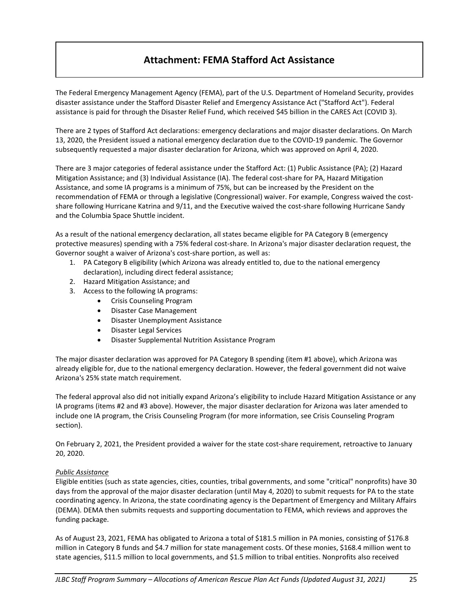# **Attachment: FEMA Stafford Act Assistance**

The Federal Emergency Management Agency (FEMA), part of the U.S. Department of Homeland Security, provides disaster assistance under the Stafford Disaster Relief and Emergency Assistance Act ("Stafford Act"). Federal assistance is paid for through the Disaster Relief Fund, which received \$45 billion in the CARES Act (COVID 3).

There are 2 types of Stafford Act declarations: emergency declarations and major disaster declarations. On March 13, 2020, the President issued a national emergency declaration due to the COVID-19 pandemic. The Governor subsequently requested a major disaster declaration for Arizona, which was approved on April 4, 2020.

There are 3 major categories of federal assistance under the Stafford Act: (1) Public Assistance (PA); (2) Hazard Mitigation Assistance; and (3) Individual Assistance (IA). The federal cost-share for PA, Hazard Mitigation Assistance, and some IA programs is a minimum of 75%, but can be increased by the President on the recommendation of FEMA or through a legislative (Congressional) waiver. For example, Congress waived the costshare following Hurricane Katrina and 9/11, and the Executive waived the cost-share following Hurricane Sandy and the Columbia Space Shuttle incident.

As a result of the national emergency declaration, all states became eligible for PA Category B (emergency protective measures) spending with a 75% federal cost-share. In Arizona's major disaster declaration request, the Governor sought a waiver of Arizona's cost-share portion, as well as:

- 1. PA Category B eligibility (which Arizona was already entitled to, due to the national emergency declaration), including direct federal assistance;
- 2. Hazard Mitigation Assistance; and
- 3. Access to the following IA programs:
	- Crisis Counseling Program
	- Disaster Case Management
	- Disaster Unemployment Assistance
	- Disaster Legal Services
	- Disaster Supplemental Nutrition Assistance Program

The major disaster declaration was approved for PA Category B spending (item #1 above), which Arizona was already eligible for, due to the national emergency declaration. However, the federal government did not waive Arizona's 25% state match requirement.

The federal approval also did not initially expand Arizona's eligibility to include Hazard Mitigation Assistance or any IA programs (items #2 and #3 above). However, the major disaster declaration for Arizona was later amended to include one IA program, the Crisis Counseling Program (for more information, see Crisis Counseling Program section).

On February 2, 2021, the President provided a waiver for the state cost-share requirement, retroactive to January 20, 2020.

#### *Public Assistance*

Eligible entities (such as state agencies, cities, counties, tribal governments, and some "critical" nonprofits) have 30 days from the approval of the major disaster declaration (until May 4, 2020) to submit requests for PA to the state coordinating agency. In Arizona, the state coordinating agency is the Department of Emergency and Military Affairs (DEMA). DEMA then submits requests and supporting documentation to FEMA, which reviews and approves the funding package.

As of August 23, 2021, FEMA has obligated to Arizona a total of \$181.5 million in PA monies, consisting of \$176.8 million in Category B funds and \$4.7 million for state management costs. Of these monies, \$168.4 million went to state agencies, \$11.5 million to local governments, and \$1.5 million to tribal entities. Nonprofits also received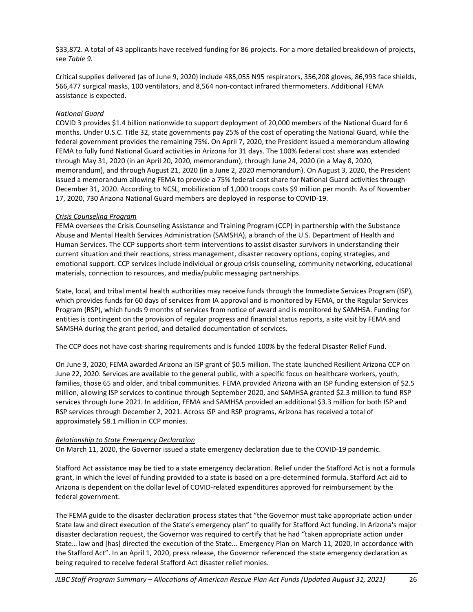\$33,872. A total of 43 applicants have received funding for 86 projects. For a more detailed breakdown of projects, see *Table 9*.

Critical supplies delivered (as of June 9, 2020) include 485,055 N95 respirators, 356,208 gloves, 86,993 face shields, 566,477 surgical masks, 100 ventilators, and 8,564 non-contact infrared thermometers. Additional FEMA assistance is expected.

### *National Guard*

COVID 3 provides \$1.4 billion nationwide to support deployment of 20,000 members of the National Guard for 6 months. Under U.S.C. Title 32, state governments pay 25% of the cost of operating the National Guard, while the federal government provides the remaining 75%. On April 7, 2020, the President issued a memorandum allowing FEMA to fully fund National Guard activities in Arizona for 31 days. The 100% federal cost share was extended through May 31, 2020 (in an April 20, 2020, memorandum), through June 24, 2020 (in a May 8, 2020, memorandum), and through August 21, 2020 (in a June 2, 2020 memorandum). On August 3, 2020, the President issued a memorandum allowing FEMA to provide a 75% federal cost share for National Guard activities through December 31, 2020. According to NCSL, mobilization of 1,000 troops costs \$9 million per month. As of November 17, 2020, 730 Arizona National Guard members are deployed in response to COVID-19.

#### *Crisis Counseling Program*

FEMA oversees the Crisis Counseling Assistance and Training Program (CCP) in partnership with the Substance Abuse and Mental Health Services Administration (SAMSHA), a branch of the U.S. Department of Health and Human Services. The CCP supports short-term interventions to assist disaster survivors in understanding their current situation and their reactions, stress management, disaster recovery options, coping strategies, and emotional support. CCP services include individual or group crisis counseling, community networking, educational materials, connection to resources, and media/public messaging partnerships.

State, local, and tribal mental health authorities may receive funds through the Immediate Services Program (ISP), which provides funds for 60 days of services from IA approval and is monitored by FEMA, or the Regular Services Program (RSP), which funds 9 months of services from notice of award and is monitored by SAMHSA. Funding for entities is contingent on the provision of regular progress and financial status reports, a site visit by FEMA and SAMSHA during the grant period, and detailed documentation of services.

The CCP does not have cost-sharing requirements and is funded 100% by the federal Disaster Relief Fund.

On June 3, 2020, FEMA awarded Arizona an ISP grant of \$0.5 million. The state launched Resilient Arizona CCP on June 22, 2020. Services are available to the general public, with a specific focus on healthcare workers, youth, families, those 65 and older, and tribal communities. FEMA provided Arizona with an ISP funding extension of \$2.5 million, allowing ISP services to continue through September 2020, and SAMHSA granted \$2.3 million to fund RSP services through June 2021. In addition, FEMA and SAMHSA provided an additional \$3.3 million for both ISP and RSP services through December 2, 2021. Across ISP and RSP programs, Arizona has received a total of approximately \$8.1 million in CCP monies.

#### *Relationship to State Emergency Declaration*

On March 11, 2020, the Governor issued a state emergency declaration due to the COVID-19 pandemic.

Stafford Act assistance may be tied to a state emergency declaration. Relief under the Stafford Act is not a formula grant, in which the level of funding provided to a state is based on a pre-determined formula. Stafford Act aid to Arizona is dependent on the dollar level of COVID-related expenditures approved for reimbursement by the federal government.

The FEMA guide to the disaster declaration process states that "the Governor must take appropriate action under State law and direct execution of the State's emergency plan" to qualify for Stafford Act funding. In Arizona's major disaster declaration request, the Governor was required to certify that he had "taken appropriate action under State… law and [has] directed the execution of the State... Emergency Plan on March 11, 2020, in accordance with the Stafford Act". In an April 1, 2020, press release, the Governor referenced the state emergency declaration as being required to receive federal Stafford Act disaster relief monies.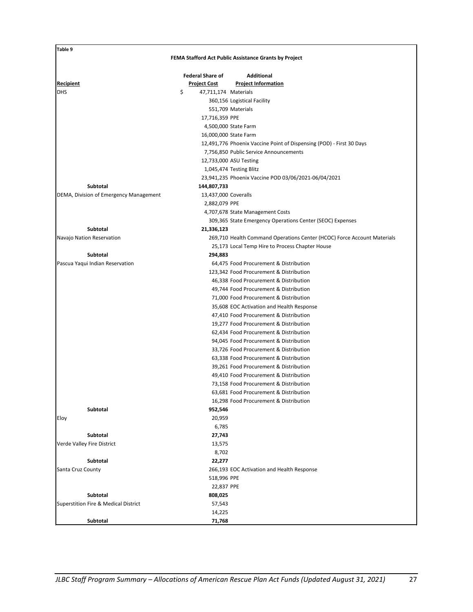| Table 9                                         |                            |                                                                         |
|-------------------------------------------------|----------------------------|-------------------------------------------------------------------------|
|                                                 |                            | FEMA Stafford Act Public Assistance Grants by Project                   |
|                                                 | <b>Federal Share of</b>    | <b>Additional</b>                                                       |
| <b>Recipient</b>                                | <u>Project Cost</u>        | <b>Project Information</b>                                              |
| <b>DHS</b>                                      | \$<br>47,711,174 Materials |                                                                         |
|                                                 |                            | 360,156 Logistical Facility                                             |
|                                                 |                            | 551,709 Materials                                                       |
|                                                 | 17,716,359 PPE             |                                                                         |
|                                                 |                            | 4,500,000 State Farm                                                    |
|                                                 |                            | 16,000,000 State Farm                                                   |
|                                                 |                            | 12,491,776 Phoenix Vaccine Point of Dispensing (POD) - First 30 Days    |
|                                                 |                            | 7,756,850 Public Service Announcements                                  |
|                                                 |                            | 12,733,000 ASU Testing                                                  |
|                                                 |                            | 1,045,474 Testing Blitz                                                 |
|                                                 |                            | 23,941,235 Phoenix Vaccine POD 03/06/2021-06/04/2021                    |
| Subtotal                                        | 144,807,733                |                                                                         |
| DEMA, Division of Emergency Management          | 13,437,000 Coveralls       |                                                                         |
|                                                 | 2,882,079 PPE              |                                                                         |
|                                                 |                            | 4,707,678 State Management Costs                                        |
|                                                 |                            | 309,365 State Emergency Operations Center (SEOC) Expenses               |
| Subtotal                                        | 21,336,123                 |                                                                         |
| Navajo Nation Reservation                       |                            | 269,710 Health Command Operations Center (HCOC) Force Account Materials |
|                                                 |                            | 25,173 Local Temp Hire to Process Chapter House                         |
| Subtotal                                        | 294,883                    |                                                                         |
| Pascua Yaqui Indian Reservation                 |                            | 64,475 Food Procurement & Distribution                                  |
|                                                 |                            | 123,342 Food Procurement & Distribution                                 |
|                                                 |                            | 46,338 Food Procurement & Distribution                                  |
|                                                 |                            | 49,744 Food Procurement & Distribution                                  |
|                                                 |                            | 71,000 Food Procurement & Distribution                                  |
|                                                 |                            | 35,608 EOC Activation and Health Response                               |
|                                                 |                            | 47,410 Food Procurement & Distribution                                  |
|                                                 |                            | 19,277 Food Procurement & Distribution                                  |
|                                                 |                            | 62,434 Food Procurement & Distribution                                  |
|                                                 |                            | 94,045 Food Procurement & Distribution                                  |
|                                                 |                            | 33,726 Food Procurement & Distribution                                  |
|                                                 |                            | 63,338 Food Procurement & Distribution                                  |
|                                                 |                            | 39,261 Food Procurement & Distribution                                  |
|                                                 |                            | 49,410 Food Procurement & Distribution                                  |
|                                                 |                            | 73,158 Food Procurement & Distribution                                  |
|                                                 |                            | 63,681 Food Procurement & Distribution                                  |
|                                                 |                            | 16,298 Food Procurement & Distribution                                  |
| Subtotal                                        | 952,546                    |                                                                         |
| Eloy                                            | 20,959                     |                                                                         |
| Subtotal                                        | 6,785<br>27,743            |                                                                         |
| Verde Valley Fire District                      | 13,575                     |                                                                         |
|                                                 | 8,702                      |                                                                         |
| Subtotal                                        | 22,277                     |                                                                         |
| Santa Cruz County                               |                            | 266,193 EOC Activation and Health Response                              |
|                                                 | 518,996 PPE                |                                                                         |
|                                                 | 22,837 PPE                 |                                                                         |
| Subtotal                                        | 808,025                    |                                                                         |
| <b>Superstition Fire &amp; Medical District</b> | 57,543                     |                                                                         |
|                                                 | 14,225                     |                                                                         |
| Subtotal                                        | 71,768                     |                                                                         |
|                                                 |                            |                                                                         |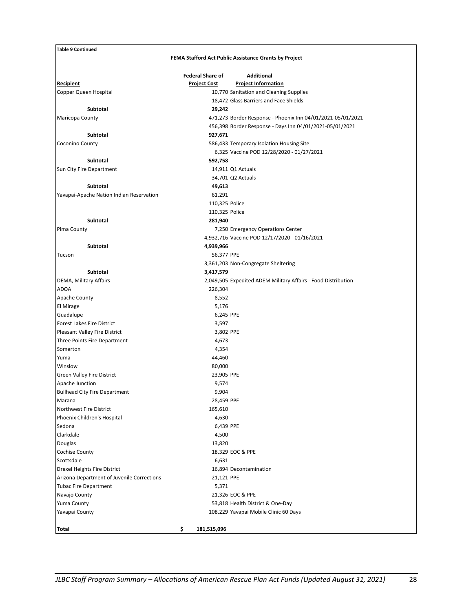| <b>Table 9 Continued</b>                   |                         |                                                                       |
|--------------------------------------------|-------------------------|-----------------------------------------------------------------------|
|                                            |                         | FEMA Stafford Act Public Assistance Grants by Project                 |
|                                            |                         |                                                                       |
|                                            | <b>Federal Share of</b> | <b>Additional</b>                                                     |
| <b>Recipient</b><br>Copper Queen Hospital  | <b>Project Cost</b>     | <b>Project Information</b><br>10,770 Sanitation and Cleaning Supplies |
|                                            |                         | 18,472 Glass Barriers and Face Shields                                |
| Subtotal                                   | 29,242                  |                                                                       |
| Maricopa County                            |                         | 471,273 Border Response - Phoenix Inn 04/01/2021-05/01/2021           |
|                                            |                         | 456,398 Border Response - Days Inn 04/01/2021-05/01/2021              |
| <b>Subtotal</b>                            | 927,671                 |                                                                       |
| Coconino County                            |                         | 586,433 Temporary Isolation Housing Site                              |
|                                            |                         | 6,325 Vaccine POD 12/28/2020 - 01/27/2021                             |
| Subtotal                                   | 592,758                 |                                                                       |
| Sun City Fire Department                   |                         | 14,911 Q1 Actuals                                                     |
|                                            |                         | 34,701 Q2 Actuals                                                     |
| Subtotal                                   | 49,613                  |                                                                       |
| Yavapai-Apache Nation Indian Reservation   | 61,291                  |                                                                       |
|                                            |                         | 110,325 Police                                                        |
|                                            |                         | 110,325 Police                                                        |
| Subtotal                                   | 281,940                 |                                                                       |
| Pima County                                |                         | 7,250 Emergency Operations Center                                     |
|                                            |                         | 4,932,716 Vaccine POD 12/17/2020 - 01/16/2021                         |
| Subtotal                                   | 4,939,966               |                                                                       |
| Tucson                                     |                         | 56,377 PPE                                                            |
|                                            |                         | 3,361,203 Non-Congregate Sheltering                                   |
| <b>Subtotal</b>                            | 3,417,579               |                                                                       |
| DEMA, Military Affairs                     |                         | 2,049,505 Expedited ADEM Military Affairs - Food Distribution         |
| <b>ADOA</b>                                | 226,304                 |                                                                       |
| Apache County                              | 8,552                   |                                                                       |
| El Mirage                                  | 5,176                   |                                                                       |
| Guadalupe                                  |                         | 6,245 PPE                                                             |
| <b>Forest Lakes Fire District</b>          | 3,597                   |                                                                       |
| Pleasant Valley Fire District              |                         | 3,802 PPE                                                             |
| Three Points Fire Department               | 4,673                   |                                                                       |
| Somerton                                   | 4,354                   |                                                                       |
| Yuma                                       | 44,460                  |                                                                       |
| Winslow                                    | 80,000                  |                                                                       |
| Green Valley Fire District                 |                         | 23,905 PPE                                                            |
| Apache Junction                            | 9,574                   |                                                                       |
| <b>Bullhead City Fire Department</b>       | 9,904                   |                                                                       |
| Marana                                     |                         | 28,459 PPE                                                            |
| Northwest Fire District                    | 165,610                 |                                                                       |
| Phoenix Children's Hospital                | 4,630                   |                                                                       |
| Sedona                                     |                         | 6,439 PPE                                                             |
| Clarkdale                                  | 4,500                   |                                                                       |
| Douglas                                    | 13,820                  |                                                                       |
| Cochise County<br>Scottsdale               | 6,631                   | 18,329 EOC & PPE                                                      |
| Drexel Heights Fire District               |                         | 16,894 Decontamination                                                |
| Arizona Department of Juvenile Corrections |                         | 21,121 PPE                                                            |
| <b>Tubac Fire Department</b>               | 5,371                   |                                                                       |
| Navajo County                              |                         | 21,326 EOC & PPE                                                      |
| Yuma County                                |                         | 53,818 Health District & One-Day                                      |
| Yavapai County                             |                         | 108,229 Yavapai Mobile Clinic 60 Days                                 |
|                                            |                         |                                                                       |
| Total                                      | \$<br>181,515,096       |                                                                       |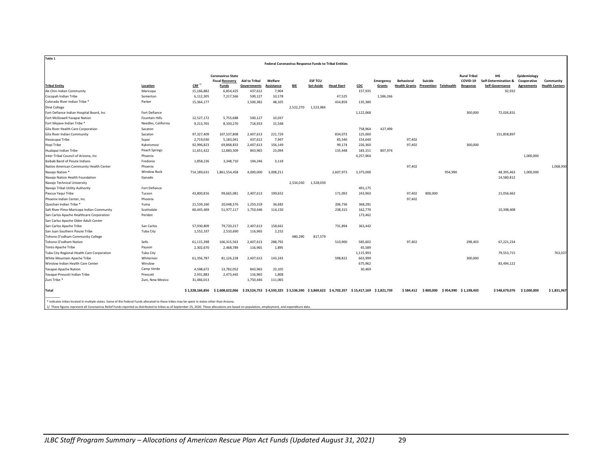|                                            |                       |                     |                          |                                                                                       | <b>Federal Coronavirus Response Funds to Tribal Entities</b> |           |                |                   |           |           |                      |                       |         |                       |                           |                   |                       |
|--------------------------------------------|-----------------------|---------------------|--------------------------|---------------------------------------------------------------------------------------|--------------------------------------------------------------|-----------|----------------|-------------------|-----------|-----------|----------------------|-----------------------|---------|-----------------------|---------------------------|-------------------|-----------------------|
|                                            |                       |                     | <b>Coronavirus State</b> |                                                                                       |                                                              |           |                |                   |           |           |                      |                       |         | <b>Rural Tribal</b>   | <b>IHS</b>                | Epidemiology      |                       |
|                                            |                       |                     | <b>Fiscal Recovery</b>   | <b>Aid to Tribal</b>                                                                  | Welfare                                                      |           | <b>ESF TCU</b> |                   |           | Emergency | <b>Behavioral</b>    | Suicide               |         | COVID-19              | Self-Determination &      | Cooperative       | Community             |
| <b>Tribal Entity</b>                       | Location              | $CRE$ <sup>1/</sup> | Funds                    | Governments                                                                           | <b>Assistance</b>                                            | BIE       | Set-Aside      | <b>Head Start</b> | CDC       | Grants    | <b>Health Grants</b> | Prevention Telehealth |         | Response              | Self-Governance           | <b>Agreements</b> | <b>Health Centers</b> |
| Ak-Chin Indian Community                   | Maricopa              | 15,166,882          | 6,854,425                | 437,612                                                                               | 7,904                                                        |           |                |                   | 157,935   |           |                      |                       |         |                       | 92,932                    |                   |                       |
| Cocopah Indian Tribe                       | Somerton              | 6,112,305           | 7,217,566                | 500,127                                                                               | 10,178                                                       |           |                | 47,525            |           | 1,586,266 |                      |                       |         |                       |                           |                   |                       |
| Colorado River Indian Tribe *              | Parker                | 15,364,177          |                          | 1,500,382                                                                             | 48,105                                                       |           |                | 434,859           | 135,380   |           |                      |                       |         |                       |                           |                   |                       |
| Diné College                               |                       |                     |                          |                                                                                       |                                                              | 2,522,270 | 1,523,984      |                   |           |           |                      |                       |         |                       |                           |                   |                       |
| Fort Defiance Indian Hospital Board, Inc   | Fort Defiance         |                     |                          |                                                                                       |                                                              |           |                |                   | 1,122,068 |           |                      |                       |         | 300,000               | 72,026,831                |                   |                       |
| Fort McDowell Yavapai Nation               | <b>Fountain Hills</b> | 12,527,172          | 5,755,688                | 500,127                                                                               | 10,037                                                       |           |                |                   |           |           |                      |                       |         |                       |                           |                   |                       |
| Fort Mojave Indian Tribe *                 | Needles, California   | 9,213,765           | 8,330,270                | 718,933                                                                               | 15,548                                                       |           |                |                   |           |           |                      |                       |         |                       |                           |                   |                       |
| Gila River Health Care Corporation         | Sacaton               |                     |                          |                                                                                       |                                                              |           |                |                   | 758,964   | 427,499   |                      |                       |         |                       |                           |                   |                       |
| Gila River Indian Community                | Sacaton               | 97,327,409          | 107,537,808              | 2,407,613                                                                             | 221,729                                                      |           |                | 834,073           | 125,000   |           |                      |                       |         |                       | 151,858,897               |                   |                       |
| Havasupai Tribe                            | Supai                 | 2,719,030           | 5,183,041                | 437,612                                                                               | 7,947                                                        |           |                | 85,546            | 154,640   |           | 97,402               |                       |         |                       |                           |                   |                       |
| Hopi Tribe                                 | Kykotsmovi            | 92,996,823          | 69,868,833               | 2,407,613                                                                             | 156,149                                                      |           |                | 99,174            | 226,360   |           | 97,402               |                       |         | 300,000               |                           |                   |                       |
| Hualapai Indian Tribe                      | Peach Springs         | 11,651,422          | 12,883,509               | 843,965                                                                               | 23,094                                                       |           |                | 135,448           | 183,151   | 807,974   |                      |                       |         |                       |                           |                   |                       |
| Inter-Tribal Council of Arizona, Inc       | Phoenix               |                     |                          |                                                                                       |                                                              |           |                |                   | 4,257,964 |           |                      |                       |         |                       |                           | 1,000,000         |                       |
| Kaibab Band of Paiute Indians              | Fredonia              | 1,858,226           | 3,348,710                | 194,246                                                                               | 3,118                                                        |           |                |                   |           |           |                      |                       |         |                       |                           |                   |                       |
| Native American Community Health Center    | Phoenix               |                     |                          |                                                                                       |                                                              |           |                |                   |           |           | 97,402               |                       |         |                       |                           |                   | 1,068,930             |
| Navajo Nation <sup>*</sup>                 | <b>Window Rock</b>    | 714,189,631         | 1,861,554,458            | 4,000,000                                                                             | 3,008,211                                                    |           |                | 2,607,973         | 3,375,000 |           |                      |                       | 954,990 |                       | 48,395,463                | 1,000,000         |                       |
| Navajo Nation Health Foundation            | Ganado                |                     |                          |                                                                                       |                                                              |           |                |                   |           |           |                      |                       |         |                       | 14,580,812                |                   |                       |
| Navajo Technical University                |                       |                     |                          |                                                                                       |                                                              | 2,534,030 | 1,528,059      |                   |           |           |                      |                       |         |                       |                           |                   |                       |
| Navajo Tribal Utility Authority            | Fort Defiance         |                     |                          |                                                                                       |                                                              |           |                |                   | 491,175   |           |                      |                       |         |                       |                           |                   |                       |
| Pascua Yaqui Tribe                         | Tucson                | 43,800,816          | 99,665,081               | 2,407,613                                                                             | 199,652                                                      |           |                | 171,092           | 243,963   |           | 97,402               | 800,000               |         |                       | 21,056,662                |                   |                       |
| Phoenix Indian Center, Inc                 | Phoenix               |                     |                          |                                                                                       |                                                              |           |                |                   |           |           | 97,402               |                       |         |                       |                           |                   |                       |
| Quechan Indian Tribe *                     | Yuma                  | 21,539,160          | 20,048,576               | 1,250,319                                                                             | 36,682                                                       |           |                | 206,736           | 368,281   |           |                      |                       |         |                       |                           |                   |                       |
| Salt River Pima-Maricopa Indian Community  | Scottsdale            | 60,445,469          | 51,977,117               | 1,750,446                                                                             | 114,150                                                      |           |                | 238,315           | 162,770   |           |                      |                       |         |                       | 10,398,408                |                   |                       |
| San Carlos Apache Healthcare Corporation   | Peridot               |                     |                          |                                                                                       |                                                              |           |                |                   | 173,462   |           |                      |                       |         |                       |                           |                   |                       |
| San Carlos Apache Older Adult Center       |                       |                     |                          |                                                                                       |                                                              |           |                |                   |           |           |                      |                       |         |                       |                           |                   |                       |
| San Carlos Apache Tribe                    | San Carlos            | 57,930,809          | 79,720,217               | 2,407,613                                                                             | 158,661                                                      |           |                | 731,894           | 363,442   |           |                      |                       |         |                       |                           |                   |                       |
| San Juan Southern Paiute Tribe             | <b>Tuba City</b>      | 1,552,337           | 2,510,690                | 116,965                                                                               | 2,252                                                        |           |                |                   |           |           |                      |                       |         |                       |                           |                   |                       |
| Tohono O'odham Community College           |                       |                     |                          |                                                                                       |                                                              | 480,290   | 817,579        |                   |           |           |                      |                       |         |                       |                           |                   |                       |
| Tohono O'odham Nation                      | Sells                 | 61,115,398          | 166, 315, 563            | 2,407,613                                                                             | 288,792                                                      |           |                | 510,900           | 585,602   |           | 97,402               |                       |         | 298,403               | 67,221,234                |                   |                       |
| <b>Tonto Apache Tribe</b>                  | Payson                | 2,302,670           | 2,468,789                | 116,965                                                                               | 1,895                                                        |           |                |                   | 45,589    |           |                      |                       |         |                       |                           |                   |                       |
| Tuba City Regional Health Care Corporation | Tuba City             |                     |                          |                                                                                       |                                                              |           |                |                   | 1,115,993 |           |                      |                       |         |                       | 79,553,715                |                   | 763,037               |
| White Mountain Apache Tribe                | Whiteriver            | 61,356,787          | 81,126,228               | 2,407,613                                                                             | 143,243                                                      |           |                | 598,822           | 663,999   |           |                      |                       |         | 300,000               |                           |                   |                       |
| Winslow Indian Health Care Center          | Winslow               |                     |                          |                                                                                       |                                                              |           |                |                   | 675,962   |           |                      |                       |         |                       | 83,494,122                |                   |                       |
| Yavapai-Apache Nation                      | Camp Verde            | 4,598,672           | 13,782,052               | 843,965                                                                               | 23,105                                                       |           |                |                   | 30,469    |           |                      |                       |         |                       |                           |                   |                       |
| Yavapai-Prescott Indian Tribe              | Prescott              | 2,931,883           | 2,473,445                | 116,965                                                                               | 1,808                                                        |           |                |                   |           |           |                      |                       |         |                       |                           |                   |                       |
| Zuni Tribe <sup>*</sup>                    | Zuni, New Mexico      | 31,466,013          |                          | 1,750,446                                                                             | 111,065                                                      |           |                |                   |           |           |                      |                       |         |                       |                           |                   |                       |
| Total                                      |                       | \$1,328,166,856     | \$2.608.622.066          | \$29,524,753 \$4,593,325 \$5,536,590 \$3,869,622 \$6,702,357 \$15,417,169 \$2,821,739 |                                                              |           |                |                   |           |           |                      | \$584,412 \$800,000   |         | \$954,990 \$1,198,403 | \$548,679,076 \$2,000,000 |                   | \$1,831,967           |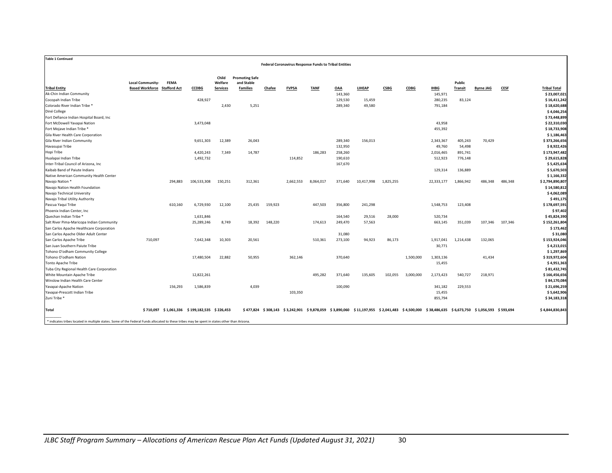| <b>Table 1 Continued</b><br><b>Federal Coronavirus Response Funds to Tribal Entities</b>                                                      |                                     |                                               |              |                  |                                     |         |              |             |            |                                                                                                                                             |             |             |             |                |                  |             |                     |
|-----------------------------------------------------------------------------------------------------------------------------------------------|-------------------------------------|-----------------------------------------------|--------------|------------------|-------------------------------------|---------|--------------|-------------|------------|---------------------------------------------------------------------------------------------------------------------------------------------|-------------|-------------|-------------|----------------|------------------|-------------|---------------------|
|                                                                                                                                               | <b>Local Community-</b>             | <b>FEMA</b>                                   |              | Child<br>Welfare | <b>Promoting Safe</b><br>and Stable |         |              |             |            |                                                                                                                                             |             |             |             | Public         |                  |             |                     |
| <b>Tribal Entity</b>                                                                                                                          | <b>Based Workforce Stafford Act</b> |                                               | <b>CCDBG</b> | <b>Services</b>  | <b>Families</b>                     | Chafee  | <b>FVPSA</b> | <b>TANE</b> | <b>OAA</b> | <b>LIHEAP</b>                                                                                                                               | <b>CSBG</b> | <b>CDBG</b> | <b>IHBG</b> | <b>Transit</b> | <b>Byrne JAG</b> | <b>CESE</b> | <b>Tribal Total</b> |
| Ak-Chin Indian Community                                                                                                                      |                                     |                                               |              |                  |                                     |         |              |             | 143,360    |                                                                                                                                             |             |             | 145,971     |                |                  |             | \$23,007,021        |
| Cocopah Indian Tribe                                                                                                                          |                                     |                                               | 428,927      |                  |                                     |         |              |             | 129,530    | 15,459                                                                                                                                      |             |             | 280,235     | 83,124         |                  |             | \$16,411,242        |
| Colorado River Indian Tribe *                                                                                                                 |                                     |                                               |              | 2,430            | 5.251                               |         |              |             | 289,340    | 49,580                                                                                                                                      |             |             | 791,184     |                |                  |             | \$18,620,688        |
| Diné College                                                                                                                                  |                                     |                                               |              |                  |                                     |         |              |             |            |                                                                                                                                             |             |             |             |                |                  |             | \$4,046,254         |
| Fort Defiance Indian Hospital Board, Inc                                                                                                      |                                     |                                               |              |                  |                                     |         |              |             |            |                                                                                                                                             |             |             |             |                |                  |             | \$73,448,899        |
| Fort McDowell Yavapai Nation                                                                                                                  |                                     |                                               | 3,473,048    |                  |                                     |         |              |             |            |                                                                                                                                             |             |             | 43,958      |                |                  |             | \$22,310,030        |
| Fort Mojave Indian Tribe *                                                                                                                    |                                     |                                               |              |                  |                                     |         |              |             |            |                                                                                                                                             |             |             | 455,392     |                |                  |             | \$18,733,908        |
| Gila River Health Care Corporation                                                                                                            |                                     |                                               |              |                  |                                     |         |              |             |            |                                                                                                                                             |             |             |             |                |                  |             | \$1,186,463         |
| Gila River Indian Community                                                                                                                   |                                     |                                               | 9,651,303    | 12,389           | 26,043                              |         |              |             | 289,340    | 156,013                                                                                                                                     |             |             | 2,343,367   | 405,243        | 70,429           |             | \$373,266,656       |
| Havasupai Tribe                                                                                                                               |                                     |                                               |              |                  |                                     |         |              |             | 132,950    |                                                                                                                                             |             |             | 49,760      | 54,498         |                  |             | \$8,922,426         |
| Hopi Tribe                                                                                                                                    |                                     |                                               | 4,420,243    | 7,349            | 14,787                              |         |              | 186.283     | 258,260    |                                                                                                                                             |             |             | 2,016,465   | 891,741        |                  |             | \$173,947,482       |
| Hualapai Indian Tribe                                                                                                                         |                                     |                                               | 1,492,732    |                  |                                     |         | 114,852      |             | 190,610    |                                                                                                                                             |             |             | 512,923     | 776,148        |                  |             | \$29,615,828        |
| Inter-Tribal Council of Arizona, Inc                                                                                                          |                                     |                                               |              |                  |                                     |         |              |             | 167,670    |                                                                                                                                             |             |             |             |                |                  |             | \$5,425,634         |
| Kaibab Band of Paiute Indians                                                                                                                 |                                     |                                               |              |                  |                                     |         |              |             |            |                                                                                                                                             |             |             | 129,314     | 136,889        |                  |             | \$5,670,503         |
| Native American Community Health Center                                                                                                       |                                     |                                               |              |                  |                                     |         |              |             |            |                                                                                                                                             |             |             |             |                |                  |             | \$1,166,332         |
| Navajo Nation <sup>*</sup>                                                                                                                    |                                     | 294,883                                       | 106,533,308  | 150,251          | 312,361                             |         | 2,662,553    | 8,064,017   | 371,640    | 10,417,998                                                                                                                                  | 1,825,255   |             | 22,333,177  | 1,866,942      | 486,348          | 486,348     | \$2,794,890,807     |
| Navajo Nation Health Foundation                                                                                                               |                                     |                                               |              |                  |                                     |         |              |             |            |                                                                                                                                             |             |             |             |                |                  |             | \$14,580,812        |
| Navajo Technical University                                                                                                                   |                                     |                                               |              |                  |                                     |         |              |             |            |                                                                                                                                             |             |             |             |                |                  |             | \$4,062,089         |
| Navajo Tribal Utility Authority                                                                                                               |                                     |                                               |              |                  |                                     |         |              |             |            |                                                                                                                                             |             |             |             |                |                  |             | \$491,175           |
| Pascua Yaqui Tribe                                                                                                                            |                                     | 610,160                                       | 6,729,930    | 12,100           | 25,435                              | 159,923 |              | 447,503     | 356,800    | 241,298                                                                                                                                     |             |             | 1,548,753   | 123,408        |                  |             | \$178,697,591       |
| Phoenix Indian Center, Inc.                                                                                                                   |                                     |                                               |              |                  |                                     |         |              |             |            |                                                                                                                                             |             |             |             |                |                  |             | \$97,402            |
| Quechan Indian Tribe *                                                                                                                        |                                     |                                               | 1,631,846    |                  |                                     |         |              |             | 164,540    | 29,516                                                                                                                                      | 28,000      |             | 520,734     |                |                  |             | \$45,824,390        |
| Salt River Pima-Maricopa Indian Community                                                                                                     |                                     |                                               | 25,289,246   | 8,749            | 18,392                              | 148,220 |              | 174,613     | 249,470    | 57,563                                                                                                                                      |             |             | 663,145     | 351,039        | 107.346          | 107,346     | \$152,261,804       |
| San Carlos Apache Healthcare Corporation                                                                                                      |                                     |                                               |              |                  |                                     |         |              |             |            |                                                                                                                                             |             |             |             |                |                  |             | \$173,462           |
| San Carlos Apache Older Adult Center                                                                                                          |                                     |                                               |              |                  |                                     |         |              |             | 31,080     |                                                                                                                                             |             |             |             |                |                  |             | \$31,080            |
| San Carlos Apache Tribe                                                                                                                       | 710,097                             |                                               | 7,642,348    | 10,303           | 20,561                              |         |              | 510,361     | 273,100    | 94,923                                                                                                                                      | 86,173      |             | 1,917,041   | 1,214,438      | 132,065          |             | \$153,924,046       |
| San Juan Southern Paiute Tribe                                                                                                                |                                     |                                               |              |                  |                                     |         |              |             |            |                                                                                                                                             |             |             | 30,771      |                |                  |             | \$4,213,015         |
| Tohono O'odham Community College                                                                                                              |                                     |                                               |              |                  |                                     |         |              |             |            |                                                                                                                                             |             |             |             |                |                  |             | \$1,297,869         |
| Tohono O'odham Nation                                                                                                                         |                                     |                                               | 17,480,504   | 22,882           | 50,955                              |         | 362,146      |             | 370,640    |                                                                                                                                             |             | 1,500,000   | 1,303,136   |                | 41,434           |             | \$319,972,604       |
| Tonto Apache Tribe                                                                                                                            |                                     |                                               |              |                  |                                     |         |              |             |            |                                                                                                                                             |             |             | 15,455      |                |                  |             | \$4,951,363         |
| Tuba City Regional Health Care Corporation                                                                                                    |                                     |                                               |              |                  |                                     |         |              |             |            |                                                                                                                                             |             |             |             |                |                  |             | \$81,432,745        |
| White Mountain Apache Tribe                                                                                                                   |                                     |                                               | 12,822,261   |                  |                                     |         |              | 495,282     | 371,640    | 135,605                                                                                                                                     | 102,055     | 3,000,000   | 2,173,423   | 540,727        | 218,971          |             | \$166,456,656       |
| Winslow Indian Health Care Center                                                                                                             |                                     |                                               |              |                  |                                     |         |              |             |            |                                                                                                                                             |             |             |             |                |                  |             | \$84,170,084        |
| Yavapai-Apache Nation                                                                                                                         |                                     | 156,293                                       | 1,586,839    |                  | 4,039                               |         |              |             | 100,090    |                                                                                                                                             |             |             | 341,182     | 229,553        |                  |             | \$21,696,259        |
| Yavapai-Prescott Indian Tribe                                                                                                                 |                                     |                                               |              |                  |                                     |         | 103,350      |             |            |                                                                                                                                             |             |             | 15,455      |                |                  |             | \$5,642,906         |
| Zuni Tribe                                                                                                                                    |                                     |                                               |              |                  |                                     |         |              |             |            |                                                                                                                                             |             |             | 855,794     |                |                  |             | \$34,183,318        |
| Total                                                                                                                                         |                                     | \$710,097 \$1,061,336 \$199,182,535 \$226,453 |              |                  |                                     |         |              |             |            | \$477,824 \$308,143 \$3,242,901 \$9,878,059 \$3,890,060 \$11,197,955 \$2,041,483 \$4,500,000 \$38,486,635 \$6,673,750 \$1,056,593 \$593,694 |             |             |             |                |                  |             | \$4,844,830,843     |
| * indicates tribes located in multiple states. Some of the Federal Funds allocated to these tribes may be spent in states other than Arizona. |                                     |                                               |              |                  |                                     |         |              |             |            |                                                                                                                                             |             |             |             |                |                  |             |                     |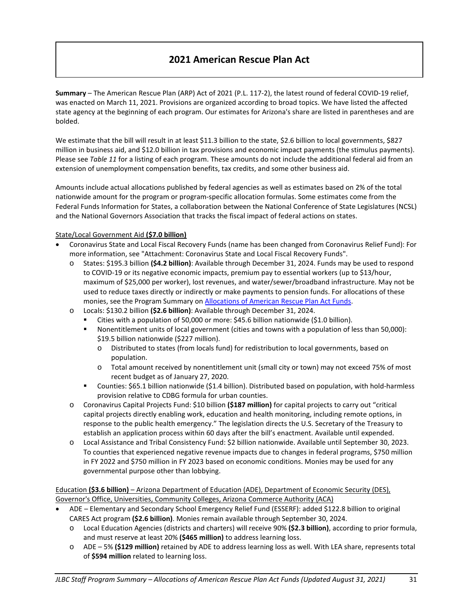# **2021 American Rescue Plan Act**

**Summary** – The American Rescue Plan (ARP) Act of 2021 (P.L. 117-2), the latest round of federal COVID-19 relief, was enacted on March 11, 2021. Provisions are organized according to broad topics. We have listed the affected state agency at the beginning of each program. Our estimates for Arizona's share are listed in parentheses and are bolded.

We estimate that the bill will result in at least \$11.3 billion to the state, \$2.6 billion to local governments, \$827 million in business aid, and \$12.0 billion in tax provisions and economic impact payments (the stimulus payments). Please see *Table 11* for a listing of each program. These amounts do not include the additional federal aid from an extension of unemployment compensation benefits, tax credits, and some other business aid.

Amounts include actual allocations published by federal agencies as well as estimates based on 2% of the total nationwide amount for the program or program-specific allocation formulas. Some estimates come from the Federal Funds Information for States, a collaboration between the National Conference of State Legislatures (NCSL) and the National Governors Association that tracks the fiscal impact of federal actions on states.

#### State/Local Government Aid **(\$7.0 billion)**

- Coronavirus State and Local Fiscal Recovery Funds (name has been changed from Coronavirus Relief Fund): For more information, see "Attachment: Coronavirus State and Local Fiscal Recovery Funds".
	- o States: \$195.3 billion **(\$4.2 billion)**: Available through December 31, 2024. Funds may be used to respond to COVID-19 or its negative economic impacts, premium pay to essential workers (up to \$13/hour, maximum of \$25,000 per worker), lost revenues, and water/sewer/broadband infrastructure. May not be used to reduce taxes directly or indirectly or make payments to pension funds. For allocations of these monies, see the Program Summary on [Allocations of American Rescue Plan Act Funds.](https://www.azleg.gov/jlbc/allocationsofamericanrescueplanactfunds082321.pdf)
	- o Locals: \$130.2 billion **(\$2.6 billion)**: Available through December 31, 2024.
		- Cities with a population of 50,000 or more: \$45.6 billion nationwide (\$1.0 billion).
		- Nonentitlement units of local government (cities and towns with a population of less than 50,000): \$19.5 billion nationwide (\$227 million).
			- o Distributed to states (from locals fund) for redistribution to local governments, based on population.
			- o Total amount received by nonentitlement unit (small city or town) may not exceed 75% of most recent budget as of January 27, 2020.
		- Counties: \$65.1 billion nationwide (\$1.4 billion). Distributed based on population, with hold-harmless provision relative to CDBG formula for urban counties.
	- o Coronavirus Capital Projects Fund: \$10 billion **(\$187 million)** for capital projects to carry out "critical capital projects directly enabling work, education and health monitoring, including remote options, in response to the public health emergency." The legislation directs the U.S. Secretary of the Treasury to establish an application process within 60 days after the bill's enactment. Available until expended.
	- o Local Assistance and Tribal Consistency Fund: \$2 billion nationwide. Available until September 30, 2023. To counties that experienced negative revenue impacts due to changes in federal programs, \$750 million in FY 2022 and \$750 million in FY 2023 based on economic conditions. Monies may be used for any governmental purpose other than lobbying.

Education **(\$3.6 billion)** – Arizona Department of Education (ADE), Department of Economic Security (DES), Governor's Office, Universities, Community Colleges, Arizona Commerce Authority (ACA)

- ADE Elementary and Secondary School Emergency Relief Fund (ESSERF): added \$122.8 billion to original CARES Act program **(\$2.6 billion)**. Monies remain available through September 30, 2024.
	- o Local Education Agencies (districts and charters) will receive 90% **(\$2.3 billion)**, according to prior formula, and must reserve at least 20% **(\$465 million)** to address learning loss.
	- o ADE 5% **(\$129 million)** retained by ADE to address learning loss as well. With LEA share, represents total of **\$594 million** related to learning loss.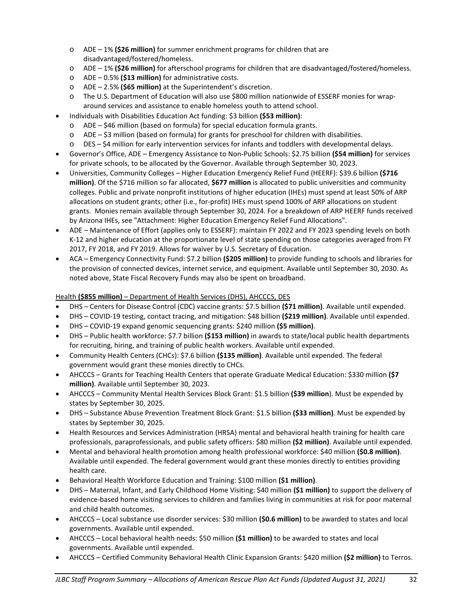- o ADE 1% **(\$26 million)** for summer enrichment programs for children that are disadvantaged/fostered/homeless.
- o ADE 1% **(\$26 million)** for afterschool programs for children that are disadvantaged/fostered/homeless.
- o ADE 0.5% **(\$13 million)** for administrative costs.
- o ADE 2.5% **(\$65 million)** at the Superintendent's discretion.
- o The U.S. Department of Education will also use \$800 million nationwide of ESSERF monies for wraparound services and assistance to enable homeless youth to attend school.
- Individuals with Disabilities Education Act funding: \$3 billion **(\$53 million)**:
	- o ADE \$46 million (based on formula) for special education formula grants.
	- $\circ$  ADE \$3 million (based on formula) for grants for preschool for children with disabilities.
	- o DES \$4 million for early intervention services for infants and toddlers with developmental delays.
- Governor's Office, ADE Emergency Assistance to Non-Public Schools: \$2.75 billion **(\$54 million)** for services for private schools, to be allocated by the Governor. Available through September 30, 2023.
- Universities, Community Colleges Higher Education Emergency Relief Fund (HEERF): \$39.6 billion **(\$716 million)**. Of the \$716 million so far allocated, **\$677 million** is allocated to public universities and community colleges. Public and private nonprofit institutions of higher education (IHEs) must spend at least 50% of ARP allocations on student grants; other (i.e., for-profit) IHEs must spend 100% of ARP allocations on student grants. Monies remain available through September 30, 2024. For a breakdown of ARP HEERF funds received by Arizona IHEs, see "Attachment: Higher Education Emergency Relief Fund Allocations".
- ADE Maintenance of Effort (applies only to ESSERF): maintain FY 2022 and FY 2023 spending levels on both K-12 and higher education at the proportionate level of state spending on those categories averaged from FY 2017, FY 2018, and FY 2019. Allows for waiver by U.S. Secretary of Education.
- ACA Emergency Connectivity Fund: \$7.2 billion **(\$205 million)** to provide funding to schools and libraries for the provision of connected devices, internet service, and equipment. Available until September 30, 2030. As noted above, State Fiscal Recovery Funds may also be spent on broadband.

# Health **(\$855 million)** – Department of Health Services (DHS), AHCCCS, DES

- DHS Centers for Disease Control (CDC) vaccine grants: \$7.5 billion **(\$71 million)**. Available until expended.
- DHS COVID-19 testing, contact tracing, and mitigation: \$48 billion **(\$219 million)**. Available until expended.
- DHS COVID-19 expand genomic sequencing grants: \$240 million **(\$5 million)**.
- DHS Public health workforce: \$7.7 billion **(\$153 million)** in awards to state/local public health departments for recruiting, hiring, and training of public health workers. Available until expended.
- Community Health Centers (CHCs): \$7.6 billion **(\$135 million)**. Available until expended. The federal government would grant these monies directly to CHCs.
- AHCCCS Grants for Teaching Health Centers that operate Graduate Medical Education: \$330 million **(\$7 million)**. Available until September 30, 2023.
- AHCCCS Community Mental Health Services Block Grant: \$1.5 billion **(\$39 million**). Must be expended by states by September 30, 2025.
- DHS Substance Abuse Prevention Treatment Block Grant: \$1.5 billion **(\$33 million)**. Must be expended by states by September 30, 2025.
- Health Resources and Services Administration (HRSA) mental and behavioral health training for health care professionals, paraprofessionals, and public safety officers: \$80 million **(\$2 million)**. Available until expended.
- Mental and behavioral health promotion among health professional workforce: \$40 million **(\$0.8 million)**. Available until expended. The federal government would grant these monies directly to entities providing health care.
- Behavioral Health Workforce Education and Training: \$100 million **(\$1 million)**.
- DHS Maternal, Infant, and Early Childhood Home Visiting: \$40 million **(\$1 million)** to support the delivery of evidence-based home visiting services to children and families living in communities at risk for poor maternal and child health outcomes.
- AHCCCS Local substance use disorder services: \$30 million **(\$0.6 million)** to be awarded to states and local governments. Available until expended.
- AHCCCS Local behavioral health needs: \$50 million **(\$1 million)** to be awarded to states and local governments. Available until expended.
- AHCCCS Certified Community Behavioral Health Clinic Expansion Grants: \$420 million **(\$2 million)** to Terros.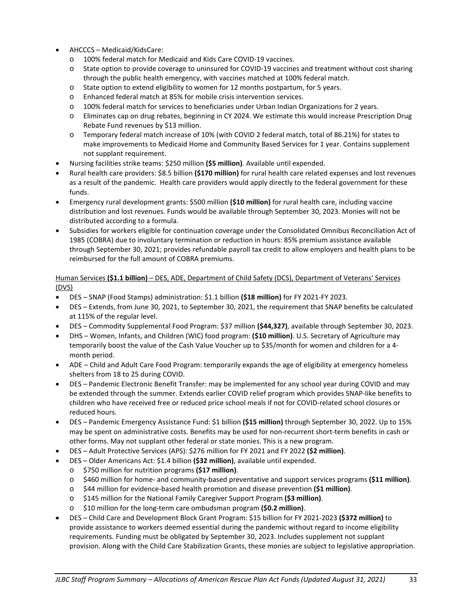- AHCCCS Medicaid/KidsCare:
	- o 100% federal match for Medicaid and Kids Care COVID-19 vaccines.
	- o State option to provide coverage to uninsured for COVID-19 vaccines and treatment without cost sharing through the public health emergency, with vaccines matched at 100% federal match.
	- o State option to extend eligibility to women for 12 months postpartum, for 5 years.
	- o Enhanced federal match at 85% for mobile crisis intervention services.
	- o 100% federal match for services to beneficiaries under Urban Indian Organizations for 2 years.
	- o Eliminates cap on drug rebates, beginning in CY 2024. We estimate this would increase Prescription Drug Rebate Fund revenues by \$13 million.
	- o Temporary federal match increase of 10% (with COVID 2 federal match, total of 86.21%) for states to make improvements to Medicaid Home and Community Based Services for 1 year. Contains supplement not supplant requirement.
- Nursing facilities strike teams: \$250 million **(\$5 million)**. Available until expended.
- Rural health care providers: \$8.5 billion **(\$170 million)** for rural health care related expenses and lost revenues as a result of the pandemic. Health care providers would apply directly to the federal government for these funds.
- Emergency rural development grants: \$500 million **(\$10 million)** for rural health care, including vaccine distribution and lost revenues. Funds would be available through September 30, 2023. Monies will not be distributed according to a formula.
- Subsidies for workers eligible for continuation coverage under the Consolidated Omnibus Reconciliation Act of 1985 (COBRA) due to involuntary termination or reduction in hours: 85% premium assistance available through September 30, 2021; provides refundable payroll tax credit to allow employers and health plans to be reimbursed for the full amount of COBRA premiums.

#### Human Services **(\$1.1 billion)** – DES, ADE, Department of Child Safety (DCS), Department of Veterans' Services (DVS)

- DES SNAP (Food Stamps) administration: \$1.1 billion **(\$18 million)** for FY 2021-FY 2023.
- DES Extends, from June 30, 2021, to September 30, 2021, the requirement that SNAP benefits be calculated at 115% of the regular level.
- DES Commodity Supplemental Food Program: \$37 million **(\$44,327)**, available through September 30, 2023.
- DHS Women, Infants, and Children (WIC) food program: **(\$10 million)**. U.S. Secretary of Agriculture may temporarily boost the value of the Cash Value Voucher up to \$35/month for women and children for a 4 month period.
- ADE Child and Adult Care Food Program: temporarily expands the age of eligibility at emergency homeless shelters from 18 to 25 during COVID.
- DES Pandemic Electronic Benefit Transfer: may be implemented for any school year during COVID and may be extended through the summer. Extends earlier COVID relief program which provides SNAP-like benefits to children who have received free or reduced price school meals if not for COVID-related school closures or reduced hours.
- DES Pandemic Emergency Assistance Fund: \$1 billion **(\$15 million)** through September 30, 2022. Up to 15% may be spent on administrative costs. Benefits may be used for non-recurrent short-term benefits in cash or other forms. May not supplant other federal or state monies. This is a new program.
- DES Adult Protective Services (APS): \$276 million for FY 2021 and FY 2022 **(\$2 million)**.
- DES Older Americans Act: \$1.4 billion **(\$32 million)**, available until expended.
	- o \$750 million for nutrition programs **(\$17 million)**.
	- o \$460 million for home- and community-based preventative and support services programs **(\$11 million)**.
	- o \$44 million for evidence-based health promotion and disease prevention **(\$1 million)**.
	- o \$145 million for the National Family Caregiver Support Program **(\$3 million)**.
	- o \$10 million for the long-term care ombudsman program **(\$0.2 million)**.
- DES Child Care and Development Block Grant Program: \$15 billion for FY 2021-2023 **(\$372 million)** to provide assistance to workers deemed essential during the pandemic without regard to income eligibility requirements. Funding must be obligated by September 30, 2023. Includes supplement not supplant provision. Along with the Child Care Stabilization Grants, these monies are subject to legislative appropriation.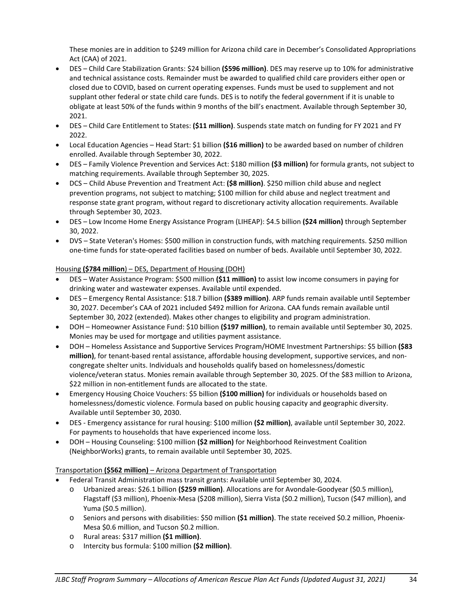These monies are in addition to \$249 million for Arizona child care in December's Consolidated Appropriations Act (CAA) of 2021.

- DES Child Care Stabilization Grants: \$24 billion **(\$596 million)**. DES may reserve up to 10% for administrative and technical assistance costs. Remainder must be awarded to qualified child care providers either open or closed due to COVID, based on current operating expenses. Funds must be used to supplement and not supplant other federal or state child care funds. DES is to notify the federal government if it is unable to obligate at least 50% of the funds within 9 months of the bill's enactment. Available through September 30, 2021.
- DES Child Care Entitlement to States: **(\$11 million)**. Suspends state match on funding for FY 2021 and FY 2022.
- Local Education Agencies Head Start: \$1 billion **(\$16 million)** to be awarded based on number of children enrolled. Available through September 30, 2022.
- DES Family Violence Prevention and Services Act: \$180 million **(\$3 million)** for formula grants, not subject to matching requirements. Available through September 30, 2025.
- DCS Child Abuse Prevention and Treatment Act: **(\$8 million)**. \$250 million child abuse and neglect prevention programs, not subject to matching; \$100 million for child abuse and neglect treatment and response state grant program, without regard to discretionary activity allocation requirements. Available through September 30, 2023.
- DES Low Income Home Energy Assistance Program (LIHEAP): \$4.5 billion **(\$24 million)** through September 30, 2022.
- DVS State Veteran's Homes: \$500 million in construction funds, with matching requirements. \$250 million one-time funds for state-operated facilities based on number of beds. Available until September 30, 2022.

# Housing **(\$784 million**) – DES, Department of Housing (DOH)

- DES Water Assistance Program: \$500 million **(\$11 million)** to assist low income consumers in paying for drinking water and wastewater expenses. Available until expended.
- DES Emergency Rental Assistance: \$18.7 billion **(\$389 million)**. ARP funds remain available until September 30, 2027. December's CAA of 2021 included \$492 million for Arizona. CAA funds remain available until September 30, 2022 (extended). Makes other changes to eligibility and program administration.
- DOH Homeowner Assistance Fund: \$10 billion **(\$197 million)**, to remain available until September 30, 2025. Monies may be used for mortgage and utilities payment assistance.
- DOH Homeless Assistance and Supportive Services Program/HOME Investment Partnerships: \$5 billion **(\$83 million)**, for tenant-based rental assistance, affordable housing development, supportive services, and noncongregate shelter units. Individuals and households qualify based on homelessness/domestic violence/veteran status. Monies remain available through September 30, 2025. Of the \$83 million to Arizona, \$22 million in non-entitlement funds are allocated to the state.
- Emergency Housing Choice Vouchers: \$5 billion **(\$100 million)** for individuals or households based on homelessness/domestic violence. Formula based on public housing capacity and geographic diversity. Available until September 30, 2030.
- DES Emergency assistance for rural housing: \$100 million **(\$2 million)**, available until September 30, 2022. For payments to households that have experienced income loss.
- DOH Housing Counseling: \$100 million **(\$2 million)** for Neighborhood Reinvestment Coalition (NeighborWorks) grants, to remain available until September 30, 2025.

## Transportation **(\$562 million)** – Arizona Department of Transportation

- Federal Transit Administration mass transit grants: Available until September 30, 2024.
	- o Urbanized areas: \$26.1 billion **(\$259 million)**. Allocations are for Avondale-Goodyear (\$0.5 million), Flagstaff (\$3 million), Phoenix-Mesa (\$208 million), Sierra Vista (\$0.2 million), Tucson (\$47 million), and Yuma (\$0.5 million).
	- o Seniors and persons with disabilities: \$50 million **(\$1 million)**. The state received \$0.2 million, Phoenix-Mesa \$0.6 million, and Tucson \$0.2 million.
	- o Rural areas: \$317 million **(\$1 million)**.
	- o Intercity bus formula: \$100 million **(\$2 million)**.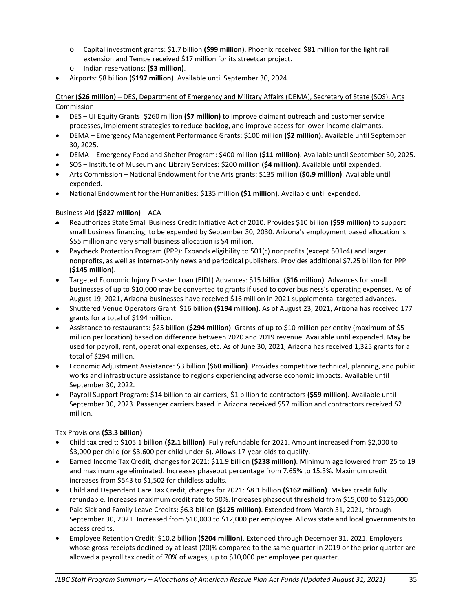- o Capital investment grants: \$1.7 billion **(\$99 million)**. Phoenix received \$81 million for the light rail extension and Tempe received \$17 million for its streetcar project.
- o Indian reservations: **(\$3 million)**.
- Airports: \$8 billion **(\$197 million)**. Available until September 30, 2024.

Other **(\$26 million)** – DES, Department of Emergency and Military Affairs (DEMA), Secretary of State (SOS), Arts **Commission** 

- DES UI Equity Grants: \$260 million **(\$7 million)** to improve claimant outreach and customer service processes, implement strategies to reduce backlog, and improve access for lower-income claimants.
- DEMA Emergency Management Performance Grants: \$100 million **(\$2 million)**. Available until September 30, 2025.
- DEMA Emergency Food and Shelter Program: \$400 million **(\$11 million)**. Available until September 30, 2025.
- SOS Institute of Museum and Library Services: \$200 million **(\$4 million)**. Available until expended.
- Arts Commission National Endowment for the Arts grants: \$135 million **(\$0.9 million)**. Available until expended.
- National Endowment for the Humanities: \$135 million **(\$1 million)**. Available until expended.

# Business Aid **(\$827 million)** – ACA

- Reauthorizes State Small Business Credit Initiative Act of 2010. Provides \$10 billion **(\$59 million)** to support small business financing, to be expended by September 30, 2030. Arizona's employment based allocation is \$55 million and very small business allocation is \$4 million.
- Paycheck Protection Program (PPP): Expands eligibility to 501(c) nonprofits (except 501c4) and larger nonprofits, as well as internet-only news and periodical publishers. Provides additional \$7.25 billion for PPP **(\$145 million)**.
- Targeted Economic Injury Disaster Loan (EIDL) Advances: \$15 billion **(\$16 million)**. Advances for small businesses of up to \$10,000 may be converted to grants if used to cover business's operating expenses. As of August 19, 2021, Arizona businesses have received \$16 million in 2021 supplemental targeted advances.
- Shuttered Venue Operators Grant: \$16 billion **(\$194 million)**. As of August 23, 2021, Arizona has received 177 grants for a total of \$194 million.
- Assistance to restaurants: \$25 billion **(\$294 million)**. Grants of up to \$10 million per entity (maximum of \$5 million per location) based on difference between 2020 and 2019 revenue. Available until expended. May be used for payroll, rent, operational expenses, etc. As of June 30, 2021, Arizona has received 1,325 grants for a total of \$294 million.
- Economic Adjustment Assistance: \$3 billion **(\$60 million)**. Provides competitive technical, planning, and public works and infrastructure assistance to regions experiencing adverse economic impacts. Available until September 30, 2022.
- Payroll Support Program: \$14 billion to air carriers, \$1 billion to contractors **(\$59 million)**. Available until September 30, 2023. Passenger carriers based in Arizona received \$57 million and contractors received \$2 million.

## Tax Provisions **(\$3.3 billion)**

- Child tax credit: \$105.1 billion **(\$2.1 billion)**. Fully refundable for 2021. Amount increased from \$2,000 to \$3,000 per child (or \$3,600 per child under 6). Allows 17-year-olds to qualify.
- Earned Income Tax Credit, changes for 2021: \$11.9 billion **(\$238 million)**. Minimum age lowered from 25 to 19 and maximum age eliminated. Increases phaseout percentage from 7.65% to 15.3%. Maximum credit increases from \$543 to \$1,502 for childless adults.
- Child and Dependent Care Tax Credit, changes for 2021: \$8.1 billion **(\$162 million)**. Makes credit fully refundable. Increases maximum credit rate to 50%. Increases phaseout threshold from \$15,000 to \$125,000.
- Paid Sick and Family Leave Credits: \$6.3 billion **(\$125 million)**. Extended from March 31, 2021, through September 30, 2021. Increased from \$10,000 to \$12,000 per employee. Allows state and local governments to access credits.
- Employee Retention Credit: \$10.2 billion **(\$204 million)**. Extended through December 31, 2021. Employers whose gross receipts declined by at least (20)% compared to the same quarter in 2019 or the prior quarter are allowed a payroll tax credit of 70% of wages, up to \$10,000 per employee per quarter.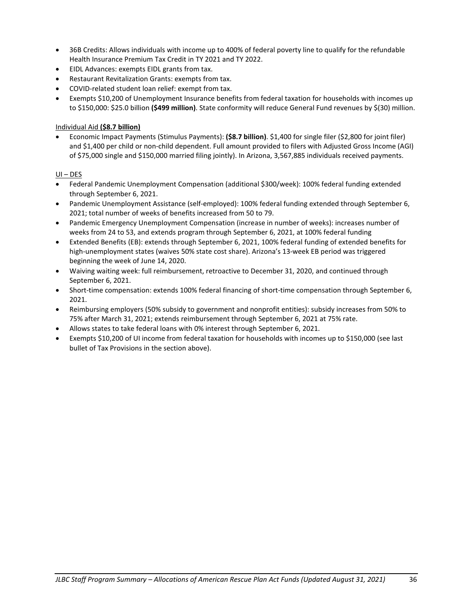- 36B Credits: Allows individuals with income up to 400% of federal poverty line to qualify for the refundable Health Insurance Premium Tax Credit in TY 2021 and TY 2022.
- EIDL Advances: exempts EIDL grants from tax.
- Restaurant Revitalization Grants: exempts from tax.
- COVID-related student loan relief: exempt from tax.
- Exempts \$10,200 of Unemployment Insurance benefits from federal taxation for households with incomes up to \$150,000: \$25.0 billion **(\$499 million)**. State conformity will reduce General Fund revenues by \$(30) million.

## Individual Aid **(\$8.7 billion)**

• Economic Impact Payments (Stimulus Payments): **(\$8.7 billion)**. \$1,400 for single filer (\$2,800 for joint filer) and \$1,400 per child or non-child dependent. Full amount provided to filers with Adjusted Gross Income (AGI) of \$75,000 single and \$150,000 married filing jointly). In Arizona, 3,567,885 individuals received payments.

## UI – DES

- Federal Pandemic Unemployment Compensation (additional \$300/week): 100% federal funding extended through September 6, 2021.
- Pandemic Unemployment Assistance (self-employed): 100% federal funding extended through September 6, 2021; total number of weeks of benefits increased from 50 to 79.
- Pandemic Emergency Unemployment Compensation (increase in number of weeks): increases number of weeks from 24 to 53, and extends program through September 6, 2021, at 100% federal funding
- Extended Benefits (EB): extends through September 6, 2021, 100% federal funding of extended benefits for high-unemployment states (waives 50% state cost share). Arizona's 13-week EB period was triggered beginning the week of June 14, 2020.
- Waiving waiting week: full reimbursement, retroactive to December 31, 2020, and continued through September 6, 2021.
- Short-time compensation: extends 100% federal financing of short-time compensation through September 6, 2021.
- Reimbursing employers (50% subsidy to government and nonprofit entities): subsidy increases from 50% to 75% after March 31, 2021; extends reimbursement through September 6, 2021 at 75% rate.
- Allows states to take federal loans with 0% interest through September 6, 2021.
- Exempts \$10,200 of UI income from federal taxation for households with incomes up to \$150,000 (see last bullet of Tax Provisions in the section above).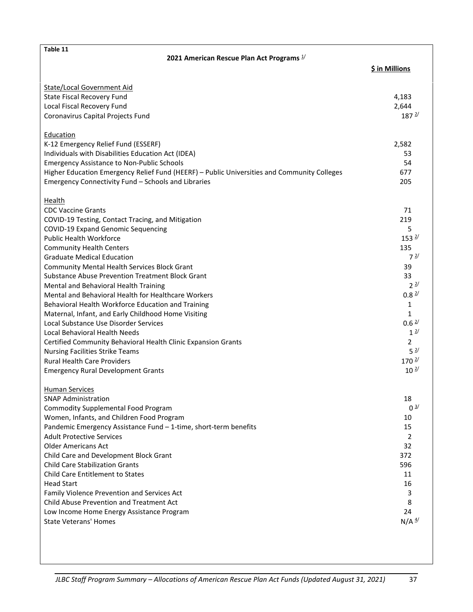| Table 11                                                                                    |                   |  |  |  |
|---------------------------------------------------------------------------------------------|-------------------|--|--|--|
| 2021 American Rescue Plan Act Programs 1/                                                   |                   |  |  |  |
|                                                                                             | \$ in Millions    |  |  |  |
|                                                                                             |                   |  |  |  |
| <b>State/Local Government Aid</b>                                                           |                   |  |  |  |
| State Fiscal Recovery Fund                                                                  | 4,183             |  |  |  |
| Local Fiscal Recovery Fund                                                                  | 2,644             |  |  |  |
| Coronavirus Capital Projects Fund                                                           | 187 <sup>2/</sup> |  |  |  |
|                                                                                             |                   |  |  |  |
| Education                                                                                   |                   |  |  |  |
| K-12 Emergency Relief Fund (ESSERF)                                                         | 2,582             |  |  |  |
| Individuals with Disabilities Education Act (IDEA)                                          | 53                |  |  |  |
| <b>Emergency Assistance to Non-Public Schools</b>                                           | 54                |  |  |  |
|                                                                                             | 677               |  |  |  |
| Higher Education Emergency Relief Fund (HEERF) - Public Universities and Community Colleges |                   |  |  |  |
| Emergency Connectivity Fund - Schools and Libraries                                         | 205               |  |  |  |
| Health                                                                                      |                   |  |  |  |
| <b>CDC Vaccine Grants</b>                                                                   | 71                |  |  |  |
| COVID-19 Testing, Contact Tracing, and Mitigation                                           | 219               |  |  |  |
|                                                                                             | 5                 |  |  |  |
| <b>COVID-19 Expand Genomic Sequencing</b><br><b>Public Health Workforce</b>                 | 153 <sup>2</sup>  |  |  |  |
|                                                                                             |                   |  |  |  |
| <b>Community Health Centers</b>                                                             | 135               |  |  |  |
| <b>Graduate Medical Education</b>                                                           | $7^{\frac{2}{}}$  |  |  |  |
| <b>Community Mental Health Services Block Grant</b>                                         | 39                |  |  |  |
| <b>Substance Abuse Prevention Treatment Block Grant</b>                                     | 33                |  |  |  |
| Mental and Behavioral Health Training                                                       | $2^{2/2}$         |  |  |  |
| Mental and Behavioral Health for Healthcare Workers                                         | $0.8 \frac{2}{3}$ |  |  |  |
| Behavioral Health Workforce Education and Training                                          | 1                 |  |  |  |
| Maternal, Infant, and Early Childhood Home Visiting                                         | $\mathbf{1}$      |  |  |  |
| Local Substance Use Disorder Services                                                       | $0.6 \frac{2}{3}$ |  |  |  |
| <b>Local Behavioral Health Needs</b>                                                        | $1^{2/}$          |  |  |  |
| Certified Community Behavioral Health Clinic Expansion Grants                               | $\overline{2}$    |  |  |  |
| <b>Nursing Facilities Strike Teams</b>                                                      | 5 <sup>2</sup>    |  |  |  |
| <b>Rural Health Care Providers</b>                                                          | $170^{2/5}$       |  |  |  |
| <b>Emergency Rural Development Grants</b>                                                   | $10^{2/}$         |  |  |  |
|                                                                                             |                   |  |  |  |
| <b>Human Services</b>                                                                       |                   |  |  |  |
| <b>SNAP Administration</b>                                                                  | 18                |  |  |  |
| <b>Commodity Supplemental Food Program</b>                                                  | $0^{\frac{3}{2}}$ |  |  |  |
| Women, Infants, and Children Food Program                                                   | 10                |  |  |  |
| Pandemic Emergency Assistance Fund - 1-time, short-term benefits                            | 15                |  |  |  |
| <b>Adult Protective Services</b>                                                            | 2                 |  |  |  |
| <b>Older Americans Act</b>                                                                  | 32                |  |  |  |
|                                                                                             |                   |  |  |  |
| Child Care and Development Block Grant                                                      | 372               |  |  |  |
| <b>Child Care Stabilization Grants</b>                                                      | 596               |  |  |  |
| Child Care Entitlement to States                                                            | 11                |  |  |  |
| <b>Head Start</b>                                                                           | 16                |  |  |  |
| Family Violence Prevention and Services Act                                                 | 3                 |  |  |  |
| <b>Child Abuse Prevention and Treatment Act</b>                                             | 8                 |  |  |  |
| Low Income Home Energy Assistance Program                                                   | 24                |  |  |  |
| <b>State Veterans' Homes</b>                                                                | $N/A$ $4/$        |  |  |  |
|                                                                                             |                   |  |  |  |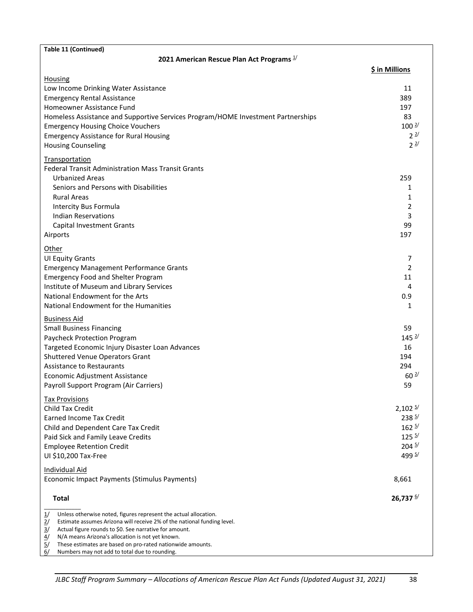| Table 11 (Continued)                                                                                                                                                                                                                                                                                                                                                                                                                                      |                                                                                                      |
|-----------------------------------------------------------------------------------------------------------------------------------------------------------------------------------------------------------------------------------------------------------------------------------------------------------------------------------------------------------------------------------------------------------------------------------------------------------|------------------------------------------------------------------------------------------------------|
| 2021 American Rescue Plan Act Programs 1/                                                                                                                                                                                                                                                                                                                                                                                                                 |                                                                                                      |
|                                                                                                                                                                                                                                                                                                                                                                                                                                                           | \$ in Millions                                                                                       |
| Housing<br>Low Income Drinking Water Assistance<br><b>Emergency Rental Assistance</b><br>Homeowner Assistance Fund<br>Homeless Assistance and Supportive Services Program/HOME Investment Partnerships<br><b>Emergency Housing Choice Vouchers</b><br><b>Emergency Assistance for Rural Housing</b><br><b>Housing Counseling</b>                                                                                                                          | 11<br>389<br>197<br>83<br>$100^{2/}$<br>$2^{\frac{2}{3}}$<br>2 <sup>2</sup>                          |
| <b>Transportation</b><br><b>Federal Transit Administration Mass Transit Grants</b><br><b>Urbanized Areas</b><br>Seniors and Persons with Disabilities<br><b>Rural Areas</b><br>Intercity Bus Formula<br><b>Indian Reservations</b><br><b>Capital Investment Grants</b><br>Airports                                                                                                                                                                        | 259<br>1<br>1<br>2<br>3<br>99<br>197                                                                 |
| Other<br><b>UI Equity Grants</b><br><b>Emergency Management Performance Grants</b><br><b>Emergency Food and Shelter Program</b><br>Institute of Museum and Library Services<br>National Endowment for the Arts<br>National Endowment for the Humanities                                                                                                                                                                                                   | 7<br>$\overline{2}$<br>11<br>4<br>0.9<br>1                                                           |
| <b>Business Aid</b><br><b>Small Business Financing</b><br>Paycheck Protection Program<br>Targeted Economic Injury Disaster Loan Advances<br>Shuttered Venue Operators Grant<br><b>Assistance to Restaurants</b><br>Economic Adjustment Assistance<br>Payroll Support Program (Air Carriers)                                                                                                                                                               | 59<br>145 <sup>2</sup><br>16<br>194<br>294<br>$60^{2/}$<br>59                                        |
| <b>Tax Provisions</b><br><b>Child Tax Credit</b><br>Earned Income Tax Credit<br>Child and Dependent Care Tax Credit<br>Paid Sick and Family Leave Credits<br><b>Employee Retention Credit</b><br>UI \$10,200 Tax-Free                                                                                                                                                                                                                                     | $2,102 \frac{5}{2}$<br>$238^{5/}$<br>$162^{5/2}$<br>125 <sup>5/</sup><br>$204 \frac{5}{ }$<br>499 5/ |
| Individual Aid<br>Economic Impact Payments (Stimulus Payments)                                                                                                                                                                                                                                                                                                                                                                                            | 8,661                                                                                                |
| <b>Total</b>                                                                                                                                                                                                                                                                                                                                                                                                                                              | 26,737 $\frac{6}{1}$                                                                                 |
| Unless otherwise noted, figures represent the actual allocation.<br>$\frac{1}{2}$<br>$\frac{2}{3}$<br>Estimate assumes Arizona will receive 2% of the national funding level.<br>Actual figure rounds to \$0. See narrative for amount.<br>$\frac{3}{2}$<br>N/A means Arizona's allocation is not yet known.<br>4/<br>These estimates are based on pro-rated nationwide amounts.<br>$\overline{5}$<br>6/<br>Numbers may not add to total due to rounding. |                                                                                                      |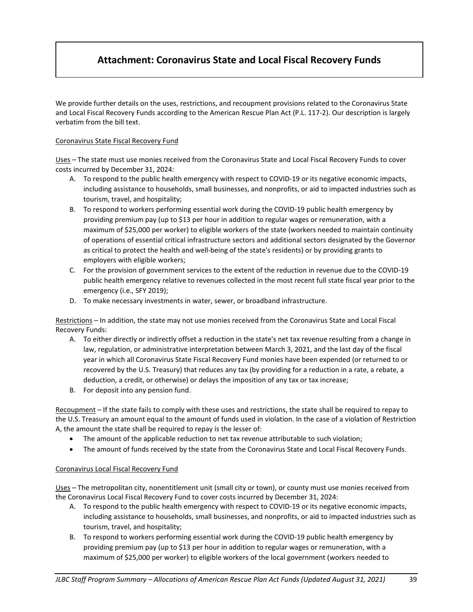# **Attachment: Coronavirus State and Local Fiscal Recovery Funds**

We provide further details on the uses, restrictions, and recoupment provisions related to the Coronavirus State and Local Fiscal Recovery Funds according to the American Rescue Plan Act (P.L. 117-2). Our description is largely verbatim from the bill text.

#### Coronavirus State Fiscal Recovery Fund

Uses – The state must use monies received from the Coronavirus State and Local Fiscal Recovery Funds to cover costs incurred by December 31, 2024:

- A. To respond to the public health emergency with respect to COVID-19 or its negative economic impacts, including assistance to households, small businesses, and nonprofits, or aid to impacted industries such as tourism, travel, and hospitality;
- B. To respond to workers performing essential work during the COVID-19 public health emergency by providing premium pay (up to \$13 per hour in addition to regular wages or remuneration, with a maximum of \$25,000 per worker) to eligible workers of the state (workers needed to maintain continuity of operations of essential critical infrastructure sectors and additional sectors designated by the Governor as critical to protect the health and well-being of the state's residents) or by providing grants to employers with eligible workers;
- C. For the provision of government services to the extent of the reduction in revenue due to the COVID-19 public health emergency relative to revenues collected in the most recent full state fiscal year prior to the emergency (i.e., SFY 2019);
- D. To make necessary investments in water, sewer, or broadband infrastructure.

Restrictions – In addition, the state may not use monies received from the Coronavirus State and Local Fiscal Recovery Funds:

- A. To either directly or indirectly offset a reduction in the state's net tax revenue resulting from a change in law, regulation, or administrative interpretation between March 3, 2021, and the last day of the fiscal year in which all Coronavirus State Fiscal Recovery Fund monies have been expended (or returned to or recovered by the U.S. Treasury) that reduces any tax (by providing for a reduction in a rate, a rebate, a deduction, a credit, or otherwise) or delays the imposition of any tax or tax increase;
- B. For deposit into any pension fund.

Recoupment – If the state fails to comply with these uses and restrictions, the state shall be required to repay to the U.S. Treasury an amount equal to the amount of funds used in violation. In the case of a violation of Restriction A, the amount the state shall be required to repay is the lesser of:

- The amount of the applicable reduction to net tax revenue attributable to such violation;
- The amount of funds received by the state from the Coronavirus State and Local Fiscal Recovery Funds.

## Coronavirus Local Fiscal Recovery Fund

Uses – The metropolitan city, nonentitlement unit (small city or town), or county must use monies received from the Coronavirus Local Fiscal Recovery Fund to cover costs incurred by December 31, 2024:

- A. To respond to the public health emergency with respect to COVID-19 or its negative economic impacts, including assistance to households, small businesses, and nonprofits, or aid to impacted industries such as tourism, travel, and hospitality;
- B. To respond to workers performing essential work during the COVID-19 public health emergency by providing premium pay (up to \$13 per hour in addition to regular wages or remuneration, with a maximum of \$25,000 per worker) to eligible workers of the local government (workers needed to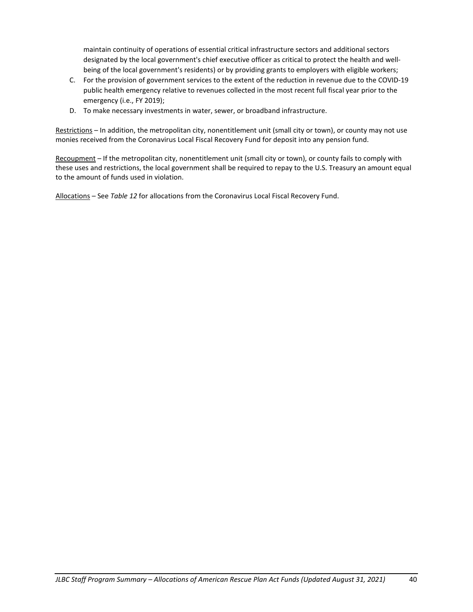maintain continuity of operations of essential critical infrastructure sectors and additional sectors designated by the local government's chief executive officer as critical to protect the health and wellbeing of the local government's residents) or by providing grants to employers with eligible workers;

- C. For the provision of government services to the extent of the reduction in revenue due to the COVID-19 public health emergency relative to revenues collected in the most recent full fiscal year prior to the emergency (i.e., FY 2019);
- D. To make necessary investments in water, sewer, or broadband infrastructure.

Restrictions – In addition, the metropolitan city, nonentitlement unit (small city or town), or county may not use monies received from the Coronavirus Local Fiscal Recovery Fund for deposit into any pension fund.

Recoupment – If the metropolitan city, nonentitlement unit (small city or town), or county fails to comply with these uses and restrictions, the local government shall be required to repay to the U.S. Treasury an amount equal to the amount of funds used in violation.

Allocations – See *Table 12* for allocations from the Coronavirus Local Fiscal Recovery Fund.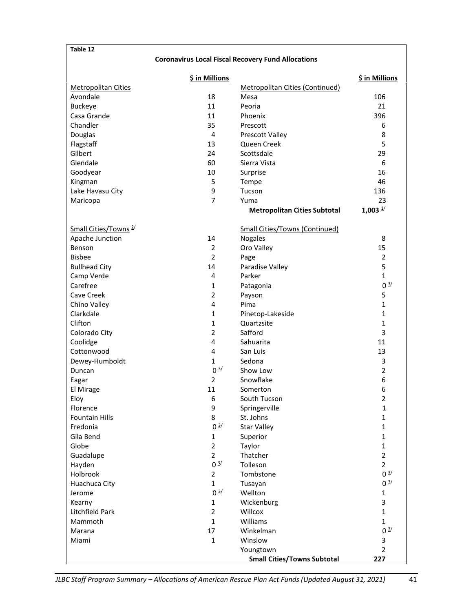#### **Table 12**

### **Coronavirus Local Fiscal Recovery Fund Allocations**

|                                  | \$ in Millions    |                                       | \$ in Millions        |
|----------------------------------|-------------------|---------------------------------------|-----------------------|
| <b>Metropolitan Cities</b>       |                   | Metropolitan Cities (Continued)       |                       |
| Avondale                         | 18                | Mesa                                  | 106                   |
| <b>Buckeye</b>                   | 11                | Peoria                                | 21                    |
| Casa Grande                      | 11                | Phoenix                               | 396                   |
| Chandler                         | 35                | Prescott                              | 6                     |
| Douglas                          | 4                 | <b>Prescott Valley</b>                | 8                     |
| Flagstaff                        | 13                | Queen Creek                           | 5                     |
| Gilbert                          | 24                | Scottsdale                            | 29                    |
| Glendale                         | 60                | Sierra Vista                          | 6                     |
| Goodyear                         | 10                | Surprise                              | 16                    |
| Kingman                          | 5                 | Tempe                                 | 46                    |
| Lake Havasu City                 | 9                 | Tucson                                | 136                   |
| Maricopa                         | $\overline{7}$    | Yuma                                  | 23                    |
|                                  |                   | <b>Metropolitan Cities Subtotal</b>   | $1,003$ $\frac{1}{3}$ |
| Small Cities/Towns <sup>2/</sup> |                   | <b>Small Cities/Towns (Continued)</b> |                       |
| Apache Junction                  | 14                | Nogales                               | 8                     |
| Benson                           | $\overline{2}$    | Oro Valley                            | 15                    |
| <b>Bisbee</b>                    | $\overline{2}$    | Page                                  | $\overline{2}$        |
| <b>Bullhead City</b>             | 14                | Paradise Valley                       | 5                     |
| Camp Verde                       | 4                 | Parker                                | $\mathbf{1}$          |
| Carefree                         | 1                 | Patagonia                             | 0 <sup>3</sup>        |
| Cave Creek                       | $\overline{2}$    | Payson                                | 5                     |
| Chino Valley                     | 4                 | Pima                                  | $\mathbf{1}$          |
| Clarkdale                        | 1                 | Pinetop-Lakeside                      | 1                     |
| Clifton                          | $\mathbf{1}$      | Quartzsite                            | 1                     |
| Colorado City                    | $\overline{2}$    | Safford                               | 3                     |
| Coolidge                         | 4                 | Sahuarita                             | 11                    |
| Cottonwood                       | 4                 | San Luis                              | 13                    |
| Dewey-Humboldt                   | 1                 | Sedona                                | 3                     |
| Duncan                           | 0 <sup>3/</sup>   | Show Low                              | $\overline{2}$        |
| Eagar                            | $\overline{2}$    | Snowflake                             | 6                     |
| El Mirage                        | 11                | Somerton                              | 6                     |
| Eloy                             | 6                 | South Tucson                          | $\overline{2}$        |
| Florence                         | 9                 | Springerville                         | 1                     |
| <b>Fountain Hills</b>            | 8                 | St. Johns                             | 1                     |
| Fredonia                         | $0^{\frac{3}{2}}$ | <b>Star Valley</b>                    | $\mathbf{1}$          |
| Gila Bend                        | $\mathbf{1}$      | Superior                              | $\mathbf{1}$          |
| Globe                            | $\overline{2}$    | Taylor                                | $\mathbf{1}$          |
| Guadalupe                        | $\overline{2}$    | Thatcher                              | $\overline{2}$        |
| Hayden                           | 0 <sup>3/</sup>   | Tolleson                              | $\overline{2}$        |
| Holbrook                         | $\overline{2}$    | Tombstone                             | 0 <sup>3/</sup>       |
| Huachuca City                    | $\mathbf{1}$      | Tusayan                               | 0 <sup>3</sup>        |
| Jerome                           | 0 <sup>3/</sup>   | Wellton                               | $\mathbf{1}$          |
| Kearny                           | $\mathbf{1}$      | Wickenburg                            | 3                     |
| Litchfield Park                  | $\overline{2}$    | Willcox                               | $\mathbf{1}$          |
| Mammoth                          | $\mathbf{1}$      | Williams                              | $\mathbf{1}$          |
| Marana                           | 17                | Winkelman                             | 0 <sup>3/</sup>       |
| Miami                            | $\mathbf{1}$      | Winslow                               | 3                     |
|                                  |                   | Youngtown                             | $\overline{2}$        |
|                                  |                   | <b>Small Cities/Towns Subtotal</b>    | 227                   |